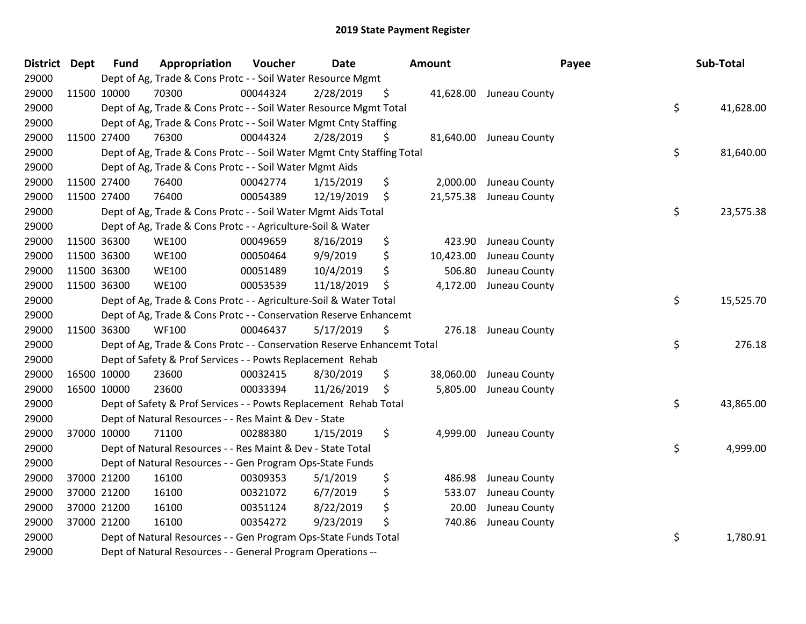| District Dept | <b>Fund</b> | Appropriation                                                           | Voucher  | <b>Date</b> |     | <b>Amount</b> |                         | Payee | Sub-Total |
|---------------|-------------|-------------------------------------------------------------------------|----------|-------------|-----|---------------|-------------------------|-------|-----------|
| 29000         |             | Dept of Ag, Trade & Cons Protc - - Soil Water Resource Mgmt             |          |             |     |               |                         |       |           |
| 29000         | 11500 10000 | 70300                                                                   | 00044324 | 2/28/2019   | \$  |               | 41,628.00 Juneau County |       |           |
| 29000         |             | Dept of Ag, Trade & Cons Protc - - Soil Water Resource Mgmt Total       |          |             |     |               |                         | \$    | 41,628.00 |
| 29000         |             | Dept of Ag, Trade & Cons Protc - - Soil Water Mgmt Cnty Staffing        |          |             |     |               |                         |       |           |
| 29000         | 11500 27400 | 76300                                                                   | 00044324 | 2/28/2019   | \$  |               | 81,640.00 Juneau County |       |           |
| 29000         |             | Dept of Ag, Trade & Cons Protc - - Soil Water Mgmt Cnty Staffing Total  |          |             |     |               |                         | \$    | 81,640.00 |
| 29000         |             | Dept of Ag, Trade & Cons Protc - - Soil Water Mgmt Aids                 |          |             |     |               |                         |       |           |
| 29000         | 11500 27400 | 76400                                                                   | 00042774 | 1/15/2019   | \$  | 2,000.00      | Juneau County           |       |           |
| 29000         | 11500 27400 | 76400                                                                   | 00054389 | 12/19/2019  | \$  | 21,575.38     | Juneau County           |       |           |
| 29000         |             | Dept of Ag, Trade & Cons Protc - - Soil Water Mgmt Aids Total           |          |             |     |               |                         | \$    | 23,575.38 |
| 29000         |             | Dept of Ag, Trade & Cons Protc - - Agriculture-Soil & Water             |          |             |     |               |                         |       |           |
| 29000         | 11500 36300 | <b>WE100</b>                                                            | 00049659 | 8/16/2019   | \$  | 423.90        | Juneau County           |       |           |
| 29000         | 11500 36300 | <b>WE100</b>                                                            | 00050464 | 9/9/2019    | \$  | 10,423.00     | Juneau County           |       |           |
| 29000         | 11500 36300 | <b>WE100</b>                                                            | 00051489 | 10/4/2019   | \$  | 506.80        | Juneau County           |       |           |
| 29000         | 11500 36300 | <b>WE100</b>                                                            | 00053539 | 11/18/2019  | -\$ | 4,172.00      | Juneau County           |       |           |
| 29000         |             | Dept of Ag, Trade & Cons Protc - - Agriculture-Soil & Water Total       |          |             |     |               |                         | \$    | 15,525.70 |
| 29000         |             | Dept of Ag, Trade & Cons Protc - - Conservation Reserve Enhancemt       |          |             |     |               |                         |       |           |
| 29000         | 11500 36300 | <b>WF100</b>                                                            | 00046437 | 5/17/2019   | \$  |               | 276.18 Juneau County    |       |           |
| 29000         |             | Dept of Ag, Trade & Cons Protc - - Conservation Reserve Enhancemt Total |          |             |     |               |                         | \$    | 276.18    |
| 29000         |             | Dept of Safety & Prof Services - - Powts Replacement Rehab              |          |             |     |               |                         |       |           |
| 29000         | 16500 10000 | 23600                                                                   | 00032415 | 8/30/2019   | \$  | 38,060.00     | Juneau County           |       |           |
| 29000         | 16500 10000 | 23600                                                                   | 00033394 | 11/26/2019  | \$  | 5,805.00      | Juneau County           |       |           |
| 29000         |             | Dept of Safety & Prof Services - - Powts Replacement Rehab Total        |          |             |     |               |                         | \$    | 43,865.00 |
| 29000         |             | Dept of Natural Resources - - Res Maint & Dev - State                   |          |             |     |               |                         |       |           |
| 29000         | 37000 10000 | 71100                                                                   | 00288380 | 1/15/2019   | \$  | 4,999.00      | Juneau County           |       |           |
| 29000         |             | Dept of Natural Resources - - Res Maint & Dev - State Total             |          |             |     |               |                         | \$    | 4,999.00  |
| 29000         |             | Dept of Natural Resources - - Gen Program Ops-State Funds               |          |             |     |               |                         |       |           |
| 29000         | 37000 21200 | 16100                                                                   | 00309353 | 5/1/2019    | \$  | 486.98        | Juneau County           |       |           |
| 29000         | 37000 21200 | 16100                                                                   | 00321072 | 6/7/2019    | \$  | 533.07        | Juneau County           |       |           |
| 29000         | 37000 21200 | 16100                                                                   | 00351124 | 8/22/2019   | \$  | 20.00         | Juneau County           |       |           |
| 29000         | 37000 21200 | 16100                                                                   | 00354272 | 9/23/2019   | \$  | 740.86        | Juneau County           |       |           |
| 29000         |             | Dept of Natural Resources - - Gen Program Ops-State Funds Total         |          |             |     |               |                         | \$    | 1,780.91  |
| 29000         |             | Dept of Natural Resources - - General Program Operations --             |          |             |     |               |                         |       |           |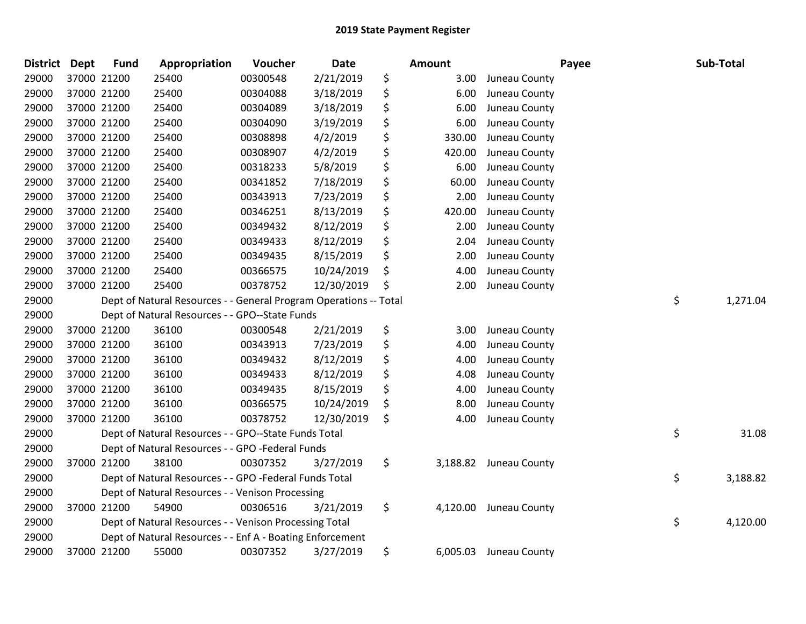| District Dept | <b>Fund</b> | Appropriation                                                     | Voucher  | <b>Date</b> | Amount         |               | Payee | Sub-Total      |
|---------------|-------------|-------------------------------------------------------------------|----------|-------------|----------------|---------------|-------|----------------|
| 29000         | 37000 21200 | 25400                                                             | 00300548 | 2/21/2019   | \$<br>3.00     | Juneau County |       |                |
| 29000         | 37000 21200 | 25400                                                             | 00304088 | 3/18/2019   | \$<br>6.00     | Juneau County |       |                |
| 29000         | 37000 21200 | 25400                                                             | 00304089 | 3/18/2019   | \$<br>6.00     | Juneau County |       |                |
| 29000         | 37000 21200 | 25400                                                             | 00304090 | 3/19/2019   | \$<br>6.00     | Juneau County |       |                |
| 29000         | 37000 21200 | 25400                                                             | 00308898 | 4/2/2019    | \$<br>330.00   | Juneau County |       |                |
| 29000         | 37000 21200 | 25400                                                             | 00308907 | 4/2/2019    | \$<br>420.00   | Juneau County |       |                |
| 29000         | 37000 21200 | 25400                                                             | 00318233 | 5/8/2019    | \$<br>6.00     | Juneau County |       |                |
| 29000         | 37000 21200 | 25400                                                             | 00341852 | 7/18/2019   | \$<br>60.00    | Juneau County |       |                |
| 29000         | 37000 21200 | 25400                                                             | 00343913 | 7/23/2019   | \$<br>2.00     | Juneau County |       |                |
| 29000         | 37000 21200 | 25400                                                             | 00346251 | 8/13/2019   | \$<br>420.00   | Juneau County |       |                |
| 29000         | 37000 21200 | 25400                                                             | 00349432 | 8/12/2019   | \$<br>2.00     | Juneau County |       |                |
| 29000         | 37000 21200 | 25400                                                             | 00349433 | 8/12/2019   | \$<br>2.04     | Juneau County |       |                |
| 29000         | 37000 21200 | 25400                                                             | 00349435 | 8/15/2019   | \$<br>2.00     | Juneau County |       |                |
| 29000         | 37000 21200 | 25400                                                             | 00366575 | 10/24/2019  | \$<br>4.00     | Juneau County |       |                |
| 29000         | 37000 21200 | 25400                                                             | 00378752 | 12/30/2019  | \$<br>2.00     | Juneau County |       |                |
| 29000         |             | Dept of Natural Resources - - General Program Operations -- Total |          |             |                |               |       | \$<br>1,271.04 |
| 29000         |             | Dept of Natural Resources - - GPO--State Funds                    |          |             |                |               |       |                |
| 29000         | 37000 21200 | 36100                                                             | 00300548 | 2/21/2019   | \$<br>3.00     | Juneau County |       |                |
| 29000         | 37000 21200 | 36100                                                             | 00343913 | 7/23/2019   | \$<br>4.00     | Juneau County |       |                |
| 29000         | 37000 21200 | 36100                                                             | 00349432 | 8/12/2019   | \$<br>4.00     | Juneau County |       |                |
| 29000         | 37000 21200 | 36100                                                             | 00349433 | 8/12/2019   | \$<br>4.08     | Juneau County |       |                |
| 29000         | 37000 21200 | 36100                                                             | 00349435 | 8/15/2019   | \$<br>4.00     | Juneau County |       |                |
| 29000         | 37000 21200 | 36100                                                             | 00366575 | 10/24/2019  | \$<br>8.00     | Juneau County |       |                |
| 29000         | 37000 21200 | 36100                                                             | 00378752 | 12/30/2019  | \$<br>4.00     | Juneau County |       |                |
| 29000         |             | Dept of Natural Resources - - GPO--State Funds Total              |          |             |                |               |       | \$<br>31.08    |
| 29000         |             | Dept of Natural Resources - - GPO -Federal Funds                  |          |             |                |               |       |                |
| 29000         | 37000 21200 | 38100                                                             | 00307352 | 3/27/2019   | \$<br>3,188.82 | Juneau County |       |                |
| 29000         |             | Dept of Natural Resources - - GPO -Federal Funds Total            |          |             |                |               |       | \$<br>3,188.82 |
| 29000         |             | Dept of Natural Resources - - Venison Processing                  |          |             |                |               |       |                |
| 29000         | 37000 21200 | 54900                                                             | 00306516 | 3/21/2019   | \$<br>4,120.00 | Juneau County |       |                |
| 29000         |             | Dept of Natural Resources - - Venison Processing Total            |          |             |                |               |       | \$<br>4,120.00 |
| 29000         |             | Dept of Natural Resources - - Enf A - Boating Enforcement         |          |             |                |               |       |                |
| 29000         | 37000 21200 | 55000                                                             | 00307352 | 3/27/2019   | \$<br>6,005.03 | Juneau County |       |                |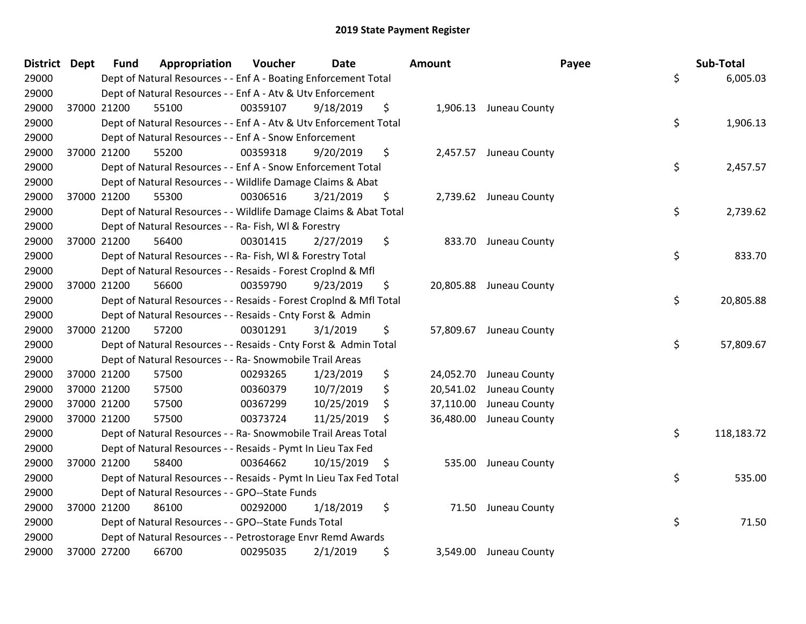| District Dept |             | <b>Fund</b> | Appropriation                                                      | Voucher  | <b>Date</b> |    | Amount    |                         | Payee | Sub-Total  |
|---------------|-------------|-------------|--------------------------------------------------------------------|----------|-------------|----|-----------|-------------------------|-------|------------|
| 29000         |             |             | Dept of Natural Resources - - Enf A - Boating Enforcement Total    |          |             |    |           |                         | \$    | 6,005.03   |
| 29000         |             |             | Dept of Natural Resources - - Enf A - Atv & Utv Enforcement        |          |             |    |           |                         |       |            |
| 29000         |             | 37000 21200 | 55100                                                              | 00359107 | 9/18/2019   | \$ |           | 1,906.13 Juneau County  |       |            |
| 29000         |             |             | Dept of Natural Resources - - Enf A - Atv & Utv Enforcement Total  |          |             |    |           |                         | \$    | 1,906.13   |
| 29000         |             |             | Dept of Natural Resources - - Enf A - Snow Enforcement             |          |             |    |           |                         |       |            |
| 29000         |             | 37000 21200 | 55200                                                              | 00359318 | 9/20/2019   | \$ |           | 2,457.57 Juneau County  |       |            |
| 29000         |             |             | Dept of Natural Resources - - Enf A - Snow Enforcement Total       |          |             |    |           |                         | \$    | 2,457.57   |
| 29000         |             |             | Dept of Natural Resources - - Wildlife Damage Claims & Abat        |          |             |    |           |                         |       |            |
| 29000         |             | 37000 21200 | 55300                                                              | 00306516 | 3/21/2019   | \$ |           | 2,739.62 Juneau County  |       |            |
| 29000         |             |             | Dept of Natural Resources - - Wildlife Damage Claims & Abat Total  |          |             |    |           |                         | \$    | 2,739.62   |
| 29000         |             |             | Dept of Natural Resources - - Ra- Fish, WI & Forestry              |          |             |    |           |                         |       |            |
| 29000         |             | 37000 21200 | 56400                                                              | 00301415 | 2/27/2019   | \$ |           | 833.70 Juneau County    |       |            |
| 29000         |             |             | Dept of Natural Resources - - Ra- Fish, WI & Forestry Total        |          |             |    |           |                         | \$    | 833.70     |
| 29000         |             |             | Dept of Natural Resources - - Resaids - Forest Croplnd & Mfl       |          |             |    |           |                         |       |            |
| 29000         |             | 37000 21200 | 56600                                                              | 00359790 | 9/23/2019   | \$ |           | 20,805.88 Juneau County |       |            |
| 29000         |             |             | Dept of Natural Resources - - Resaids - Forest CropInd & Mfl Total |          |             |    |           |                         | \$    | 20,805.88  |
| 29000         |             |             | Dept of Natural Resources - - Resaids - Cnty Forst & Admin         |          |             |    |           |                         |       |            |
| 29000         |             | 37000 21200 | 57200                                                              | 00301291 | 3/1/2019    | \$ |           | 57,809.67 Juneau County |       |            |
| 29000         |             |             | Dept of Natural Resources - - Resaids - Cnty Forst & Admin Total   |          |             |    |           |                         | \$    | 57,809.67  |
| 29000         |             |             | Dept of Natural Resources - - Ra- Snowmobile Trail Areas           |          |             |    |           |                         |       |            |
| 29000         |             | 37000 21200 | 57500                                                              | 00293265 | 1/23/2019   | \$ |           | 24,052.70 Juneau County |       |            |
| 29000         | 37000 21200 |             | 57500                                                              | 00360379 | 10/7/2019   | \$ |           | 20,541.02 Juneau County |       |            |
| 29000         | 37000 21200 |             | 57500                                                              | 00367299 | 10/25/2019  | \$ | 37,110.00 | Juneau County           |       |            |
| 29000         | 37000 21200 |             | 57500                                                              | 00373724 | 11/25/2019  | S. | 36,480.00 | Juneau County           |       |            |
| 29000         |             |             | Dept of Natural Resources - - Ra- Snowmobile Trail Areas Total     |          |             |    |           |                         | \$    | 118,183.72 |
| 29000         |             |             | Dept of Natural Resources - - Resaids - Pymt In Lieu Tax Fed       |          |             |    |           |                         |       |            |
| 29000         |             | 37000 21200 | 58400                                                              | 00364662 | 10/15/2019  | \$ |           | 535.00 Juneau County    |       |            |
| 29000         |             |             | Dept of Natural Resources - - Resaids - Pymt In Lieu Tax Fed Total |          |             |    |           |                         | \$    | 535.00     |
| 29000         |             |             | Dept of Natural Resources - - GPO--State Funds                     |          |             |    |           |                         |       |            |
| 29000         |             | 37000 21200 | 86100                                                              | 00292000 | 1/18/2019   | \$ |           | 71.50 Juneau County     |       |            |
| 29000         |             |             | Dept of Natural Resources - - GPO--State Funds Total               |          |             |    |           |                         | \$    | 71.50      |
| 29000         |             |             | Dept of Natural Resources - - Petrostorage Envr Remd Awards        |          |             |    |           |                         |       |            |
| 29000         |             | 37000 27200 | 66700                                                              | 00295035 | 2/1/2019    | \$ |           | 3,549.00 Juneau County  |       |            |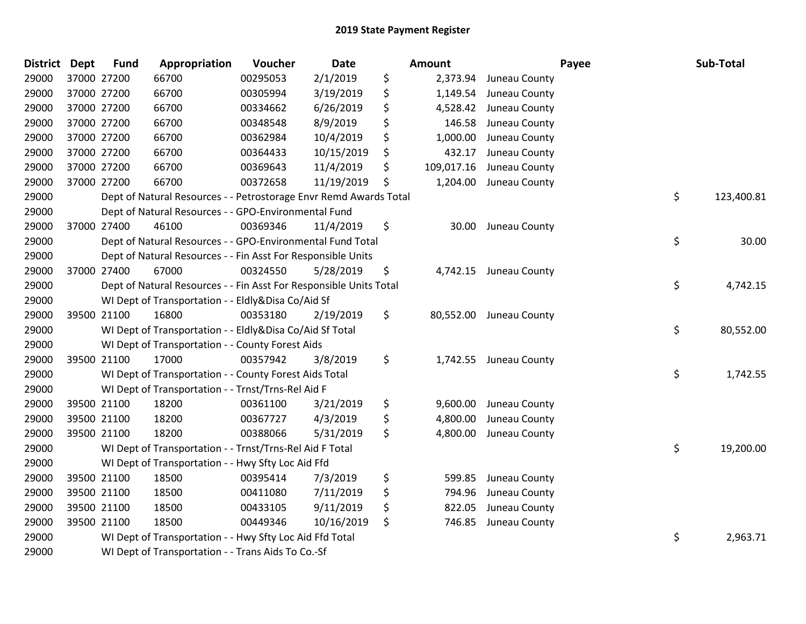| <b>District</b> | <b>Dept</b> | <b>Fund</b> | Appropriation                                                      | Voucher  | <b>Date</b> | Amount           |               | Payee | Sub-Total  |
|-----------------|-------------|-------------|--------------------------------------------------------------------|----------|-------------|------------------|---------------|-------|------------|
| 29000           | 37000 27200 |             | 66700                                                              | 00295053 | 2/1/2019    | \$<br>2,373.94   | Juneau County |       |            |
| 29000           | 37000 27200 |             | 66700                                                              | 00305994 | 3/19/2019   | \$<br>1,149.54   | Juneau County |       |            |
| 29000           | 37000 27200 |             | 66700                                                              | 00334662 | 6/26/2019   | \$<br>4,528.42   | Juneau County |       |            |
| 29000           |             | 37000 27200 | 66700                                                              | 00348548 | 8/9/2019    | \$<br>146.58     | Juneau County |       |            |
| 29000           |             | 37000 27200 | 66700                                                              | 00362984 | 10/4/2019   | \$<br>1,000.00   | Juneau County |       |            |
| 29000           |             | 37000 27200 | 66700                                                              | 00364433 | 10/15/2019  | \$<br>432.17     | Juneau County |       |            |
| 29000           | 37000 27200 |             | 66700                                                              | 00369643 | 11/4/2019   | \$<br>109,017.16 | Juneau County |       |            |
| 29000           |             | 37000 27200 | 66700                                                              | 00372658 | 11/19/2019  | \$<br>1,204.00   | Juneau County |       |            |
| 29000           |             |             | Dept of Natural Resources - - Petrostorage Envr Remd Awards Total  |          |             |                  |               | \$    | 123,400.81 |
| 29000           |             |             | Dept of Natural Resources - - GPO-Environmental Fund               |          |             |                  |               |       |            |
| 29000           |             | 37000 27400 | 46100                                                              | 00369346 | 11/4/2019   | \$<br>30.00      | Juneau County |       |            |
| 29000           |             |             | Dept of Natural Resources - - GPO-Environmental Fund Total         |          |             |                  |               | \$    | 30.00      |
| 29000           |             |             | Dept of Natural Resources - - Fin Asst For Responsible Units       |          |             |                  |               |       |            |
| 29000           |             | 37000 27400 | 67000                                                              | 00324550 | 5/28/2019   | \$<br>4,742.15   | Juneau County |       |            |
| 29000           |             |             | Dept of Natural Resources - - Fin Asst For Responsible Units Total |          |             |                  |               | \$    | 4,742.15   |
| 29000           |             |             | WI Dept of Transportation - - Eldly&Disa Co/Aid Sf                 |          |             |                  |               |       |            |
| 29000           |             | 39500 21100 | 16800                                                              | 00353180 | 2/19/2019   | \$<br>80,552.00  | Juneau County |       |            |
| 29000           |             |             | WI Dept of Transportation - - Eldly&Disa Co/Aid Sf Total           |          |             |                  |               | \$    | 80,552.00  |
| 29000           |             |             | WI Dept of Transportation - - County Forest Aids                   |          |             |                  |               |       |            |
| 29000           |             | 39500 21100 | 17000                                                              | 00357942 | 3/8/2019    | \$<br>1,742.55   | Juneau County |       |            |
| 29000           |             |             | WI Dept of Transportation - - County Forest Aids Total             |          |             |                  |               | \$    | 1,742.55   |
| 29000           |             |             | WI Dept of Transportation - - Trnst/Trns-Rel Aid F                 |          |             |                  |               |       |            |
| 29000           |             | 39500 21100 | 18200                                                              | 00361100 | 3/21/2019   | \$<br>9,600.00   | Juneau County |       |            |
| 29000           |             | 39500 21100 | 18200                                                              | 00367727 | 4/3/2019    | \$<br>4,800.00   | Juneau County |       |            |
| 29000           |             | 39500 21100 | 18200                                                              | 00388066 | 5/31/2019   | \$<br>4,800.00   | Juneau County |       |            |
| 29000           |             |             | WI Dept of Transportation - - Trnst/Trns-Rel Aid F Total           |          |             |                  |               | \$    | 19,200.00  |
| 29000           |             |             | WI Dept of Transportation - - Hwy Sfty Loc Aid Ffd                 |          |             |                  |               |       |            |
| 29000           |             | 39500 21100 | 18500                                                              | 00395414 | 7/3/2019    | \$<br>599.85     | Juneau County |       |            |
| 29000           |             | 39500 21100 | 18500                                                              | 00411080 | 7/11/2019   | \$<br>794.96     | Juneau County |       |            |
| 29000           |             | 39500 21100 | 18500                                                              | 00433105 | 9/11/2019   | \$<br>822.05     | Juneau County |       |            |
| 29000           |             | 39500 21100 | 18500                                                              | 00449346 | 10/16/2019  | \$<br>746.85     | Juneau County |       |            |
| 29000           |             |             | WI Dept of Transportation - - Hwy Sfty Loc Aid Ffd Total           |          |             |                  |               | \$    | 2,963.71   |
| 29000           |             |             | WI Dept of Transportation - - Trans Aids To Co.-Sf                 |          |             |                  |               |       |            |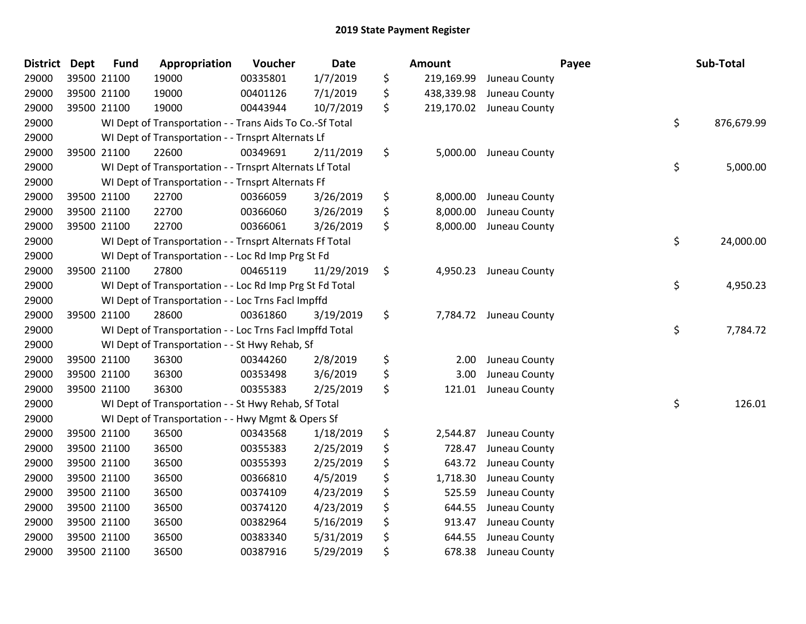| <b>District Dept</b> | <b>Fund</b> | Appropriation                                            | Voucher  | <b>Date</b> |     | Amount     |                        | Payee | Sub-Total  |
|----------------------|-------------|----------------------------------------------------------|----------|-------------|-----|------------|------------------------|-------|------------|
| 29000                | 39500 21100 | 19000                                                    | 00335801 | 1/7/2019    | \$  | 219,169.99 | Juneau County          |       |            |
| 29000                | 39500 21100 | 19000                                                    | 00401126 | 7/1/2019    | \$  | 438,339.98 | Juneau County          |       |            |
| 29000                | 39500 21100 | 19000                                                    | 00443944 | 10/7/2019   | \$. | 219,170.02 | Juneau County          |       |            |
| 29000                |             | WI Dept of Transportation - - Trans Aids To Co.-Sf Total |          |             |     |            |                        | \$    | 876,679.99 |
| 29000                |             | WI Dept of Transportation - - Trnsprt Alternats Lf       |          |             |     |            |                        |       |            |
| 29000                | 39500 21100 | 22600                                                    | 00349691 | 2/11/2019   | \$  | 5,000.00   | Juneau County          |       |            |
| 29000                |             | WI Dept of Transportation - - Trnsprt Alternats Lf Total |          |             |     |            |                        | \$    | 5,000.00   |
| 29000                |             | WI Dept of Transportation - - Trnsprt Alternats Ff       |          |             |     |            |                        |       |            |
| 29000                | 39500 21100 | 22700                                                    | 00366059 | 3/26/2019   | \$  | 8,000.00   | Juneau County          |       |            |
| 29000                | 39500 21100 | 22700                                                    | 00366060 | 3/26/2019   | \$  | 8,000.00   | Juneau County          |       |            |
| 29000                | 39500 21100 | 22700                                                    | 00366061 | 3/26/2019   | \$  | 8,000.00   | Juneau County          |       |            |
| 29000                |             | WI Dept of Transportation - - Trnsprt Alternats Ff Total |          |             |     |            |                        | \$    | 24,000.00  |
| 29000                |             | WI Dept of Transportation - - Loc Rd Imp Prg St Fd       |          |             |     |            |                        |       |            |
| 29000                | 39500 21100 | 27800                                                    | 00465119 | 11/29/2019  | \$  | 4,950.23   | Juneau County          |       |            |
| 29000                |             | WI Dept of Transportation - - Loc Rd Imp Prg St Fd Total |          |             |     |            |                        | \$    | 4,950.23   |
| 29000                |             | WI Dept of Transportation - - Loc Trns Facl Impffd       |          |             |     |            |                        |       |            |
| 29000                | 39500 21100 | 28600                                                    | 00361860 | 3/19/2019   | \$  |            | 7,784.72 Juneau County |       |            |
| 29000                |             | WI Dept of Transportation - - Loc Trns Facl Impffd Total |          |             |     |            |                        | \$    | 7,784.72   |
| 29000                |             | WI Dept of Transportation - - St Hwy Rehab, Sf           |          |             |     |            |                        |       |            |
| 29000                | 39500 21100 | 36300                                                    | 00344260 | 2/8/2019    | \$  | 2.00       | Juneau County          |       |            |
| 29000                | 39500 21100 | 36300                                                    | 00353498 | 3/6/2019    | \$  | 3.00       | Juneau County          |       |            |
| 29000                | 39500 21100 | 36300                                                    | 00355383 | 2/25/2019   | \$  | 121.01     | Juneau County          |       |            |
| 29000                |             | WI Dept of Transportation - - St Hwy Rehab, Sf Total     |          |             |     |            |                        | \$    | 126.01     |
| 29000                |             | WI Dept of Transportation - - Hwy Mgmt & Opers Sf        |          |             |     |            |                        |       |            |
| 29000                | 39500 21100 | 36500                                                    | 00343568 | 1/18/2019   | \$  | 2,544.87   | Juneau County          |       |            |
| 29000                | 39500 21100 | 36500                                                    | 00355383 | 2/25/2019   | \$  | 728.47     | Juneau County          |       |            |
| 29000                | 39500 21100 | 36500                                                    | 00355393 | 2/25/2019   | \$  | 643.72     | Juneau County          |       |            |
| 29000                | 39500 21100 | 36500                                                    | 00366810 | 4/5/2019    | \$  | 1,718.30   | Juneau County          |       |            |
| 29000                | 39500 21100 | 36500                                                    | 00374109 | 4/23/2019   | \$  | 525.59     | Juneau County          |       |            |
| 29000                | 39500 21100 | 36500                                                    | 00374120 | 4/23/2019   | \$  | 644.55     | Juneau County          |       |            |
| 29000                | 39500 21100 | 36500                                                    | 00382964 | 5/16/2019   | \$  | 913.47     | Juneau County          |       |            |
| 29000                | 39500 21100 | 36500                                                    | 00383340 | 5/31/2019   | \$  | 644.55     | Juneau County          |       |            |
| 29000                | 39500 21100 | 36500                                                    | 00387916 | 5/29/2019   | \$  | 678.38     | Juneau County          |       |            |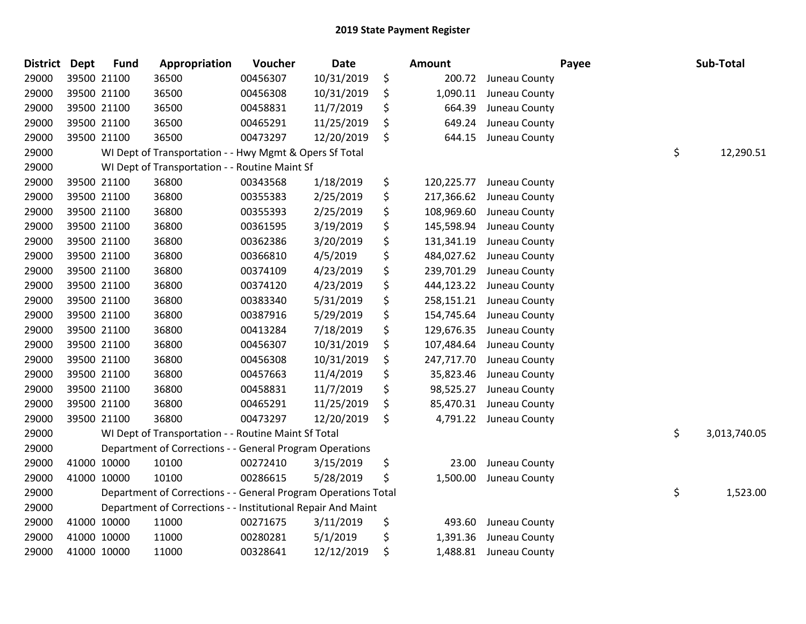| <b>District</b> | <b>Dept</b> | <b>Fund</b> | Appropriation                                                  | Voucher  | Date       | <b>Amount</b>    |               | Payee | Sub-Total          |
|-----------------|-------------|-------------|----------------------------------------------------------------|----------|------------|------------------|---------------|-------|--------------------|
| 29000           |             | 39500 21100 | 36500                                                          | 00456307 | 10/31/2019 | \$<br>200.72     | Juneau County |       |                    |
| 29000           |             | 39500 21100 | 36500                                                          | 00456308 | 10/31/2019 | \$<br>1,090.11   | Juneau County |       |                    |
| 29000           |             | 39500 21100 | 36500                                                          | 00458831 | 11/7/2019  | \$<br>664.39     | Juneau County |       |                    |
| 29000           |             | 39500 21100 | 36500                                                          | 00465291 | 11/25/2019 | \$<br>649.24     | Juneau County |       |                    |
| 29000           |             | 39500 21100 | 36500                                                          | 00473297 | 12/20/2019 | \$<br>644.15     | Juneau County |       |                    |
| 29000           |             |             | WI Dept of Transportation - - Hwy Mgmt & Opers Sf Total        |          |            |                  |               |       | \$<br>12,290.51    |
| 29000           |             |             | WI Dept of Transportation - - Routine Maint Sf                 |          |            |                  |               |       |                    |
| 29000           |             | 39500 21100 | 36800                                                          | 00343568 | 1/18/2019  | \$<br>120,225.77 | Juneau County |       |                    |
| 29000           |             | 39500 21100 | 36800                                                          | 00355383 | 2/25/2019  | \$<br>217,366.62 | Juneau County |       |                    |
| 29000           |             | 39500 21100 | 36800                                                          | 00355393 | 2/25/2019  | \$<br>108,969.60 | Juneau County |       |                    |
| 29000           |             | 39500 21100 | 36800                                                          | 00361595 | 3/19/2019  | \$<br>145,598.94 | Juneau County |       |                    |
| 29000           |             | 39500 21100 | 36800                                                          | 00362386 | 3/20/2019  | \$<br>131,341.19 | Juneau County |       |                    |
| 29000           |             | 39500 21100 | 36800                                                          | 00366810 | 4/5/2019   | \$<br>484,027.62 | Juneau County |       |                    |
| 29000           |             | 39500 21100 | 36800                                                          | 00374109 | 4/23/2019  | \$<br>239,701.29 | Juneau County |       |                    |
| 29000           |             | 39500 21100 | 36800                                                          | 00374120 | 4/23/2019  | \$<br>444,123.22 | Juneau County |       |                    |
| 29000           |             | 39500 21100 | 36800                                                          | 00383340 | 5/31/2019  | \$<br>258,151.21 | Juneau County |       |                    |
| 29000           |             | 39500 21100 | 36800                                                          | 00387916 | 5/29/2019  | \$<br>154,745.64 | Juneau County |       |                    |
| 29000           |             | 39500 21100 | 36800                                                          | 00413284 | 7/18/2019  | \$<br>129,676.35 | Juneau County |       |                    |
| 29000           |             | 39500 21100 | 36800                                                          | 00456307 | 10/31/2019 | \$<br>107,484.64 | Juneau County |       |                    |
| 29000           |             | 39500 21100 | 36800                                                          | 00456308 | 10/31/2019 | \$<br>247,717.70 | Juneau County |       |                    |
| 29000           |             | 39500 21100 | 36800                                                          | 00457663 | 11/4/2019  | \$<br>35,823.46  | Juneau County |       |                    |
| 29000           |             | 39500 21100 | 36800                                                          | 00458831 | 11/7/2019  | \$<br>98,525.27  | Juneau County |       |                    |
| 29000           |             | 39500 21100 | 36800                                                          | 00465291 | 11/25/2019 | \$<br>85,470.31  | Juneau County |       |                    |
| 29000           |             | 39500 21100 | 36800                                                          | 00473297 | 12/20/2019 | \$<br>4,791.22   | Juneau County |       |                    |
| 29000           |             |             | WI Dept of Transportation - - Routine Maint Sf Total           |          |            |                  |               |       | \$<br>3,013,740.05 |
| 29000           |             |             | Department of Corrections - - General Program Operations       |          |            |                  |               |       |                    |
| 29000           |             | 41000 10000 | 10100                                                          | 00272410 | 3/15/2019  | \$<br>23.00      | Juneau County |       |                    |
| 29000           | 41000 10000 |             | 10100                                                          | 00286615 | 5/28/2019  | \$<br>1,500.00   | Juneau County |       |                    |
| 29000           |             |             | Department of Corrections - - General Program Operations Total |          |            |                  |               |       | \$<br>1,523.00     |
| 29000           |             |             | Department of Corrections - - Institutional Repair And Maint   |          |            |                  |               |       |                    |
| 29000           |             | 41000 10000 | 11000                                                          | 00271675 | 3/11/2019  | \$<br>493.60     | Juneau County |       |                    |
| 29000           |             | 41000 10000 | 11000                                                          | 00280281 | 5/1/2019   | \$<br>1,391.36   | Juneau County |       |                    |
| 29000           |             | 41000 10000 | 11000                                                          | 00328641 | 12/12/2019 | \$<br>1,488.81   | Juneau County |       |                    |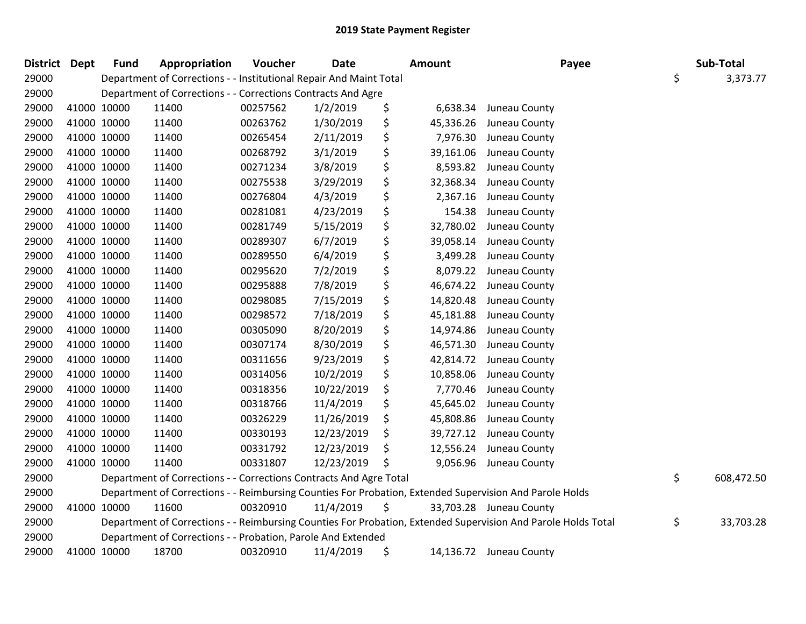| <b>District Dept</b> | <b>Fund</b> | Appropriation                                                      | Voucher  | <b>Date</b> | <b>Amount</b>   | Payee                                                                                                         | Sub-Total |            |
|----------------------|-------------|--------------------------------------------------------------------|----------|-------------|-----------------|---------------------------------------------------------------------------------------------------------------|-----------|------------|
| 29000                |             | Department of Corrections - - Institutional Repair And Maint Total |          |             |                 |                                                                                                               | \$        | 3,373.77   |
| 29000                |             | Department of Corrections - - Corrections Contracts And Agre       |          |             |                 |                                                                                                               |           |            |
| 29000                | 41000 10000 | 11400                                                              | 00257562 | 1/2/2019    | \$<br>6,638.34  | Juneau County                                                                                                 |           |            |
| 29000                | 41000 10000 | 11400                                                              | 00263762 | 1/30/2019   | \$<br>45,336.26 | Juneau County                                                                                                 |           |            |
| 29000                | 41000 10000 | 11400                                                              | 00265454 | 2/11/2019   | \$<br>7,976.30  | Juneau County                                                                                                 |           |            |
| 29000                | 41000 10000 | 11400                                                              | 00268792 | 3/1/2019    | \$<br>39,161.06 | Juneau County                                                                                                 |           |            |
| 29000                | 41000 10000 | 11400                                                              | 00271234 | 3/8/2019    | \$<br>8,593.82  | Juneau County                                                                                                 |           |            |
| 29000                | 41000 10000 | 11400                                                              | 00275538 | 3/29/2019   | \$<br>32,368.34 | Juneau County                                                                                                 |           |            |
| 29000                | 41000 10000 | 11400                                                              | 00276804 | 4/3/2019    | \$<br>2,367.16  | Juneau County                                                                                                 |           |            |
| 29000                | 41000 10000 | 11400                                                              | 00281081 | 4/23/2019   | \$<br>154.38    | Juneau County                                                                                                 |           |            |
| 29000                | 41000 10000 | 11400                                                              | 00281749 | 5/15/2019   | \$<br>32,780.02 | Juneau County                                                                                                 |           |            |
| 29000                | 41000 10000 | 11400                                                              | 00289307 | 6/7/2019    | \$<br>39,058.14 | Juneau County                                                                                                 |           |            |
| 29000                | 41000 10000 | 11400                                                              | 00289550 | 6/4/2019    | \$<br>3,499.28  | Juneau County                                                                                                 |           |            |
| 29000                | 41000 10000 | 11400                                                              | 00295620 | 7/2/2019    | \$<br>8,079.22  | Juneau County                                                                                                 |           |            |
| 29000                | 41000 10000 | 11400                                                              | 00295888 | 7/8/2019    | \$<br>46,674.22 | Juneau County                                                                                                 |           |            |
| 29000                | 41000 10000 | 11400                                                              | 00298085 | 7/15/2019   | \$<br>14,820.48 | Juneau County                                                                                                 |           |            |
| 29000                | 41000 10000 | 11400                                                              | 00298572 | 7/18/2019   | \$<br>45,181.88 | Juneau County                                                                                                 |           |            |
| 29000                | 41000 10000 | 11400                                                              | 00305090 | 8/20/2019   | \$<br>14,974.86 | Juneau County                                                                                                 |           |            |
| 29000                | 41000 10000 | 11400                                                              | 00307174 | 8/30/2019   | \$<br>46,571.30 | Juneau County                                                                                                 |           |            |
| 29000                | 41000 10000 | 11400                                                              | 00311656 | 9/23/2019   | \$<br>42,814.72 | Juneau County                                                                                                 |           |            |
| 29000                | 41000 10000 | 11400                                                              | 00314056 | 10/2/2019   | \$<br>10,858.06 | Juneau County                                                                                                 |           |            |
| 29000                | 41000 10000 | 11400                                                              | 00318356 | 10/22/2019  | \$<br>7,770.46  | Juneau County                                                                                                 |           |            |
| 29000                | 41000 10000 | 11400                                                              | 00318766 | 11/4/2019   | \$<br>45,645.02 | Juneau County                                                                                                 |           |            |
| 29000                | 41000 10000 | 11400                                                              | 00326229 | 11/26/2019  | \$<br>45,808.86 | Juneau County                                                                                                 |           |            |
| 29000                | 41000 10000 | 11400                                                              | 00330193 | 12/23/2019  | \$<br>39,727.12 | Juneau County                                                                                                 |           |            |
| 29000                | 41000 10000 | 11400                                                              | 00331792 | 12/23/2019  | \$<br>12,556.24 | Juneau County                                                                                                 |           |            |
| 29000                | 41000 10000 | 11400                                                              | 00331807 | 12/23/2019  | \$              | 9,056.96 Juneau County                                                                                        |           |            |
| 29000                |             | Department of Corrections - - Corrections Contracts And Agre Total |          |             |                 |                                                                                                               | \$        | 608,472.50 |
| 29000                |             |                                                                    |          |             |                 | Department of Corrections - - Reimbursing Counties For Probation, Extended Supervision And Parole Holds       |           |            |
| 29000                | 41000 10000 | 11600                                                              | 00320910 | 11/4/2019   | \$              | 33,703.28 Juneau County                                                                                       |           |            |
| 29000                |             |                                                                    |          |             |                 | Department of Corrections - - Reimbursing Counties For Probation, Extended Supervision And Parole Holds Total | \$        | 33,703.28  |
| 29000                |             | Department of Corrections - - Probation, Parole And Extended       |          |             |                 |                                                                                                               |           |            |
| 29000                | 41000 10000 | 18700                                                              | 00320910 | 11/4/2019   | \$              | 14,136.72 Juneau County                                                                                       |           |            |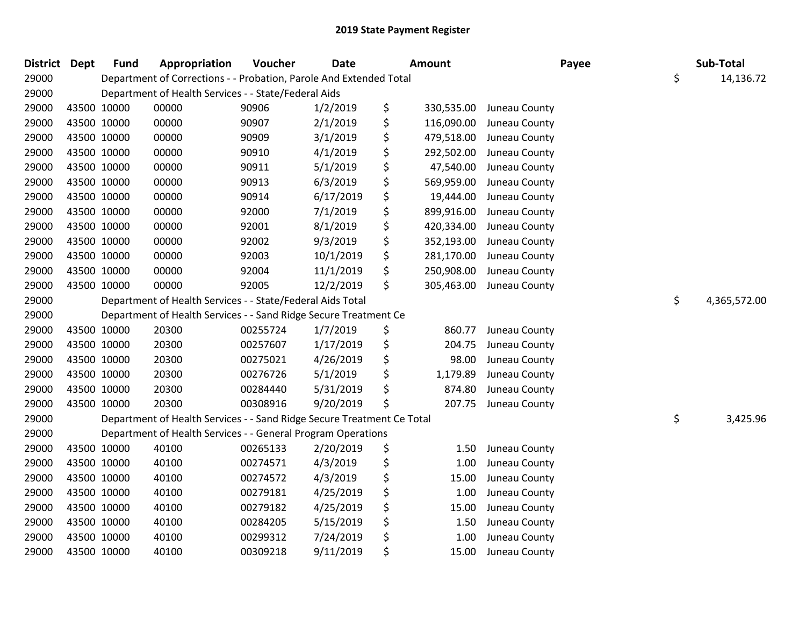| <b>District Dept</b> |             | <b>Fund</b> | Appropriation                                                          | Voucher  | <b>Date</b> | <b>Amount</b>    | Payee         | Sub-Total          |
|----------------------|-------------|-------------|------------------------------------------------------------------------|----------|-------------|------------------|---------------|--------------------|
| 29000                |             |             | Department of Corrections - - Probation, Parole And Extended Total     |          |             |                  |               | \$<br>14,136.72    |
| 29000                |             |             | Department of Health Services - - State/Federal Aids                   |          |             |                  |               |                    |
| 29000                | 43500 10000 |             | 00000                                                                  | 90906    | 1/2/2019    | \$<br>330,535.00 | Juneau County |                    |
| 29000                | 43500 10000 |             | 00000                                                                  | 90907    | 2/1/2019    | \$<br>116,090.00 | Juneau County |                    |
| 29000                | 43500 10000 |             | 00000                                                                  | 90909    | 3/1/2019    | \$<br>479,518.00 | Juneau County |                    |
| 29000                | 43500 10000 |             | 00000                                                                  | 90910    | 4/1/2019    | \$<br>292,502.00 | Juneau County |                    |
| 29000                | 43500 10000 |             | 00000                                                                  | 90911    | 5/1/2019    | \$<br>47,540.00  | Juneau County |                    |
| 29000                | 43500 10000 |             | 00000                                                                  | 90913    | 6/3/2019    | \$<br>569,959.00 | Juneau County |                    |
| 29000                | 43500 10000 |             | 00000                                                                  | 90914    | 6/17/2019   | \$<br>19,444.00  | Juneau County |                    |
| 29000                | 43500 10000 |             | 00000                                                                  | 92000    | 7/1/2019    | \$<br>899,916.00 | Juneau County |                    |
| 29000                | 43500 10000 |             | 00000                                                                  | 92001    | 8/1/2019    | \$<br>420,334.00 | Juneau County |                    |
| 29000                | 43500 10000 |             | 00000                                                                  | 92002    | 9/3/2019    | \$<br>352,193.00 | Juneau County |                    |
| 29000                | 43500 10000 |             | 00000                                                                  | 92003    | 10/1/2019   | \$<br>281,170.00 | Juneau County |                    |
| 29000                | 43500 10000 |             | 00000                                                                  | 92004    | 11/1/2019   | \$<br>250,908.00 | Juneau County |                    |
| 29000                | 43500 10000 |             | 00000                                                                  | 92005    | 12/2/2019   | \$<br>305,463.00 | Juneau County |                    |
| 29000                |             |             | Department of Health Services - - State/Federal Aids Total             |          |             |                  |               | \$<br>4,365,572.00 |
| 29000                |             |             | Department of Health Services - - Sand Ridge Secure Treatment Ce       |          |             |                  |               |                    |
| 29000                | 43500 10000 |             | 20300                                                                  | 00255724 | 1/7/2019    | \$<br>860.77     | Juneau County |                    |
| 29000                | 43500 10000 |             | 20300                                                                  | 00257607 | 1/17/2019   | \$<br>204.75     | Juneau County |                    |
| 29000                | 43500 10000 |             | 20300                                                                  | 00275021 | 4/26/2019   | \$<br>98.00      | Juneau County |                    |
| 29000                | 43500 10000 |             | 20300                                                                  | 00276726 | 5/1/2019    | \$<br>1,179.89   | Juneau County |                    |
| 29000                | 43500 10000 |             | 20300                                                                  | 00284440 | 5/31/2019   | \$<br>874.80     | Juneau County |                    |
| 29000                | 43500 10000 |             | 20300                                                                  | 00308916 | 9/20/2019   | \$<br>207.75     | Juneau County |                    |
| 29000                |             |             | Department of Health Services - - Sand Ridge Secure Treatment Ce Total |          |             |                  |               | \$<br>3,425.96     |
| 29000                |             |             | Department of Health Services - - General Program Operations           |          |             |                  |               |                    |
| 29000                |             | 43500 10000 | 40100                                                                  | 00265133 | 2/20/2019   | \$<br>1.50       | Juneau County |                    |
| 29000                | 43500 10000 |             | 40100                                                                  | 00274571 | 4/3/2019    | \$<br>1.00       | Juneau County |                    |
| 29000                | 43500 10000 |             | 40100                                                                  | 00274572 | 4/3/2019    | \$<br>15.00      | Juneau County |                    |
| 29000                | 43500 10000 |             | 40100                                                                  | 00279181 | 4/25/2019   | \$<br>1.00       | Juneau County |                    |
| 29000                | 43500 10000 |             | 40100                                                                  | 00279182 | 4/25/2019   | \$<br>15.00      | Juneau County |                    |
| 29000                | 43500 10000 |             | 40100                                                                  | 00284205 | 5/15/2019   | \$<br>1.50       | Juneau County |                    |
| 29000                | 43500 10000 |             | 40100                                                                  | 00299312 | 7/24/2019   | \$<br>1.00       | Juneau County |                    |
| 29000                | 43500 10000 |             | 40100                                                                  | 00309218 | 9/11/2019   | \$<br>15.00      | Juneau County |                    |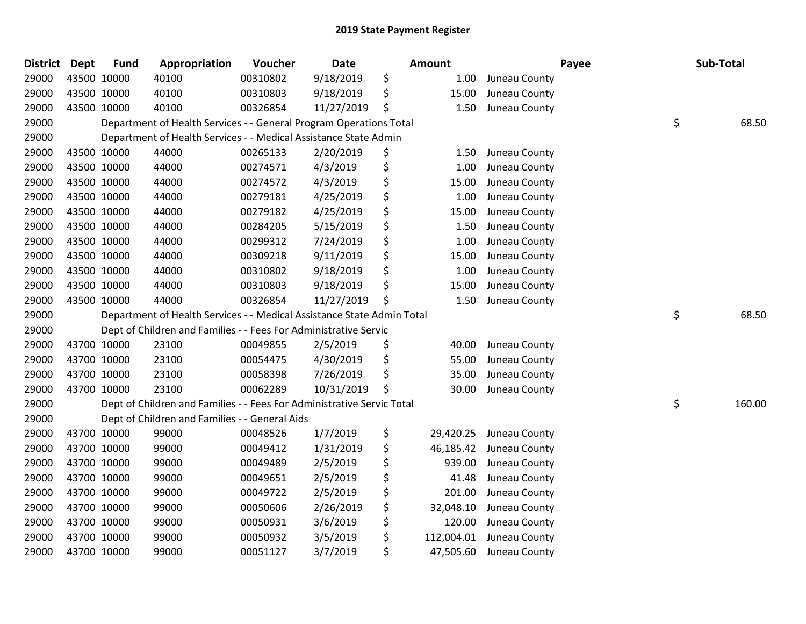| <b>District</b> | Dept        | <b>Fund</b> | Appropriation                                                          | Voucher  | Date       | Amount           |               | Payee | Sub-Total    |
|-----------------|-------------|-------------|------------------------------------------------------------------------|----------|------------|------------------|---------------|-------|--------------|
| 29000           | 43500 10000 |             | 40100                                                                  | 00310802 | 9/18/2019  | \$<br>1.00       | Juneau County |       |              |
| 29000           | 43500 10000 |             | 40100                                                                  | 00310803 | 9/18/2019  | \$<br>15.00      | Juneau County |       |              |
| 29000           | 43500 10000 |             | 40100                                                                  | 00326854 | 11/27/2019 | \$<br>1.50       | Juneau County |       |              |
| 29000           |             |             | Department of Health Services - - General Program Operations Total     |          |            |                  |               |       | \$<br>68.50  |
| 29000           |             |             | Department of Health Services - - Medical Assistance State Admin       |          |            |                  |               |       |              |
| 29000           | 43500 10000 |             | 44000                                                                  | 00265133 | 2/20/2019  | \$<br>1.50       | Juneau County |       |              |
| 29000           | 43500 10000 |             | 44000                                                                  | 00274571 | 4/3/2019   | \$<br>1.00       | Juneau County |       |              |
| 29000           | 43500 10000 |             | 44000                                                                  | 00274572 | 4/3/2019   | \$<br>15.00      | Juneau County |       |              |
| 29000           | 43500 10000 |             | 44000                                                                  | 00279181 | 4/25/2019  | \$<br>1.00       | Juneau County |       |              |
| 29000           | 43500 10000 |             | 44000                                                                  | 00279182 | 4/25/2019  | \$<br>15.00      | Juneau County |       |              |
| 29000           | 43500 10000 |             | 44000                                                                  | 00284205 | 5/15/2019  | \$<br>1.50       | Juneau County |       |              |
| 29000           | 43500 10000 |             | 44000                                                                  | 00299312 | 7/24/2019  | \$<br>1.00       | Juneau County |       |              |
| 29000           | 43500 10000 |             | 44000                                                                  | 00309218 | 9/11/2019  | \$<br>15.00      | Juneau County |       |              |
| 29000           | 43500 10000 |             | 44000                                                                  | 00310802 | 9/18/2019  | \$<br>1.00       | Juneau County |       |              |
| 29000           | 43500 10000 |             | 44000                                                                  | 00310803 | 9/18/2019  | \$<br>15.00      | Juneau County |       |              |
| 29000           | 43500 10000 |             | 44000                                                                  | 00326854 | 11/27/2019 | \$<br>1.50       | Juneau County |       |              |
| 29000           |             |             | Department of Health Services - - Medical Assistance State Admin Total |          |            |                  |               |       | \$<br>68.50  |
| 29000           |             |             | Dept of Children and Families - - Fees For Administrative Servic       |          |            |                  |               |       |              |
| 29000           | 43700 10000 |             | 23100                                                                  | 00049855 | 2/5/2019   | \$<br>40.00      | Juneau County |       |              |
| 29000           | 43700 10000 |             | 23100                                                                  | 00054475 | 4/30/2019  | \$<br>55.00      | Juneau County |       |              |
| 29000           | 43700 10000 |             | 23100                                                                  | 00058398 | 7/26/2019  | \$<br>35.00      | Juneau County |       |              |
| 29000           | 43700 10000 |             | 23100                                                                  | 00062289 | 10/31/2019 | \$<br>30.00      | Juneau County |       |              |
| 29000           |             |             | Dept of Children and Families - - Fees For Administrative Servic Total |          |            |                  |               |       | \$<br>160.00 |
| 29000           |             |             | Dept of Children and Families - - General Aids                         |          |            |                  |               |       |              |
| 29000           | 43700 10000 |             | 99000                                                                  | 00048526 | 1/7/2019   | \$<br>29,420.25  | Juneau County |       |              |
| 29000           | 43700 10000 |             | 99000                                                                  | 00049412 | 1/31/2019  | \$<br>46,185.42  | Juneau County |       |              |
| 29000           | 43700 10000 |             | 99000                                                                  | 00049489 | 2/5/2019   | \$<br>939.00     | Juneau County |       |              |
| 29000           | 43700 10000 |             | 99000                                                                  | 00049651 | 2/5/2019   | \$<br>41.48      | Juneau County |       |              |
| 29000           | 43700 10000 |             | 99000                                                                  | 00049722 | 2/5/2019   | \$<br>201.00     | Juneau County |       |              |
| 29000           | 43700 10000 |             | 99000                                                                  | 00050606 | 2/26/2019  | \$<br>32,048.10  | Juneau County |       |              |
| 29000           | 43700 10000 |             | 99000                                                                  | 00050931 | 3/6/2019   | \$<br>120.00     | Juneau County |       |              |
| 29000           | 43700 10000 |             | 99000                                                                  | 00050932 | 3/5/2019   | \$<br>112,004.01 | Juneau County |       |              |
| 29000           | 43700 10000 |             | 99000                                                                  | 00051127 | 3/7/2019   | \$<br>47,505.60  | Juneau County |       |              |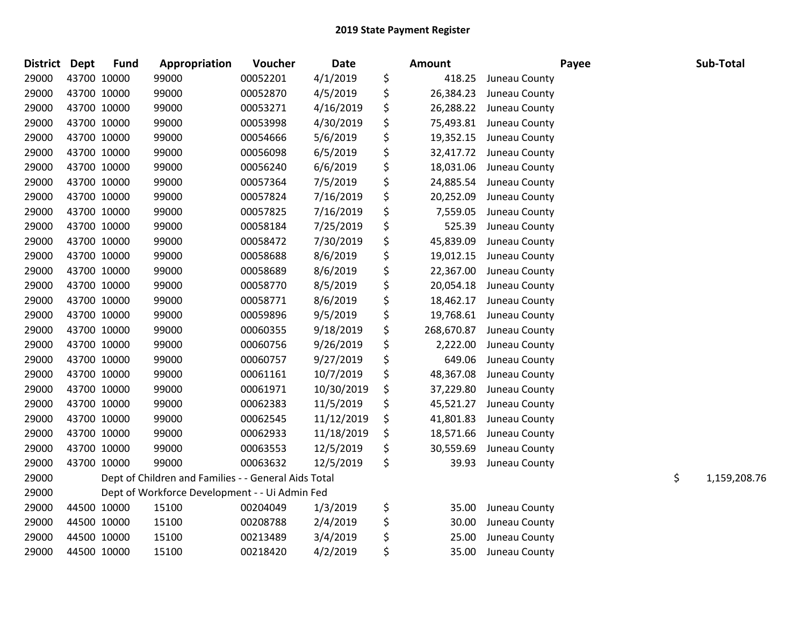| District Dept |             | <b>Fund</b> | Appropriation                                        | Voucher  | <b>Date</b> | Amount           |               | Payee | Sub-Total          |
|---------------|-------------|-------------|------------------------------------------------------|----------|-------------|------------------|---------------|-------|--------------------|
| 29000         | 43700 10000 |             | 99000                                                | 00052201 | 4/1/2019    | \$<br>418.25     | Juneau County |       |                    |
| 29000         | 43700 10000 |             | 99000                                                | 00052870 | 4/5/2019    | \$<br>26,384.23  | Juneau County |       |                    |
| 29000         | 43700 10000 |             | 99000                                                | 00053271 | 4/16/2019   | \$<br>26,288.22  | Juneau County |       |                    |
| 29000         | 43700 10000 |             | 99000                                                | 00053998 | 4/30/2019   | \$<br>75,493.81  | Juneau County |       |                    |
| 29000         | 43700 10000 |             | 99000                                                | 00054666 | 5/6/2019    | \$<br>19,352.15  | Juneau County |       |                    |
| 29000         | 43700 10000 |             | 99000                                                | 00056098 | 6/5/2019    | \$<br>32,417.72  | Juneau County |       |                    |
| 29000         | 43700 10000 |             | 99000                                                | 00056240 | 6/6/2019    | \$<br>18,031.06  | Juneau County |       |                    |
| 29000         | 43700 10000 |             | 99000                                                | 00057364 | 7/5/2019    | \$<br>24,885.54  | Juneau County |       |                    |
| 29000         | 43700 10000 |             | 99000                                                | 00057824 | 7/16/2019   | \$<br>20,252.09  | Juneau County |       |                    |
| 29000         | 43700 10000 |             | 99000                                                | 00057825 | 7/16/2019   | \$<br>7,559.05   | Juneau County |       |                    |
| 29000         | 43700 10000 |             | 99000                                                | 00058184 | 7/25/2019   | \$<br>525.39     | Juneau County |       |                    |
| 29000         | 43700 10000 |             | 99000                                                | 00058472 | 7/30/2019   | \$<br>45,839.09  | Juneau County |       |                    |
| 29000         | 43700 10000 |             | 99000                                                | 00058688 | 8/6/2019    | \$<br>19,012.15  | Juneau County |       |                    |
| 29000         | 43700 10000 |             | 99000                                                | 00058689 | 8/6/2019    | \$<br>22,367.00  | Juneau County |       |                    |
| 29000         | 43700 10000 |             | 99000                                                | 00058770 | 8/5/2019    | \$<br>20,054.18  | Juneau County |       |                    |
| 29000         | 43700 10000 |             | 99000                                                | 00058771 | 8/6/2019    | \$<br>18,462.17  | Juneau County |       |                    |
| 29000         | 43700 10000 |             | 99000                                                | 00059896 | 9/5/2019    | \$<br>19,768.61  | Juneau County |       |                    |
| 29000         | 43700 10000 |             | 99000                                                | 00060355 | 9/18/2019   | \$<br>268,670.87 | Juneau County |       |                    |
| 29000         | 43700 10000 |             | 99000                                                | 00060756 | 9/26/2019   | \$<br>2,222.00   | Juneau County |       |                    |
| 29000         | 43700 10000 |             | 99000                                                | 00060757 | 9/27/2019   | \$<br>649.06     | Juneau County |       |                    |
| 29000         | 43700 10000 |             | 99000                                                | 00061161 | 10/7/2019   | \$<br>48,367.08  | Juneau County |       |                    |
| 29000         | 43700 10000 |             | 99000                                                | 00061971 | 10/30/2019  | \$<br>37,229.80  | Juneau County |       |                    |
| 29000         | 43700 10000 |             | 99000                                                | 00062383 | 11/5/2019   | \$<br>45,521.27  | Juneau County |       |                    |
| 29000         | 43700 10000 |             | 99000                                                | 00062545 | 11/12/2019  | \$<br>41,801.83  | Juneau County |       |                    |
| 29000         | 43700 10000 |             | 99000                                                | 00062933 | 11/18/2019  | \$<br>18,571.66  | Juneau County |       |                    |
| 29000         | 43700 10000 |             | 99000                                                | 00063553 | 12/5/2019   | \$<br>30,559.69  | Juneau County |       |                    |
| 29000         | 43700 10000 |             | 99000                                                | 00063632 | 12/5/2019   | \$<br>39.93      | Juneau County |       |                    |
| 29000         |             |             | Dept of Children and Families - - General Aids Total |          |             |                  |               |       | \$<br>1,159,208.76 |
| 29000         |             |             | Dept of Workforce Development - - Ui Admin Fed       |          |             |                  |               |       |                    |
| 29000         | 44500 10000 |             | 15100                                                | 00204049 | 1/3/2019    | \$<br>35.00      | Juneau County |       |                    |
| 29000         | 44500 10000 |             | 15100                                                | 00208788 | 2/4/2019    | \$<br>30.00      | Juneau County |       |                    |
| 29000         | 44500 10000 |             | 15100                                                | 00213489 | 3/4/2019    | \$<br>25.00      | Juneau County |       |                    |
| 29000         | 44500 10000 |             | 15100                                                | 00218420 | 4/2/2019    | \$<br>35.00      | Juneau County |       |                    |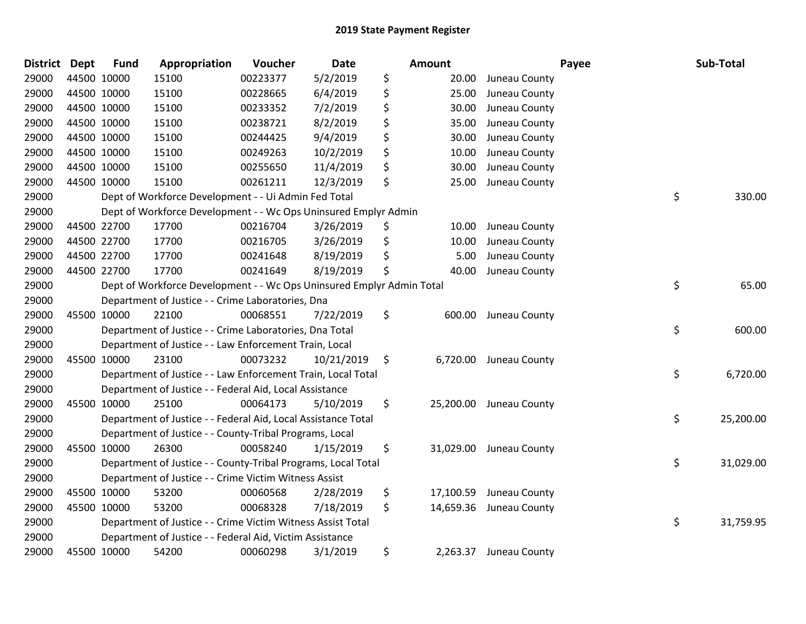| <b>District Dept</b> |             | <b>Fund</b> | Appropriation                                                         | Voucher  | <b>Date</b> | <b>Amount</b>   |                         | Payee | Sub-Total |
|----------------------|-------------|-------------|-----------------------------------------------------------------------|----------|-------------|-----------------|-------------------------|-------|-----------|
| 29000                |             | 44500 10000 | 15100                                                                 | 00223377 | 5/2/2019    | \$<br>20.00     | Juneau County           |       |           |
| 29000                |             | 44500 10000 | 15100                                                                 | 00228665 | 6/4/2019    | \$<br>25.00     | Juneau County           |       |           |
| 29000                | 44500 10000 |             | 15100                                                                 | 00233352 | 7/2/2019    | \$<br>30.00     | Juneau County           |       |           |
| 29000                |             | 44500 10000 | 15100                                                                 | 00238721 | 8/2/2019    | \$<br>35.00     | Juneau County           |       |           |
| 29000                |             | 44500 10000 | 15100                                                                 | 00244425 | 9/4/2019    | \$<br>30.00     | Juneau County           |       |           |
| 29000                |             | 44500 10000 | 15100                                                                 | 00249263 | 10/2/2019   | \$<br>10.00     | Juneau County           |       |           |
| 29000                |             | 44500 10000 | 15100                                                                 | 00255650 | 11/4/2019   | \$<br>30.00     | Juneau County           |       |           |
| 29000                |             | 44500 10000 | 15100                                                                 | 00261211 | 12/3/2019   | \$<br>25.00     | Juneau County           |       |           |
| 29000                |             |             | Dept of Workforce Development - - Ui Admin Fed Total                  |          |             |                 |                         | \$    | 330.00    |
| 29000                |             |             | Dept of Workforce Development - - Wc Ops Uninsured Emplyr Admin       |          |             |                 |                         |       |           |
| 29000                |             | 44500 22700 | 17700                                                                 | 00216704 | 3/26/2019   | \$<br>10.00     | Juneau County           |       |           |
| 29000                |             | 44500 22700 | 17700                                                                 | 00216705 | 3/26/2019   | \$<br>10.00     | Juneau County           |       |           |
| 29000                | 44500 22700 |             | 17700                                                                 | 00241648 | 8/19/2019   | \$<br>5.00      | Juneau County           |       |           |
| 29000                |             | 44500 22700 | 17700                                                                 | 00241649 | 8/19/2019   | \$<br>40.00     | Juneau County           |       |           |
| 29000                |             |             | Dept of Workforce Development - - Wc Ops Uninsured Emplyr Admin Total |          |             |                 |                         | \$    | 65.00     |
| 29000                |             |             | Department of Justice - - Crime Laboratories, Dna                     |          |             |                 |                         |       |           |
| 29000                |             | 45500 10000 | 22100                                                                 | 00068551 | 7/22/2019   | \$<br>600.00    | Juneau County           |       |           |
| 29000                |             |             | Department of Justice - - Crime Laboratories, Dna Total               |          |             |                 |                         | \$    | 600.00    |
| 29000                |             |             | Department of Justice - - Law Enforcement Train, Local                |          |             |                 |                         |       |           |
| 29000                |             | 45500 10000 | 23100                                                                 | 00073232 | 10/21/2019  | \$<br>6,720.00  | Juneau County           |       |           |
| 29000                |             |             | Department of Justice - - Law Enforcement Train, Local Total          |          |             |                 |                         | \$    | 6,720.00  |
| 29000                |             |             | Department of Justice - - Federal Aid, Local Assistance               |          |             |                 |                         |       |           |
| 29000                |             | 45500 10000 | 25100                                                                 | 00064173 | 5/10/2019   | \$              | 25,200.00 Juneau County |       |           |
| 29000                |             |             | Department of Justice - - Federal Aid, Local Assistance Total         |          |             |                 |                         | \$    | 25,200.00 |
| 29000                |             |             | Department of Justice - - County-Tribal Programs, Local               |          |             |                 |                         |       |           |
| 29000                |             | 45500 10000 | 26300                                                                 | 00058240 | 1/15/2019   | \$<br>31,029.00 | Juneau County           |       |           |
| 29000                |             |             | Department of Justice - - County-Tribal Programs, Local Total         |          |             |                 |                         | \$    | 31,029.00 |
| 29000                |             |             | Department of Justice - - Crime Victim Witness Assist                 |          |             |                 |                         |       |           |
| 29000                |             | 45500 10000 | 53200                                                                 | 00060568 | 2/28/2019   | \$<br>17,100.59 | Juneau County           |       |           |
| 29000                |             | 45500 10000 | 53200                                                                 | 00068328 | 7/18/2019   | \$<br>14,659.36 | Juneau County           |       |           |
| 29000                |             |             | Department of Justice - - Crime Victim Witness Assist Total           |          |             |                 |                         | \$    | 31,759.95 |
| 29000                |             |             | Department of Justice - - Federal Aid, Victim Assistance              |          |             |                 |                         |       |           |
| 29000                |             | 45500 10000 | 54200                                                                 | 00060298 | 3/1/2019    | \$<br>2,263.37  | Juneau County           |       |           |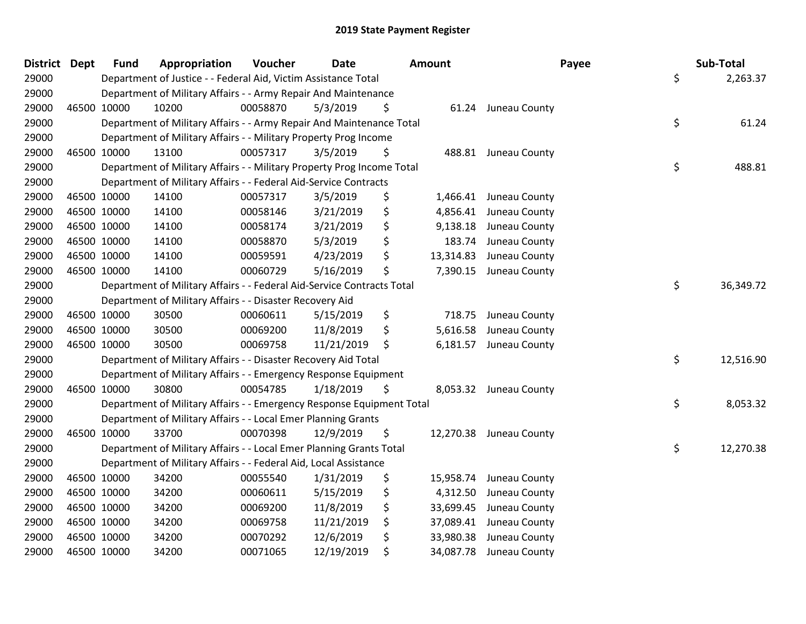| <b>District Dept</b> |             | <b>Fund</b> | Appropriation                                                          | Voucher  | <b>Date</b> | <b>Amount</b>   | Payee                   | Sub-Total       |
|----------------------|-------------|-------------|------------------------------------------------------------------------|----------|-------------|-----------------|-------------------------|-----------------|
| 29000                |             |             | Department of Justice - - Federal Aid, Victim Assistance Total         |          |             |                 |                         | \$<br>2,263.37  |
| 29000                |             |             | Department of Military Affairs - - Army Repair And Maintenance         |          |             |                 |                         |                 |
| 29000                | 46500 10000 |             | 10200                                                                  | 00058870 | 5/3/2019    | \$              | 61.24 Juneau County     |                 |
| 29000                |             |             | Department of Military Affairs - - Army Repair And Maintenance Total   |          |             |                 |                         | \$<br>61.24     |
| 29000                |             |             | Department of Military Affairs - - Military Property Prog Income       |          |             |                 |                         |                 |
| 29000                | 46500 10000 |             | 13100                                                                  | 00057317 | 3/5/2019    | \$              | 488.81 Juneau County    |                 |
| 29000                |             |             | Department of Military Affairs - - Military Property Prog Income Total |          |             |                 |                         | \$<br>488.81    |
| 29000                |             |             | Department of Military Affairs - - Federal Aid-Service Contracts       |          |             |                 |                         |                 |
| 29000                | 46500 10000 |             | 14100                                                                  | 00057317 | 3/5/2019    | \$<br>1,466.41  | Juneau County           |                 |
| 29000                | 46500 10000 |             | 14100                                                                  | 00058146 | 3/21/2019   | \$<br>4,856.41  | Juneau County           |                 |
| 29000                | 46500 10000 |             | 14100                                                                  | 00058174 | 3/21/2019   | \$<br>9,138.18  | Juneau County           |                 |
| 29000                | 46500 10000 |             | 14100                                                                  | 00058870 | 5/3/2019    | \$<br>183.74    | Juneau County           |                 |
| 29000                | 46500 10000 |             | 14100                                                                  | 00059591 | 4/23/2019   | \$<br>13,314.83 | Juneau County           |                 |
| 29000                | 46500 10000 |             | 14100                                                                  | 00060729 | 5/16/2019   | \$              | 7,390.15 Juneau County  |                 |
| 29000                |             |             | Department of Military Affairs - - Federal Aid-Service Contracts Total |          |             |                 |                         | \$<br>36,349.72 |
| 29000                |             |             | Department of Military Affairs - - Disaster Recovery Aid               |          |             |                 |                         |                 |
| 29000                | 46500 10000 |             | 30500                                                                  | 00060611 | 5/15/2019   | \$<br>718.75    | Juneau County           |                 |
| 29000                | 46500 10000 |             | 30500                                                                  | 00069200 | 11/8/2019   | \$<br>5,616.58  | Juneau County           |                 |
| 29000                | 46500 10000 |             | 30500                                                                  | 00069758 | 11/21/2019  | \$              | 6,181.57 Juneau County  |                 |
| 29000                |             |             | Department of Military Affairs - - Disaster Recovery Aid Total         |          |             |                 |                         | \$<br>12,516.90 |
| 29000                |             |             | Department of Military Affairs - - Emergency Response Equipment        |          |             |                 |                         |                 |
| 29000                | 46500 10000 |             | 30800                                                                  | 00054785 | 1/18/2019   | \$              | 8,053.32 Juneau County  |                 |
| 29000                |             |             | Department of Military Affairs - - Emergency Response Equipment Total  |          |             |                 |                         | \$<br>8,053.32  |
| 29000                |             |             | Department of Military Affairs - - Local Emer Planning Grants          |          |             |                 |                         |                 |
| 29000                | 46500 10000 |             | 33700                                                                  | 00070398 | 12/9/2019   | \$              | 12,270.38 Juneau County |                 |
| 29000                |             |             | Department of Military Affairs - - Local Emer Planning Grants Total    |          |             |                 |                         | \$<br>12,270.38 |
| 29000                |             |             | Department of Military Affairs - - Federal Aid, Local Assistance       |          |             |                 |                         |                 |
| 29000                | 46500 10000 |             | 34200                                                                  | 00055540 | 1/31/2019   | \$<br>15,958.74 | Juneau County           |                 |
| 29000                | 46500 10000 |             | 34200                                                                  | 00060611 | 5/15/2019   | \$<br>4,312.50  | Juneau County           |                 |
| 29000                | 46500 10000 |             | 34200                                                                  | 00069200 | 11/8/2019   | \$<br>33,699.45 | Juneau County           |                 |
| 29000                | 46500 10000 |             | 34200                                                                  | 00069758 | 11/21/2019  | \$<br>37,089.41 | Juneau County           |                 |
| 29000                | 46500 10000 |             | 34200                                                                  | 00070292 | 12/6/2019   | \$<br>33,980.38 | Juneau County           |                 |
| 29000                | 46500 10000 |             | 34200                                                                  | 00071065 | 12/19/2019  | \$<br>34,087.78 | Juneau County           |                 |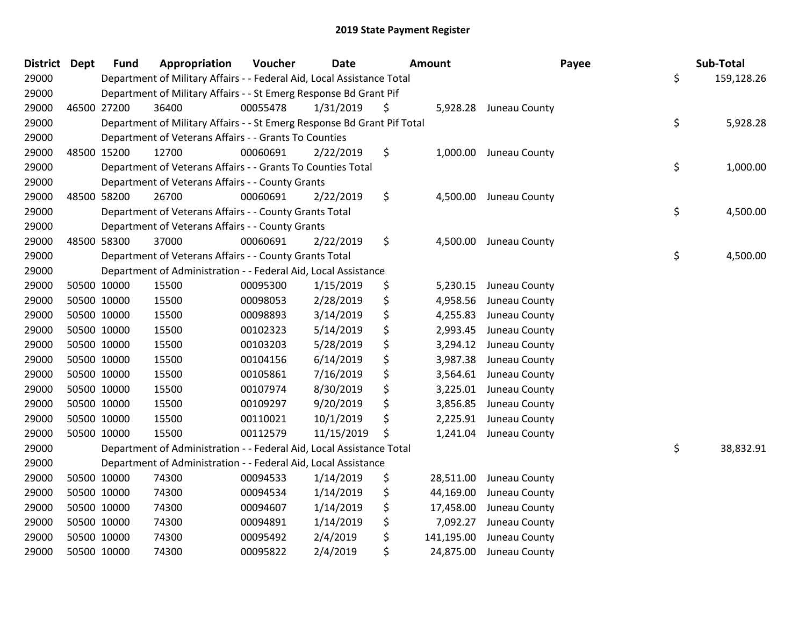|       | <b>District Dept</b> | <b>Fund</b> | Appropriation                                                           | Voucher  | <b>Date</b> | <b>Amount</b>    | Payee                  | Sub-Total        |
|-------|----------------------|-------------|-------------------------------------------------------------------------|----------|-------------|------------------|------------------------|------------------|
| 29000 |                      |             | Department of Military Affairs - - Federal Aid, Local Assistance Total  |          |             |                  |                        | \$<br>159,128.26 |
| 29000 |                      |             | Department of Military Affairs - - St Emerg Response Bd Grant Pif       |          |             |                  |                        |                  |
| 29000 |                      | 46500 27200 | 36400                                                                   | 00055478 | 1/31/2019   | \$               | 5,928.28 Juneau County |                  |
| 29000 |                      |             | Department of Military Affairs - - St Emerg Response Bd Grant Pif Total |          |             |                  |                        | \$<br>5,928.28   |
| 29000 |                      |             | Department of Veterans Affairs - - Grants To Counties                   |          |             |                  |                        |                  |
| 29000 |                      | 48500 15200 | 12700                                                                   | 00060691 | 2/22/2019   | \$<br>1,000.00   | Juneau County          |                  |
| 29000 |                      |             | Department of Veterans Affairs - - Grants To Counties Total             |          |             |                  |                        | \$<br>1,000.00   |
| 29000 |                      |             | Department of Veterans Affairs - - County Grants                        |          |             |                  |                        |                  |
| 29000 |                      | 48500 58200 | 26700                                                                   | 00060691 | 2/22/2019   | \$               | 4,500.00 Juneau County |                  |
| 29000 |                      |             | Department of Veterans Affairs - - County Grants Total                  |          |             |                  |                        | \$<br>4,500.00   |
| 29000 |                      |             | Department of Veterans Affairs - - County Grants                        |          |             |                  |                        |                  |
| 29000 |                      | 48500 58300 | 37000                                                                   | 00060691 | 2/22/2019   | \$<br>4,500.00   | Juneau County          |                  |
| 29000 |                      |             | Department of Veterans Affairs - - County Grants Total                  |          |             |                  |                        | \$<br>4,500.00   |
| 29000 |                      |             | Department of Administration - - Federal Aid, Local Assistance          |          |             |                  |                        |                  |
| 29000 |                      | 50500 10000 | 15500                                                                   | 00095300 | 1/15/2019   | \$               | 5,230.15 Juneau County |                  |
| 29000 |                      | 50500 10000 | 15500                                                                   | 00098053 | 2/28/2019   | \$<br>4,958.56   | Juneau County          |                  |
| 29000 |                      | 50500 10000 | 15500                                                                   | 00098893 | 3/14/2019   | \$<br>4,255.83   | Juneau County          |                  |
| 29000 |                      | 50500 10000 | 15500                                                                   | 00102323 | 5/14/2019   | \$<br>2,993.45   | Juneau County          |                  |
| 29000 |                      | 50500 10000 | 15500                                                                   | 00103203 | 5/28/2019   | \$<br>3,294.12   | Juneau County          |                  |
| 29000 |                      | 50500 10000 | 15500                                                                   | 00104156 | 6/14/2019   | \$<br>3,987.38   | Juneau County          |                  |
| 29000 |                      | 50500 10000 | 15500                                                                   | 00105861 | 7/16/2019   | \$<br>3,564.61   | Juneau County          |                  |
| 29000 |                      | 50500 10000 | 15500                                                                   | 00107974 | 8/30/2019   | \$<br>3,225.01   | Juneau County          |                  |
| 29000 |                      | 50500 10000 | 15500                                                                   | 00109297 | 9/20/2019   | \$<br>3,856.85   | Juneau County          |                  |
| 29000 |                      | 50500 10000 | 15500                                                                   | 00110021 | 10/1/2019   | \$<br>2,225.91   | Juneau County          |                  |
| 29000 |                      | 50500 10000 | 15500                                                                   | 00112579 | 11/15/2019  | \$               | 1,241.04 Juneau County |                  |
| 29000 |                      |             | Department of Administration - - Federal Aid, Local Assistance Total    |          |             |                  |                        | \$<br>38,832.91  |
| 29000 |                      |             | Department of Administration - - Federal Aid, Local Assistance          |          |             |                  |                        |                  |
| 29000 |                      | 50500 10000 | 74300                                                                   | 00094533 | 1/14/2019   | \$<br>28,511.00  | Juneau County          |                  |
| 29000 |                      | 50500 10000 | 74300                                                                   | 00094534 | 1/14/2019   | \$<br>44,169.00  | Juneau County          |                  |
| 29000 |                      | 50500 10000 | 74300                                                                   | 00094607 | 1/14/2019   | \$<br>17,458.00  | Juneau County          |                  |
| 29000 | 50500 10000          |             | 74300                                                                   | 00094891 | 1/14/2019   | \$<br>7,092.27   | Juneau County          |                  |
| 29000 | 50500 10000          |             | 74300                                                                   | 00095492 | 2/4/2019    | \$<br>141,195.00 | Juneau County          |                  |
| 29000 | 50500 10000          |             | 74300                                                                   | 00095822 | 2/4/2019    | \$<br>24,875.00  | Juneau County          |                  |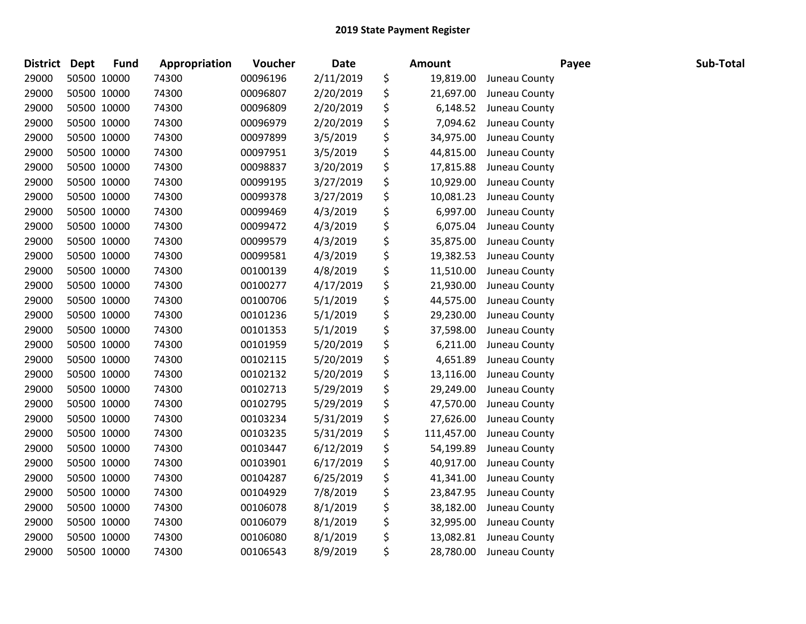| District | Dept        | <b>Fund</b> | Appropriation | Voucher  | <b>Date</b> | Amount           |               | Payee | Sub-Total |
|----------|-------------|-------------|---------------|----------|-------------|------------------|---------------|-------|-----------|
| 29000    | 50500 10000 |             | 74300         | 00096196 | 2/11/2019   | \$<br>19,819.00  | Juneau County |       |           |
| 29000    | 50500 10000 |             | 74300         | 00096807 | 2/20/2019   | \$<br>21,697.00  | Juneau County |       |           |
| 29000    | 50500 10000 |             | 74300         | 00096809 | 2/20/2019   | \$<br>6,148.52   | Juneau County |       |           |
| 29000    | 50500 10000 |             | 74300         | 00096979 | 2/20/2019   | \$<br>7,094.62   | Juneau County |       |           |
| 29000    | 50500 10000 |             | 74300         | 00097899 | 3/5/2019    | \$<br>34,975.00  | Juneau County |       |           |
| 29000    | 50500 10000 |             | 74300         | 00097951 | 3/5/2019    | \$<br>44,815.00  | Juneau County |       |           |
| 29000    | 50500 10000 |             | 74300         | 00098837 | 3/20/2019   | \$<br>17,815.88  | Juneau County |       |           |
| 29000    | 50500 10000 |             | 74300         | 00099195 | 3/27/2019   | \$<br>10,929.00  | Juneau County |       |           |
| 29000    | 50500 10000 |             | 74300         | 00099378 | 3/27/2019   | \$<br>10,081.23  | Juneau County |       |           |
| 29000    | 50500 10000 |             | 74300         | 00099469 | 4/3/2019    | \$<br>6,997.00   | Juneau County |       |           |
| 29000    | 50500 10000 |             | 74300         | 00099472 | 4/3/2019    | \$<br>6,075.04   | Juneau County |       |           |
| 29000    | 50500 10000 |             | 74300         | 00099579 | 4/3/2019    | \$<br>35,875.00  | Juneau County |       |           |
| 29000    | 50500 10000 |             | 74300         | 00099581 | 4/3/2019    | \$<br>19,382.53  | Juneau County |       |           |
| 29000    | 50500 10000 |             | 74300         | 00100139 | 4/8/2019    | \$<br>11,510.00  | Juneau County |       |           |
| 29000    | 50500 10000 |             | 74300         | 00100277 | 4/17/2019   | \$<br>21,930.00  | Juneau County |       |           |
| 29000    | 50500 10000 |             | 74300         | 00100706 | 5/1/2019    | \$<br>44,575.00  | Juneau County |       |           |
| 29000    | 50500 10000 |             | 74300         | 00101236 | 5/1/2019    | \$<br>29,230.00  | Juneau County |       |           |
| 29000    | 50500 10000 |             | 74300         | 00101353 | 5/1/2019    | \$<br>37,598.00  | Juneau County |       |           |
| 29000    | 50500 10000 |             | 74300         | 00101959 | 5/20/2019   | \$<br>6,211.00   | Juneau County |       |           |
| 29000    | 50500 10000 |             | 74300         | 00102115 | 5/20/2019   | \$<br>4,651.89   | Juneau County |       |           |
| 29000    | 50500 10000 |             | 74300         | 00102132 | 5/20/2019   | \$<br>13,116.00  | Juneau County |       |           |
| 29000    | 50500 10000 |             | 74300         | 00102713 | 5/29/2019   | \$<br>29,249.00  | Juneau County |       |           |
| 29000    | 50500 10000 |             | 74300         | 00102795 | 5/29/2019   | \$<br>47,570.00  | Juneau County |       |           |
| 29000    | 50500 10000 |             | 74300         | 00103234 | 5/31/2019   | \$<br>27,626.00  | Juneau County |       |           |
| 29000    | 50500 10000 |             | 74300         | 00103235 | 5/31/2019   | \$<br>111,457.00 | Juneau County |       |           |
| 29000    | 50500 10000 |             | 74300         | 00103447 | 6/12/2019   | \$<br>54,199.89  | Juneau County |       |           |
| 29000    | 50500 10000 |             | 74300         | 00103901 | 6/17/2019   | \$<br>40,917.00  | Juneau County |       |           |
| 29000    | 50500 10000 |             | 74300         | 00104287 | 6/25/2019   | \$<br>41,341.00  | Juneau County |       |           |
| 29000    | 50500 10000 |             | 74300         | 00104929 | 7/8/2019    | \$<br>23,847.95  | Juneau County |       |           |
| 29000    | 50500 10000 |             | 74300         | 00106078 | 8/1/2019    | \$<br>38,182.00  | Juneau County |       |           |
| 29000    | 50500 10000 |             | 74300         | 00106079 | 8/1/2019    | \$<br>32,995.00  | Juneau County |       |           |
| 29000    | 50500 10000 |             | 74300         | 00106080 | 8/1/2019    | \$<br>13,082.81  | Juneau County |       |           |
| 29000    | 50500 10000 |             | 74300         | 00106543 | 8/9/2019    | \$<br>28,780.00  | Juneau County |       |           |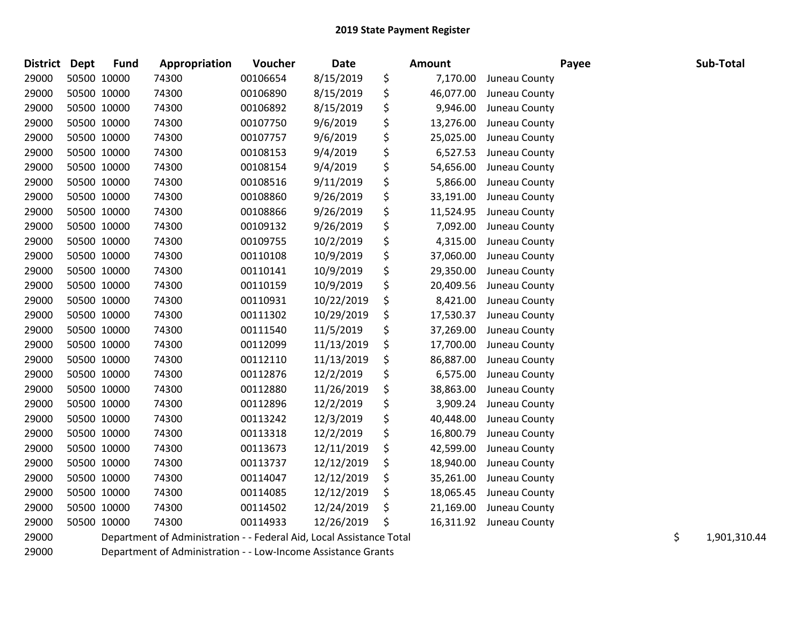| District Dept |             | <b>Fund</b> | Appropriation                                                        | <b>Voucher</b> | Date       | <b>Amount</b>   |               | Payee | Sub-Total          |
|---------------|-------------|-------------|----------------------------------------------------------------------|----------------|------------|-----------------|---------------|-------|--------------------|
| 29000         | 50500 10000 |             | 74300                                                                | 00106654       | 8/15/2019  | \$<br>7,170.00  | Juneau County |       |                    |
| 29000         | 50500 10000 |             | 74300                                                                | 00106890       | 8/15/2019  | \$<br>46,077.00 | Juneau County |       |                    |
| 29000         | 50500 10000 |             | 74300                                                                | 00106892       | 8/15/2019  | \$<br>9,946.00  | Juneau County |       |                    |
| 29000         | 50500 10000 |             | 74300                                                                | 00107750       | 9/6/2019   | \$<br>13,276.00 | Juneau County |       |                    |
| 29000         | 50500 10000 |             | 74300                                                                | 00107757       | 9/6/2019   | \$<br>25,025.00 | Juneau County |       |                    |
| 29000         | 50500 10000 |             | 74300                                                                | 00108153       | 9/4/2019   | \$<br>6,527.53  | Juneau County |       |                    |
| 29000         | 50500 10000 |             | 74300                                                                | 00108154       | 9/4/2019   | \$<br>54,656.00 | Juneau County |       |                    |
| 29000         | 50500 10000 |             | 74300                                                                | 00108516       | 9/11/2019  | \$<br>5,866.00  | Juneau County |       |                    |
| 29000         | 50500 10000 |             | 74300                                                                | 00108860       | 9/26/2019  | \$<br>33,191.00 | Juneau County |       |                    |
| 29000         | 50500 10000 |             | 74300                                                                | 00108866       | 9/26/2019  | \$<br>11,524.95 | Juneau County |       |                    |
| 29000         | 50500 10000 |             | 74300                                                                | 00109132       | 9/26/2019  | \$<br>7,092.00  | Juneau County |       |                    |
| 29000         | 50500 10000 |             | 74300                                                                | 00109755       | 10/2/2019  | \$<br>4,315.00  | Juneau County |       |                    |
| 29000         | 50500 10000 |             | 74300                                                                | 00110108       | 10/9/2019  | \$<br>37,060.00 | Juneau County |       |                    |
| 29000         | 50500 10000 |             | 74300                                                                | 00110141       | 10/9/2019  | \$<br>29,350.00 | Juneau County |       |                    |
| 29000         | 50500 10000 |             | 74300                                                                | 00110159       | 10/9/2019  | \$<br>20,409.56 | Juneau County |       |                    |
| 29000         | 50500 10000 |             | 74300                                                                | 00110931       | 10/22/2019 | \$<br>8,421.00  | Juneau County |       |                    |
| 29000         | 50500 10000 |             | 74300                                                                | 00111302       | 10/29/2019 | \$<br>17,530.37 | Juneau County |       |                    |
| 29000         | 50500 10000 |             | 74300                                                                | 00111540       | 11/5/2019  | \$<br>37,269.00 | Juneau County |       |                    |
| 29000         | 50500 10000 |             | 74300                                                                | 00112099       | 11/13/2019 | \$<br>17,700.00 | Juneau County |       |                    |
| 29000         | 50500 10000 |             | 74300                                                                | 00112110       | 11/13/2019 | \$<br>86,887.00 | Juneau County |       |                    |
| 29000         | 50500 10000 |             | 74300                                                                | 00112876       | 12/2/2019  | \$<br>6,575.00  | Juneau County |       |                    |
| 29000         | 50500 10000 |             | 74300                                                                | 00112880       | 11/26/2019 | \$<br>38,863.00 | Juneau County |       |                    |
| 29000         | 50500 10000 |             | 74300                                                                | 00112896       | 12/2/2019  | \$<br>3,909.24  | Juneau County |       |                    |
| 29000         | 50500 10000 |             | 74300                                                                | 00113242       | 12/3/2019  | \$<br>40,448.00 | Juneau County |       |                    |
| 29000         | 50500 10000 |             | 74300                                                                | 00113318       | 12/2/2019  | \$<br>16,800.79 | Juneau County |       |                    |
| 29000         | 50500 10000 |             | 74300                                                                | 00113673       | 12/11/2019 | \$<br>42,599.00 | Juneau County |       |                    |
| 29000         | 50500 10000 |             | 74300                                                                | 00113737       | 12/12/2019 | \$<br>18,940.00 | Juneau County |       |                    |
| 29000         | 50500 10000 |             | 74300                                                                | 00114047       | 12/12/2019 | \$<br>35,261.00 | Juneau County |       |                    |
| 29000         | 50500 10000 |             | 74300                                                                | 00114085       | 12/12/2019 | \$<br>18,065.45 | Juneau County |       |                    |
| 29000         | 50500 10000 |             | 74300                                                                | 00114502       | 12/24/2019 | \$<br>21,169.00 | Juneau County |       |                    |
| 29000         | 50500 10000 |             | 74300                                                                | 00114933       | 12/26/2019 | \$<br>16,311.92 | Juneau County |       |                    |
| 29000         |             |             | Department of Administration - - Federal Aid, Local Assistance Total |                |            |                 |               |       | \$<br>1,901,310.44 |

Department of Administration - - Low-Income Assistance Grants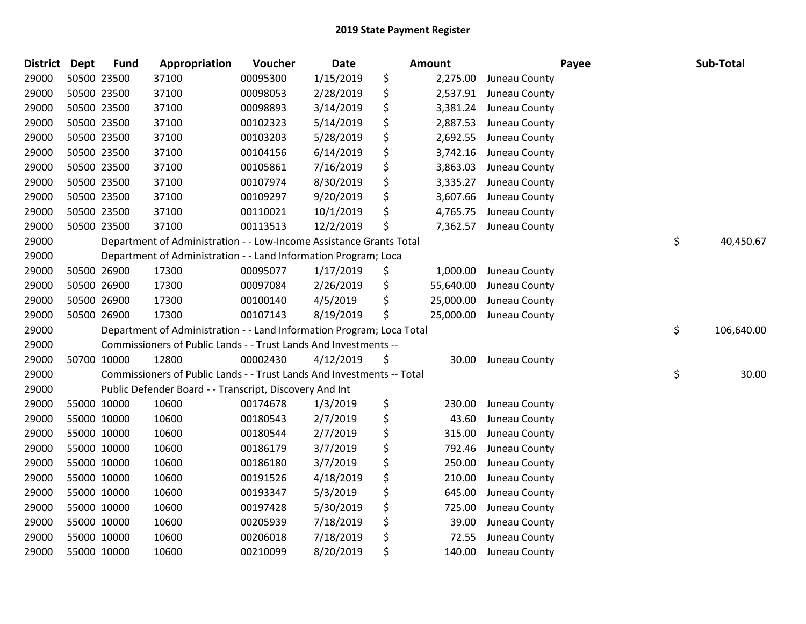| <b>District Dept</b> | <b>Fund</b> | Appropriation                                                          | Voucher  | Date      | <b>Amount</b>   |               | Payee | Sub-Total  |
|----------------------|-------------|------------------------------------------------------------------------|----------|-----------|-----------------|---------------|-------|------------|
| 29000                | 50500 23500 | 37100                                                                  | 00095300 | 1/15/2019 | \$<br>2,275.00  | Juneau County |       |            |
| 29000                | 50500 23500 | 37100                                                                  | 00098053 | 2/28/2019 | \$<br>2,537.91  | Juneau County |       |            |
| 29000                | 50500 23500 | 37100                                                                  | 00098893 | 3/14/2019 | \$<br>3,381.24  | Juneau County |       |            |
| 29000                | 50500 23500 | 37100                                                                  | 00102323 | 5/14/2019 | \$<br>2,887.53  | Juneau County |       |            |
| 29000                | 50500 23500 | 37100                                                                  | 00103203 | 5/28/2019 | \$<br>2,692.55  | Juneau County |       |            |
| 29000                | 50500 23500 | 37100                                                                  | 00104156 | 6/14/2019 | \$<br>3,742.16  | Juneau County |       |            |
| 29000                | 50500 23500 | 37100                                                                  | 00105861 | 7/16/2019 | \$<br>3,863.03  | Juneau County |       |            |
| 29000                | 50500 23500 | 37100                                                                  | 00107974 | 8/30/2019 | \$<br>3,335.27  | Juneau County |       |            |
| 29000                | 50500 23500 | 37100                                                                  | 00109297 | 9/20/2019 | \$<br>3,607.66  | Juneau County |       |            |
| 29000                | 50500 23500 | 37100                                                                  | 00110021 | 10/1/2019 | \$<br>4,765.75  | Juneau County |       |            |
| 29000                | 50500 23500 | 37100                                                                  | 00113513 | 12/2/2019 | \$<br>7,362.57  | Juneau County |       |            |
| 29000                |             | Department of Administration - - Low-Income Assistance Grants Total    |          |           |                 |               | \$    | 40,450.67  |
| 29000                |             | Department of Administration - - Land Information Program; Loca        |          |           |                 |               |       |            |
| 29000                | 50500 26900 | 17300                                                                  | 00095077 | 1/17/2019 | \$<br>1,000.00  | Juneau County |       |            |
| 29000                | 50500 26900 | 17300                                                                  | 00097084 | 2/26/2019 | \$<br>55,640.00 | Juneau County |       |            |
| 29000                | 50500 26900 | 17300                                                                  | 00100140 | 4/5/2019  | \$<br>25,000.00 | Juneau County |       |            |
| 29000                | 50500 26900 | 17300                                                                  | 00107143 | 8/19/2019 | \$<br>25,000.00 | Juneau County |       |            |
| 29000                |             | Department of Administration - - Land Information Program; Loca Total  |          |           |                 |               | \$    | 106,640.00 |
| 29000                |             | Commissioners of Public Lands - - Trust Lands And Investments --       |          |           |                 |               |       |            |
| 29000                | 50700 10000 | 12800                                                                  | 00002430 | 4/12/2019 | \$<br>30.00     | Juneau County |       |            |
| 29000                |             | Commissioners of Public Lands - - Trust Lands And Investments -- Total |          |           |                 |               | \$    | 30.00      |
| 29000                |             | Public Defender Board - - Transcript, Discovery And Int                |          |           |                 |               |       |            |
| 29000                | 55000 10000 | 10600                                                                  | 00174678 | 1/3/2019  | \$<br>230.00    | Juneau County |       |            |
| 29000                | 55000 10000 | 10600                                                                  | 00180543 | 2/7/2019  | \$<br>43.60     | Juneau County |       |            |
| 29000                | 55000 10000 | 10600                                                                  | 00180544 | 2/7/2019  | \$<br>315.00    | Juneau County |       |            |
| 29000                | 55000 10000 | 10600                                                                  | 00186179 | 3/7/2019  | \$<br>792.46    | Juneau County |       |            |
| 29000                | 55000 10000 | 10600                                                                  | 00186180 | 3/7/2019  | \$<br>250.00    | Juneau County |       |            |
| 29000                | 55000 10000 | 10600                                                                  | 00191526 | 4/18/2019 | \$<br>210.00    | Juneau County |       |            |
| 29000                | 55000 10000 | 10600                                                                  | 00193347 | 5/3/2019  | \$<br>645.00    | Juneau County |       |            |
| 29000                | 55000 10000 | 10600                                                                  | 00197428 | 5/30/2019 | \$<br>725.00    | Juneau County |       |            |
| 29000                | 55000 10000 | 10600                                                                  | 00205939 | 7/18/2019 | \$<br>39.00     | Juneau County |       |            |
| 29000                | 55000 10000 | 10600                                                                  | 00206018 | 7/18/2019 | \$<br>72.55     | Juneau County |       |            |
| 29000                | 55000 10000 | 10600                                                                  | 00210099 | 8/20/2019 | \$<br>140.00    | Juneau County |       |            |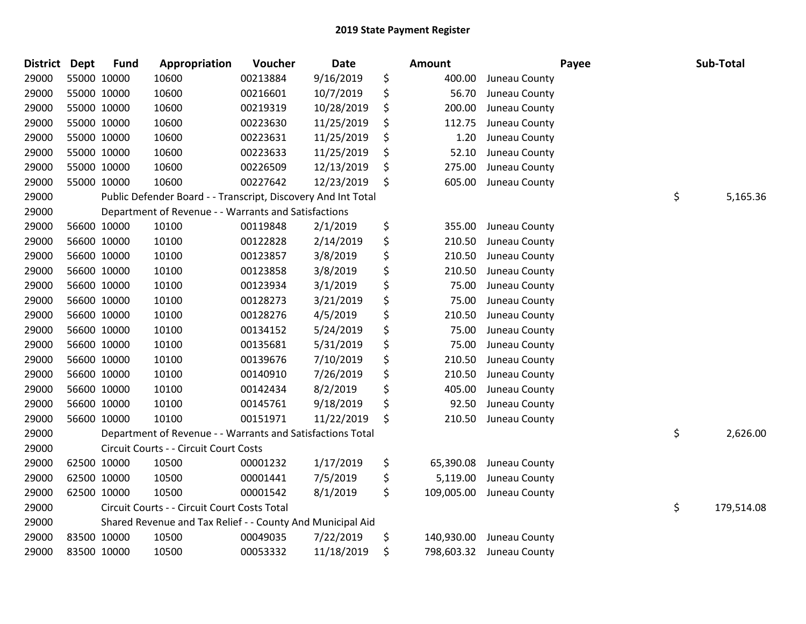| <b>District Dept</b> | <b>Fund</b> | Appropriation                                                 | Voucher  | Date       | Amount           |               | Payee | Sub-Total        |
|----------------------|-------------|---------------------------------------------------------------|----------|------------|------------------|---------------|-------|------------------|
| 29000                | 55000 10000 | 10600                                                         | 00213884 | 9/16/2019  | \$<br>400.00     | Juneau County |       |                  |
| 29000                | 55000 10000 | 10600                                                         | 00216601 | 10/7/2019  | \$<br>56.70      | Juneau County |       |                  |
| 29000                | 55000 10000 | 10600                                                         | 00219319 | 10/28/2019 | \$<br>200.00     | Juneau County |       |                  |
| 29000                | 55000 10000 | 10600                                                         | 00223630 | 11/25/2019 | \$<br>112.75     | Juneau County |       |                  |
| 29000                | 55000 10000 | 10600                                                         | 00223631 | 11/25/2019 | \$<br>1.20       | Juneau County |       |                  |
| 29000                | 55000 10000 | 10600                                                         | 00223633 | 11/25/2019 | \$<br>52.10      | Juneau County |       |                  |
| 29000                | 55000 10000 | 10600                                                         | 00226509 | 12/13/2019 | \$<br>275.00     | Juneau County |       |                  |
| 29000                | 55000 10000 | 10600                                                         | 00227642 | 12/23/2019 | \$<br>605.00     | Juneau County |       |                  |
| 29000                |             | Public Defender Board - - Transcript, Discovery And Int Total |          |            |                  |               |       | \$<br>5,165.36   |
| 29000                |             | Department of Revenue - - Warrants and Satisfactions          |          |            |                  |               |       |                  |
| 29000                | 56600 10000 | 10100                                                         | 00119848 | 2/1/2019   | \$<br>355.00     | Juneau County |       |                  |
| 29000                | 56600 10000 | 10100                                                         | 00122828 | 2/14/2019  | \$<br>210.50     | Juneau County |       |                  |
| 29000                | 56600 10000 | 10100                                                         | 00123857 | 3/8/2019   | \$<br>210.50     | Juneau County |       |                  |
| 29000                | 56600 10000 | 10100                                                         | 00123858 | 3/8/2019   | \$<br>210.50     | Juneau County |       |                  |
| 29000                | 56600 10000 | 10100                                                         | 00123934 | 3/1/2019   | \$<br>75.00      | Juneau County |       |                  |
| 29000                | 56600 10000 | 10100                                                         | 00128273 | 3/21/2019  | \$<br>75.00      | Juneau County |       |                  |
| 29000                | 56600 10000 | 10100                                                         | 00128276 | 4/5/2019   | \$<br>210.50     | Juneau County |       |                  |
| 29000                | 56600 10000 | 10100                                                         | 00134152 | 5/24/2019  | \$<br>75.00      | Juneau County |       |                  |
| 29000                | 56600 10000 | 10100                                                         | 00135681 | 5/31/2019  | \$<br>75.00      | Juneau County |       |                  |
| 29000                | 56600 10000 | 10100                                                         | 00139676 | 7/10/2019  | \$<br>210.50     | Juneau County |       |                  |
| 29000                | 56600 10000 | 10100                                                         | 00140910 | 7/26/2019  | \$<br>210.50     | Juneau County |       |                  |
| 29000                | 56600 10000 | 10100                                                         | 00142434 | 8/2/2019   | \$<br>405.00     | Juneau County |       |                  |
| 29000                | 56600 10000 | 10100                                                         | 00145761 | 9/18/2019  | \$<br>92.50      | Juneau County |       |                  |
| 29000                | 56600 10000 | 10100                                                         | 00151971 | 11/22/2019 | \$<br>210.50     | Juneau County |       |                  |
| 29000                |             | Department of Revenue - - Warrants and Satisfactions Total    |          |            |                  |               |       | \$<br>2,626.00   |
| 29000                |             | Circuit Courts - - Circuit Court Costs                        |          |            |                  |               |       |                  |
| 29000                | 62500 10000 | 10500                                                         | 00001232 | 1/17/2019  | \$<br>65,390.08  | Juneau County |       |                  |
| 29000                | 62500 10000 | 10500                                                         | 00001441 | 7/5/2019   | \$<br>5,119.00   | Juneau County |       |                  |
| 29000                | 62500 10000 | 10500                                                         | 00001542 | 8/1/2019   | \$<br>109,005.00 | Juneau County |       |                  |
| 29000                |             | Circuit Courts - - Circuit Court Costs Total                  |          |            |                  |               |       | \$<br>179,514.08 |
| 29000                |             | Shared Revenue and Tax Relief - - County And Municipal Aid    |          |            |                  |               |       |                  |
| 29000                | 83500 10000 | 10500                                                         | 00049035 | 7/22/2019  | \$<br>140,930.00 | Juneau County |       |                  |
| 29000                | 83500 10000 | 10500                                                         | 00053332 | 11/18/2019 | \$<br>798,603.32 | Juneau County |       |                  |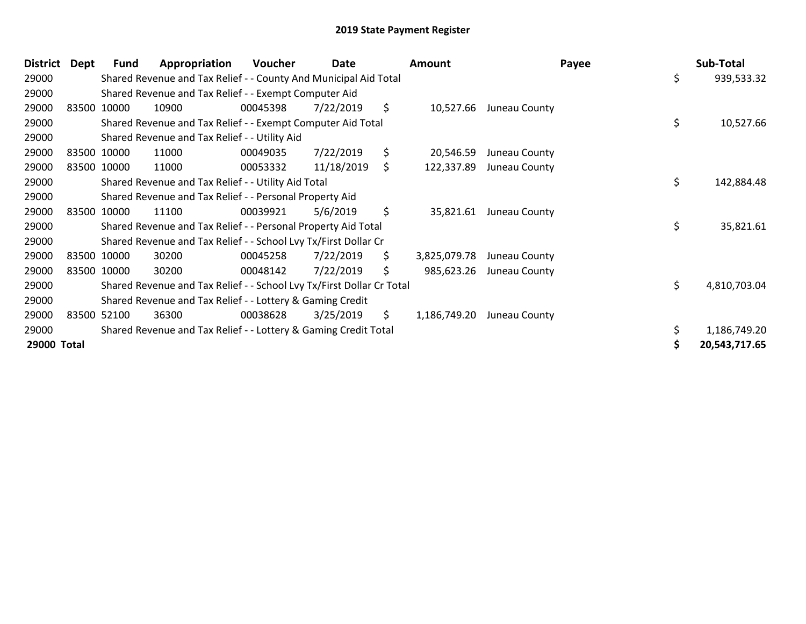| <b>District</b> | Dept | <b>Fund</b> | Appropriation                                                         | Voucher  | Date       |     | <b>Amount</b> |                         | Payee |    | Sub-Total     |
|-----------------|------|-------------|-----------------------------------------------------------------------|----------|------------|-----|---------------|-------------------------|-------|----|---------------|
| 29000           |      |             | Shared Revenue and Tax Relief - - County And Municipal Aid Total      |          |            |     |               |                         |       | \$ | 939,533.32    |
| 29000           |      |             | Shared Revenue and Tax Relief - - Exempt Computer Aid                 |          |            |     |               |                         |       |    |               |
| 29000           |      | 83500 10000 | 10900                                                                 | 00045398 | 7/22/2019  | \$  | 10,527.66     | Juneau County           |       |    |               |
| 29000           |      |             | Shared Revenue and Tax Relief - - Exempt Computer Aid Total           |          |            |     |               |                         |       | \$ | 10,527.66     |
| 29000           |      |             | Shared Revenue and Tax Relief - - Utility Aid                         |          |            |     |               |                         |       |    |               |
| 29000           |      | 83500 10000 | 11000                                                                 | 00049035 | 7/22/2019  | \$  | 20,546.59     | Juneau County           |       |    |               |
| 29000           |      | 83500 10000 | 11000                                                                 | 00053332 | 11/18/2019 | \$. | 122,337.89    | Juneau County           |       |    |               |
| 29000           |      |             | Shared Revenue and Tax Relief - - Utility Aid Total                   |          |            |     |               |                         |       | \$ | 142,884.48    |
| 29000           |      |             | Shared Revenue and Tax Relief - - Personal Property Aid               |          |            |     |               |                         |       |    |               |
| 29000           |      | 83500 10000 | 11100                                                                 | 00039921 | 5/6/2019   | \$  |               | 35,821.61 Juneau County |       |    |               |
| 29000           |      |             | Shared Revenue and Tax Relief - - Personal Property Aid Total         |          |            |     |               |                         |       | \$ | 35,821.61     |
| 29000           |      |             | Shared Revenue and Tax Relief - - School Lvy Tx/First Dollar Cr       |          |            |     |               |                         |       |    |               |
| 29000           |      | 83500 10000 | 30200                                                                 | 00045258 | 7/22/2019  | \$  | 3,825,079.78  | Juneau County           |       |    |               |
| 29000           |      | 83500 10000 | 30200                                                                 | 00048142 | 7/22/2019  | \$  | 985,623.26    | Juneau County           |       |    |               |
| 29000           |      |             | Shared Revenue and Tax Relief - - School Lvy Tx/First Dollar Cr Total |          |            |     |               |                         |       | \$ | 4,810,703.04  |
| 29000           |      |             | Shared Revenue and Tax Relief - - Lottery & Gaming Credit             |          |            |     |               |                         |       |    |               |
| 29000           |      | 83500 52100 | 36300                                                                 | 00038628 | 3/25/2019  | \$. | 1,186,749.20  | Juneau County           |       |    |               |
| 29000           |      |             | Shared Revenue and Tax Relief - - Lottery & Gaming Credit Total       |          |            |     |               |                         |       |    | 1,186,749.20  |
| 29000 Total     |      |             |                                                                       |          |            |     |               |                         |       | S  | 20,543,717.65 |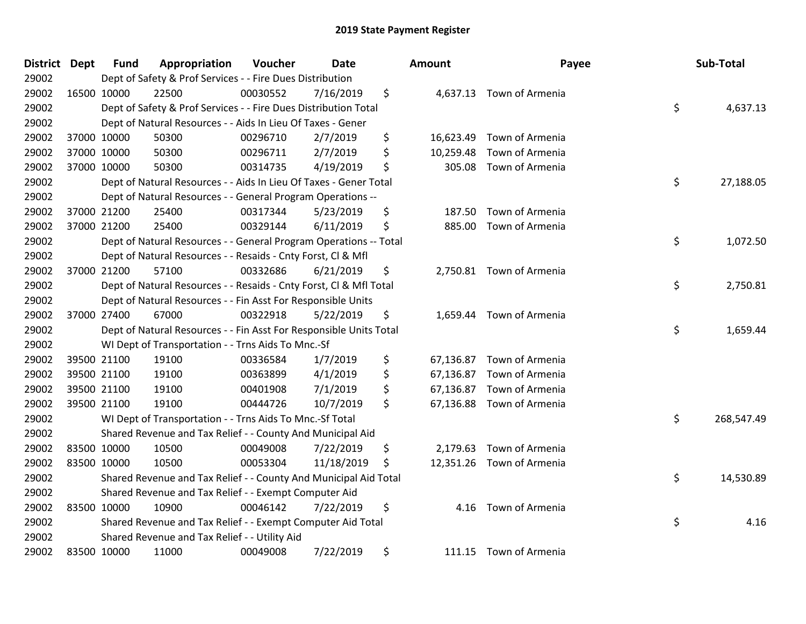| <b>District</b> | <b>Dept</b> | <b>Fund</b> | Appropriation                                                      | Voucher  | Date       | <b>Amount</b>   | Payee                     | Sub-Total        |
|-----------------|-------------|-------------|--------------------------------------------------------------------|----------|------------|-----------------|---------------------------|------------------|
| 29002           |             |             | Dept of Safety & Prof Services - - Fire Dues Distribution          |          |            |                 |                           |                  |
| 29002           |             | 16500 10000 | 22500                                                              | 00030552 | 7/16/2019  | \$              | 4,637.13 Town of Armenia  |                  |
| 29002           |             |             | Dept of Safety & Prof Services - - Fire Dues Distribution Total    |          |            |                 |                           | \$<br>4,637.13   |
| 29002           |             |             | Dept of Natural Resources - - Aids In Lieu Of Taxes - Gener        |          |            |                 |                           |                  |
| 29002           |             | 37000 10000 | 50300                                                              | 00296710 | 2/7/2019   | \$<br>16,623.49 | Town of Armenia           |                  |
| 29002           |             | 37000 10000 | 50300                                                              | 00296711 | 2/7/2019   | \$<br>10,259.48 | Town of Armenia           |                  |
| 29002           |             | 37000 10000 | 50300                                                              | 00314735 | 4/19/2019  | \$<br>305.08    | Town of Armenia           |                  |
| 29002           |             |             | Dept of Natural Resources - - Aids In Lieu Of Taxes - Gener Total  |          |            |                 |                           | \$<br>27,188.05  |
| 29002           |             |             | Dept of Natural Resources - - General Program Operations --        |          |            |                 |                           |                  |
| 29002           |             | 37000 21200 | 25400                                                              | 00317344 | 5/23/2019  | \$<br>187.50    | Town of Armenia           |                  |
| 29002           |             | 37000 21200 | 25400                                                              | 00329144 | 6/11/2019  | \$<br>885.00    | Town of Armenia           |                  |
| 29002           |             |             | Dept of Natural Resources - - General Program Operations -- Total  |          |            |                 |                           | \$<br>1,072.50   |
| 29002           |             |             | Dept of Natural Resources - - Resaids - Cnty Forst, Cl & Mfl       |          |            |                 |                           |                  |
| 29002           |             | 37000 21200 | 57100                                                              | 00332686 | 6/21/2019  | \$              | 2,750.81 Town of Armenia  |                  |
| 29002           |             |             | Dept of Natural Resources - - Resaids - Cnty Forst, Cl & Mfl Total |          |            |                 |                           | \$<br>2,750.81   |
| 29002           |             |             | Dept of Natural Resources - - Fin Asst For Responsible Units       |          |            |                 |                           |                  |
| 29002           |             | 37000 27400 | 67000                                                              | 00322918 | 5/22/2019  | \$<br>1,659.44  | Town of Armenia           |                  |
| 29002           |             |             | Dept of Natural Resources - - Fin Asst For Responsible Units Total |          |            |                 |                           | \$<br>1,659.44   |
| 29002           |             |             | WI Dept of Transportation - - Trns Aids To Mnc.-Sf                 |          |            |                 |                           |                  |
| 29002           |             | 39500 21100 | 19100                                                              | 00336584 | 1/7/2019   | \$<br>67,136.87 | Town of Armenia           |                  |
| 29002           |             | 39500 21100 | 19100                                                              | 00363899 | 4/1/2019   | \$<br>67,136.87 | Town of Armenia           |                  |
| 29002           |             | 39500 21100 | 19100                                                              | 00401908 | 7/1/2019   | \$<br>67,136.87 | Town of Armenia           |                  |
| 29002           |             | 39500 21100 | 19100                                                              | 00444726 | 10/7/2019  | \$<br>67,136.88 | Town of Armenia           |                  |
| 29002           |             |             | WI Dept of Transportation - - Trns Aids To Mnc.-Sf Total           |          |            |                 |                           | \$<br>268,547.49 |
| 29002           |             |             | Shared Revenue and Tax Relief - - County And Municipal Aid         |          |            |                 |                           |                  |
| 29002           |             | 83500 10000 | 10500                                                              | 00049008 | 7/22/2019  | \$<br>2,179.63  | Town of Armenia           |                  |
| 29002           |             | 83500 10000 | 10500                                                              | 00053304 | 11/18/2019 | \$              | 12,351.26 Town of Armenia |                  |
| 29002           |             |             | Shared Revenue and Tax Relief - - County And Municipal Aid Total   |          |            |                 |                           | \$<br>14,530.89  |
| 29002           |             |             | Shared Revenue and Tax Relief - - Exempt Computer Aid              |          |            |                 |                           |                  |
| 29002           |             | 83500 10000 | 10900                                                              | 00046142 | 7/22/2019  | \$<br>4.16      | Town of Armenia           |                  |
| 29002           |             |             | Shared Revenue and Tax Relief - - Exempt Computer Aid Total        |          |            |                 |                           | \$<br>4.16       |
| 29002           |             |             | Shared Revenue and Tax Relief - - Utility Aid                      |          |            |                 |                           |                  |
| 29002           |             | 83500 10000 | 11000                                                              | 00049008 | 7/22/2019  | \$              | 111.15 Town of Armenia    |                  |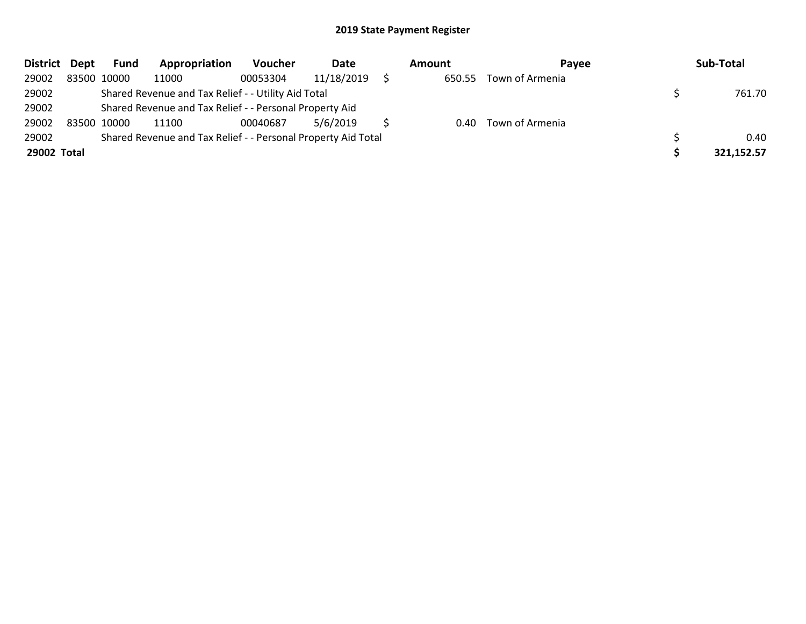| District Dept | <b>Fund</b> | Appropriation                                                 | Voucher  | Date       | Amount | <b>Pavee</b>         | Sub-Total  |
|---------------|-------------|---------------------------------------------------------------|----------|------------|--------|----------------------|------------|
| 29002         | 83500 10000 | 11000                                                         | 00053304 | 11/18/2019 | 650.55 | Town of Armenia      |            |
| 29002         |             | Shared Revenue and Tax Relief - - Utility Aid Total           |          |            |        |                      | 761.70     |
| 29002         |             | Shared Revenue and Tax Relief - - Personal Property Aid       |          |            |        |                      |            |
| 29002         | 83500 10000 | 11100                                                         | 00040687 | 5/6/2019   |        | 0.40 Town of Armenia |            |
| 29002         |             | Shared Revenue and Tax Relief - - Personal Property Aid Total |          |            |        |                      | 0.40       |
| 29002 Total   |             |                                                               |          |            |        |                      | 321,152.57 |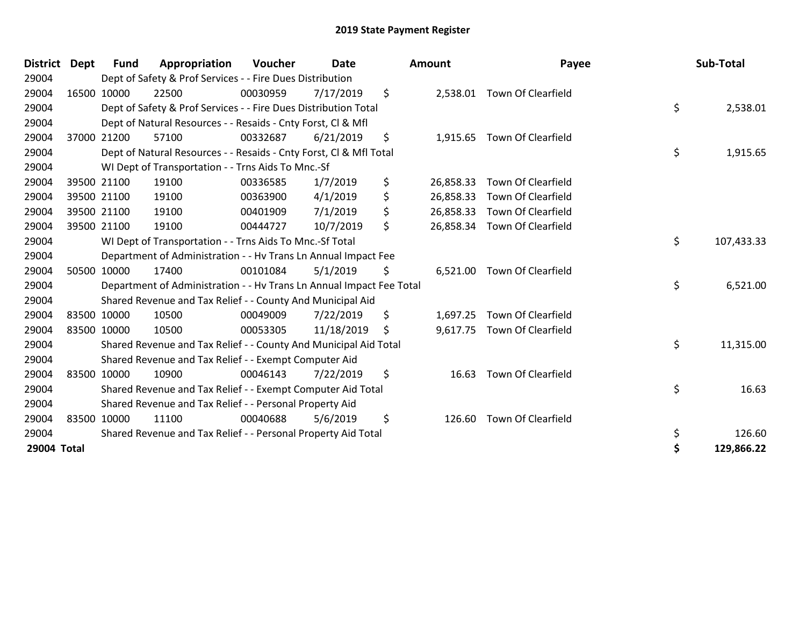| District    | Dept | <b>Fund</b> | Appropriation                                                        | <b>Voucher</b> | Date       | <b>Amount</b>   | Payee                        | Sub-Total        |
|-------------|------|-------------|----------------------------------------------------------------------|----------------|------------|-----------------|------------------------------|------------------|
| 29004       |      |             | Dept of Safety & Prof Services - - Fire Dues Distribution            |                |            |                 |                              |                  |
| 29004       |      | 16500 10000 | 22500                                                                | 00030959       | 7/17/2019  | \$              | 2,538.01 Town Of Clearfield  |                  |
| 29004       |      |             | Dept of Safety & Prof Services - - Fire Dues Distribution Total      |                |            |                 |                              | \$<br>2,538.01   |
| 29004       |      |             | Dept of Natural Resources - - Resaids - Cnty Forst, CI & Mfl         |                |            |                 |                              |                  |
| 29004       |      | 37000 21200 | 57100                                                                | 00332687       | 6/21/2019  | \$<br>1,915.65  | <b>Town Of Clearfield</b>    |                  |
| 29004       |      |             | Dept of Natural Resources - - Resaids - Cnty Forst, CI & Mfl Total   |                |            |                 |                              | \$<br>1,915.65   |
| 29004       |      |             | WI Dept of Transportation - - Trns Aids To Mnc.-Sf                   |                |            |                 |                              |                  |
| 29004       |      | 39500 21100 | 19100                                                                | 00336585       | 1/7/2019   | \$<br>26,858.33 | <b>Town Of Clearfield</b>    |                  |
| 29004       |      | 39500 21100 | 19100                                                                | 00363900       | 4/1/2019   | \$<br>26,858.33 | Town Of Clearfield           |                  |
| 29004       |      | 39500 21100 | 19100                                                                | 00401909       | 7/1/2019   | \$<br>26,858.33 | <b>Town Of Clearfield</b>    |                  |
| 29004       |      | 39500 21100 | 19100                                                                | 00444727       | 10/7/2019  | \$              | 26,858.34 Town Of Clearfield |                  |
| 29004       |      |             | WI Dept of Transportation - - Trns Aids To Mnc.-Sf Total             |                |            |                 |                              | \$<br>107,433.33 |
| 29004       |      |             | Department of Administration - - Hv Trans Ln Annual Impact Fee       |                |            |                 |                              |                  |
| 29004       |      | 50500 10000 | 17400                                                                | 00101084       | 5/1/2019   | \$<br>6,521.00  | <b>Town Of Clearfield</b>    |                  |
| 29004       |      |             | Department of Administration - - Hv Trans Ln Annual Impact Fee Total |                |            |                 |                              | \$<br>6,521.00   |
| 29004       |      |             | Shared Revenue and Tax Relief - - County And Municipal Aid           |                |            |                 |                              |                  |
| 29004       |      | 83500 10000 | 10500                                                                | 00049009       | 7/22/2019  | \$<br>1,697.25  | Town Of Clearfield           |                  |
| 29004       |      | 83500 10000 | 10500                                                                | 00053305       | 11/18/2019 | \$<br>9,617.75  | <b>Town Of Clearfield</b>    |                  |
| 29004       |      |             | Shared Revenue and Tax Relief - - County And Municipal Aid Total     |                |            |                 |                              | \$<br>11,315.00  |
| 29004       |      |             | Shared Revenue and Tax Relief - - Exempt Computer Aid                |                |            |                 |                              |                  |
| 29004       |      | 83500 10000 | 10900                                                                | 00046143       | 7/22/2019  | \$<br>16.63     | Town Of Clearfield           |                  |
| 29004       |      |             | Shared Revenue and Tax Relief - - Exempt Computer Aid Total          |                |            |                 |                              | \$<br>16.63      |
| 29004       |      |             | Shared Revenue and Tax Relief - - Personal Property Aid              |                |            |                 |                              |                  |
| 29004       |      | 83500 10000 | 11100                                                                | 00040688       | 5/6/2019   | \$<br>126.60    | <b>Town Of Clearfield</b>    |                  |
| 29004       |      |             | Shared Revenue and Tax Relief - - Personal Property Aid Total        |                |            |                 |                              | \$<br>126.60     |
| 29004 Total |      |             |                                                                      |                |            |                 |                              | \$<br>129,866.22 |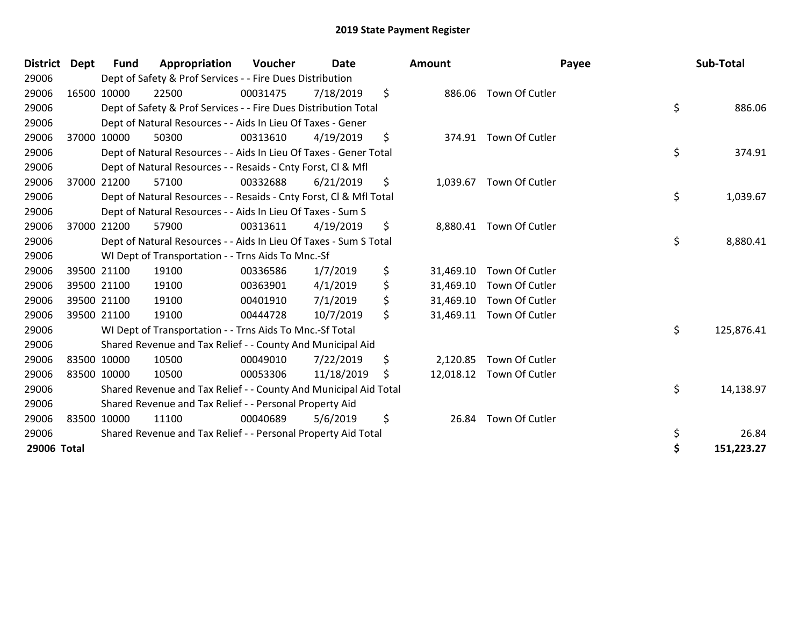| <b>District</b> | Dept        | Fund        | Appropriation                                                      | <b>Voucher</b> | Date       |     | <b>Amount</b> | Payee                    | Sub-Total        |
|-----------------|-------------|-------------|--------------------------------------------------------------------|----------------|------------|-----|---------------|--------------------------|------------------|
| 29006           |             |             | Dept of Safety & Prof Services - - Fire Dues Distribution          |                |            |     |               |                          |                  |
| 29006           |             | 16500 10000 | 22500                                                              | 00031475       | 7/18/2019  | \$  |               | 886.06 Town Of Cutler    |                  |
| 29006           |             |             | Dept of Safety & Prof Services - - Fire Dues Distribution Total    |                |            |     |               |                          | \$<br>886.06     |
| 29006           |             |             | Dept of Natural Resources - - Aids In Lieu Of Taxes - Gener        |                |            |     |               |                          |                  |
| 29006           | 37000 10000 |             | 50300                                                              | 00313610       | 4/19/2019  | \$  |               | 374.91 Town Of Cutler    |                  |
| 29006           |             |             | Dept of Natural Resources - - Aids In Lieu Of Taxes - Gener Total  |                |            |     |               |                          | \$<br>374.91     |
| 29006           |             |             | Dept of Natural Resources - - Resaids - Cnty Forst, CI & Mfl       |                |            |     |               |                          |                  |
| 29006           | 37000       | 21200       | 57100                                                              | 00332688       | 6/21/2019  | \$  | 1,039.67      | Town Of Cutler           |                  |
| 29006           |             |             | Dept of Natural Resources - - Resaids - Cnty Forst, Cl & Mfl Total |                |            |     |               |                          | \$<br>1,039.67   |
| 29006           |             |             | Dept of Natural Resources - - Aids In Lieu Of Taxes - Sum S        |                |            |     |               |                          |                  |
| 29006           |             | 37000 21200 | 57900                                                              | 00313611       | 4/19/2019  | \$  | 8,880.41      | Town Of Cutler           |                  |
| 29006           |             |             | Dept of Natural Resources - - Aids In Lieu Of Taxes - Sum S Total  |                |            |     |               |                          | \$<br>8,880.41   |
| 29006           |             |             | WI Dept of Transportation - - Trns Aids To Mnc.-Sf                 |                |            |     |               |                          |                  |
| 29006           | 39500 21100 |             | 19100                                                              | 00336586       | 1/7/2019   | \$  | 31,469.10     | Town Of Cutler           |                  |
| 29006           | 39500 21100 |             | 19100                                                              | 00363901       | 4/1/2019   | \$  |               | 31,469.10 Town Of Cutler |                  |
| 29006           | 39500 21100 |             | 19100                                                              | 00401910       | 7/1/2019   | \$  | 31,469.10     | Town Of Cutler           |                  |
| 29006           | 39500 21100 |             | 19100                                                              | 00444728       | 10/7/2019  | \$  | 31,469.11     | Town Of Cutler           |                  |
| 29006           |             |             | WI Dept of Transportation - - Trns Aids To Mnc.-Sf Total           |                |            |     |               |                          | \$<br>125,876.41 |
| 29006           |             |             | Shared Revenue and Tax Relief - - County And Municipal Aid         |                |            |     |               |                          |                  |
| 29006           |             | 83500 10000 | 10500                                                              | 00049010       | 7/22/2019  | \$  | 2,120.85      | Town Of Cutler           |                  |
| 29006           | 83500 10000 |             | 10500                                                              | 00053306       | 11/18/2019 | \$. |               | 12,018.12 Town Of Cutler |                  |
| 29006           |             |             | Shared Revenue and Tax Relief - - County And Municipal Aid Total   |                |            |     |               |                          | \$<br>14,138.97  |
| 29006           |             |             | Shared Revenue and Tax Relief - - Personal Property Aid            |                |            |     |               |                          |                  |
| 29006           |             | 83500 10000 | 11100                                                              | 00040689       | 5/6/2019   | \$  | 26.84         | Town Of Cutler           |                  |
| 29006           |             |             | Shared Revenue and Tax Relief - - Personal Property Aid Total      |                |            |     |               |                          | \$<br>26.84      |
| 29006 Total     |             |             |                                                                    |                |            |     |               |                          | \$<br>151,223.27 |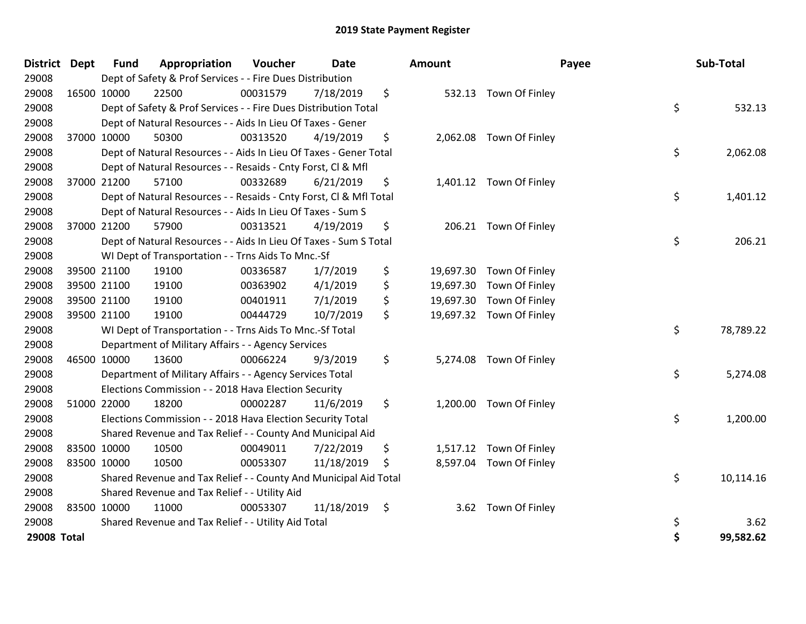| <b>District</b> | <b>Dept</b> | <b>Fund</b> | Appropriation                                                      | Voucher  | <b>Date</b> | Amount |                          | Payee | Sub-Total |
|-----------------|-------------|-------------|--------------------------------------------------------------------|----------|-------------|--------|--------------------------|-------|-----------|
| 29008           |             |             | Dept of Safety & Prof Services - - Fire Dues Distribution          |          |             |        |                          |       |           |
| 29008           | 16500 10000 |             | 22500                                                              | 00031579 | 7/18/2019   | \$     | 532.13 Town Of Finley    |       |           |
| 29008           |             |             | Dept of Safety & Prof Services - - Fire Dues Distribution Total    |          |             |        |                          | \$    | 532.13    |
| 29008           |             |             | Dept of Natural Resources - - Aids In Lieu Of Taxes - Gener        |          |             |        |                          |       |           |
| 29008           | 37000 10000 |             | 50300                                                              | 00313520 | 4/19/2019   | \$     | 2,062.08 Town Of Finley  |       |           |
| 29008           |             |             | Dept of Natural Resources - - Aids In Lieu Of Taxes - Gener Total  |          |             |        |                          | \$    | 2,062.08  |
| 29008           |             |             | Dept of Natural Resources - - Resaids - Cnty Forst, Cl & Mfl       |          |             |        |                          |       |           |
| 29008           | 37000 21200 |             | 57100                                                              | 00332689 | 6/21/2019   | \$     | 1,401.12 Town Of Finley  |       |           |
| 29008           |             |             | Dept of Natural Resources - - Resaids - Cnty Forst, Cl & Mfl Total |          |             |        |                          | \$    | 1,401.12  |
| 29008           |             |             | Dept of Natural Resources - - Aids In Lieu Of Taxes - Sum S        |          |             |        |                          |       |           |
| 29008           | 37000 21200 |             | 57900                                                              | 00313521 | 4/19/2019   | \$     | 206.21 Town Of Finley    |       |           |
| 29008           |             |             | Dept of Natural Resources - - Aids In Lieu Of Taxes - Sum S Total  |          |             |        |                          | \$    | 206.21    |
| 29008           |             |             | WI Dept of Transportation - - Trns Aids To Mnc.-Sf                 |          |             |        |                          |       |           |
| 29008           | 39500 21100 |             | 19100                                                              | 00336587 | 1/7/2019    | \$     | 19,697.30 Town Of Finley |       |           |
| 29008           | 39500 21100 |             | 19100                                                              | 00363902 | 4/1/2019    | \$     | 19,697.30 Town Of Finley |       |           |
| 29008           | 39500 21100 |             | 19100                                                              | 00401911 | 7/1/2019    | \$     | 19,697.30 Town Of Finley |       |           |
| 29008           | 39500 21100 |             | 19100                                                              | 00444729 | 10/7/2019   | \$     | 19,697.32 Town Of Finley |       |           |
| 29008           |             |             | WI Dept of Transportation - - Trns Aids To Mnc.-Sf Total           |          |             |        |                          | \$    | 78,789.22 |
| 29008           |             |             | Department of Military Affairs - - Agency Services                 |          |             |        |                          |       |           |
| 29008           | 46500 10000 |             | 13600                                                              | 00066224 | 9/3/2019    | \$     | 5,274.08 Town Of Finley  |       |           |
| 29008           |             |             | Department of Military Affairs - - Agency Services Total           |          |             |        |                          | \$    | 5,274.08  |
| 29008           |             |             | Elections Commission - - 2018 Hava Election Security               |          |             |        |                          |       |           |
| 29008           | 51000 22000 |             | 18200                                                              | 00002287 | 11/6/2019   | \$     | 1,200.00 Town Of Finley  |       |           |
| 29008           |             |             | Elections Commission - - 2018 Hava Election Security Total         |          |             |        |                          | \$    | 1,200.00  |
| 29008           |             |             | Shared Revenue and Tax Relief - - County And Municipal Aid         |          |             |        |                          |       |           |
| 29008           | 83500 10000 |             | 10500                                                              | 00049011 | 7/22/2019   | \$     | 1,517.12 Town Of Finley  |       |           |
| 29008           | 83500 10000 |             | 10500                                                              | 00053307 | 11/18/2019  | \$     | 8,597.04 Town Of Finley  |       |           |
| 29008           |             |             | Shared Revenue and Tax Relief - - County And Municipal Aid Total   |          |             |        |                          | \$    | 10,114.16 |
| 29008           |             |             | Shared Revenue and Tax Relief - - Utility Aid                      |          |             |        |                          |       |           |
| 29008           | 83500 10000 |             | 11000                                                              | 00053307 | 11/18/2019  | \$     | 3.62 Town Of Finley      |       |           |
| 29008           |             |             | Shared Revenue and Tax Relief - - Utility Aid Total                |          |             |        |                          | \$    | 3.62      |
| 29008 Total     |             |             |                                                                    |          |             |        |                          | \$    | 99,582.62 |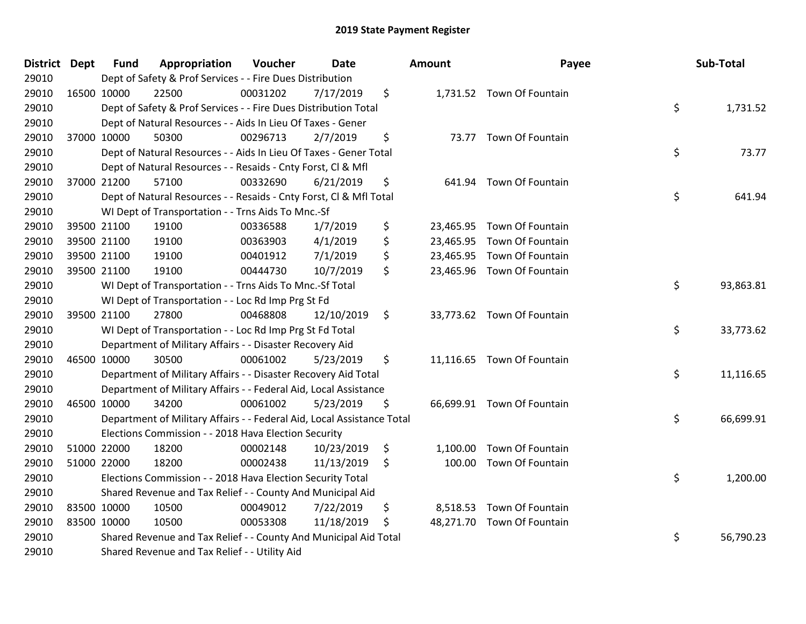| District Dept |             | <b>Fund</b> | Appropriation                                                          | Voucher  | <b>Date</b> | Amount         | Payee                      | Sub-Total       |
|---------------|-------------|-------------|------------------------------------------------------------------------|----------|-------------|----------------|----------------------------|-----------------|
| 29010         |             |             | Dept of Safety & Prof Services - - Fire Dues Distribution              |          |             |                |                            |                 |
| 29010         | 16500 10000 |             | 22500                                                                  | 00031202 | 7/17/2019   | \$             | 1,731.52 Town Of Fountain  |                 |
| 29010         |             |             | Dept of Safety & Prof Services - - Fire Dues Distribution Total        |          |             |                |                            | \$<br>1,731.52  |
| 29010         |             |             | Dept of Natural Resources - - Aids In Lieu Of Taxes - Gener            |          |             |                |                            |                 |
| 29010         | 37000 10000 |             | 50300                                                                  | 00296713 | 2/7/2019    | \$             | 73.77 Town Of Fountain     |                 |
| 29010         |             |             | Dept of Natural Resources - - Aids In Lieu Of Taxes - Gener Total      |          |             |                |                            | \$<br>73.77     |
| 29010         |             |             | Dept of Natural Resources - - Resaids - Cnty Forst, Cl & Mfl           |          |             |                |                            |                 |
| 29010         |             | 37000 21200 | 57100                                                                  | 00332690 | 6/21/2019   | \$<br>641.94   | Town Of Fountain           |                 |
| 29010         |             |             | Dept of Natural Resources - - Resaids - Cnty Forst, Cl & Mfl Total     |          |             |                |                            | \$<br>641.94    |
| 29010         |             |             | WI Dept of Transportation - - Trns Aids To Mnc.-Sf                     |          |             |                |                            |                 |
| 29010         |             | 39500 21100 | 19100                                                                  | 00336588 | 1/7/2019    | \$             | 23,465.95 Town Of Fountain |                 |
| 29010         |             | 39500 21100 | 19100                                                                  | 00363903 | 4/1/2019    | \$             | 23,465.95 Town Of Fountain |                 |
| 29010         | 39500 21100 |             | 19100                                                                  | 00401912 | 7/1/2019    | \$             | 23,465.95 Town Of Fountain |                 |
| 29010         | 39500 21100 |             | 19100                                                                  | 00444730 | 10/7/2019   | \$             | 23,465.96 Town Of Fountain |                 |
| 29010         |             |             | WI Dept of Transportation - - Trns Aids To Mnc.-Sf Total               |          |             |                |                            | \$<br>93,863.81 |
| 29010         |             |             | WI Dept of Transportation - - Loc Rd Imp Prg St Fd                     |          |             |                |                            |                 |
| 29010         | 39500 21100 |             | 27800                                                                  | 00468808 | 12/10/2019  | \$             | 33,773.62 Town Of Fountain |                 |
| 29010         |             |             | WI Dept of Transportation - - Loc Rd Imp Prg St Fd Total               |          |             |                |                            | \$<br>33,773.62 |
| 29010         |             |             | Department of Military Affairs - - Disaster Recovery Aid               |          |             |                |                            |                 |
| 29010         | 46500 10000 |             | 30500                                                                  | 00061002 | 5/23/2019   | \$             | 11,116.65 Town Of Fountain |                 |
| 29010         |             |             | Department of Military Affairs - - Disaster Recovery Aid Total         |          |             |                |                            | \$<br>11,116.65 |
| 29010         |             |             | Department of Military Affairs - - Federal Aid, Local Assistance       |          |             |                |                            |                 |
| 29010         | 46500 10000 |             | 34200                                                                  | 00061002 | 5/23/2019   | \$             | 66,699.91 Town Of Fountain |                 |
| 29010         |             |             | Department of Military Affairs - - Federal Aid, Local Assistance Total |          |             |                |                            | \$<br>66,699.91 |
| 29010         |             |             | Elections Commission - - 2018 Hava Election Security                   |          |             |                |                            |                 |
| 29010         | 51000 22000 |             | 18200                                                                  | 00002148 | 10/23/2019  | \$<br>1,100.00 | Town Of Fountain           |                 |
| 29010         |             | 51000 22000 | 18200                                                                  | 00002438 | 11/13/2019  | \$             | 100.00 Town Of Fountain    |                 |
| 29010         |             |             | Elections Commission - - 2018 Hava Election Security Total             |          |             |                |                            | \$<br>1,200.00  |
| 29010         |             |             | Shared Revenue and Tax Relief - - County And Municipal Aid             |          |             |                |                            |                 |
| 29010         |             | 83500 10000 | 10500                                                                  | 00049012 | 7/22/2019   | \$             | 8,518.53 Town Of Fountain  |                 |
| 29010         | 83500 10000 |             | 10500                                                                  | 00053308 | 11/18/2019  | \$             | 48,271.70 Town Of Fountain |                 |
| 29010         |             |             | Shared Revenue and Tax Relief - - County And Municipal Aid Total       |          |             |                |                            | \$<br>56,790.23 |
| 29010         |             |             | Shared Revenue and Tax Relief - - Utility Aid                          |          |             |                |                            |                 |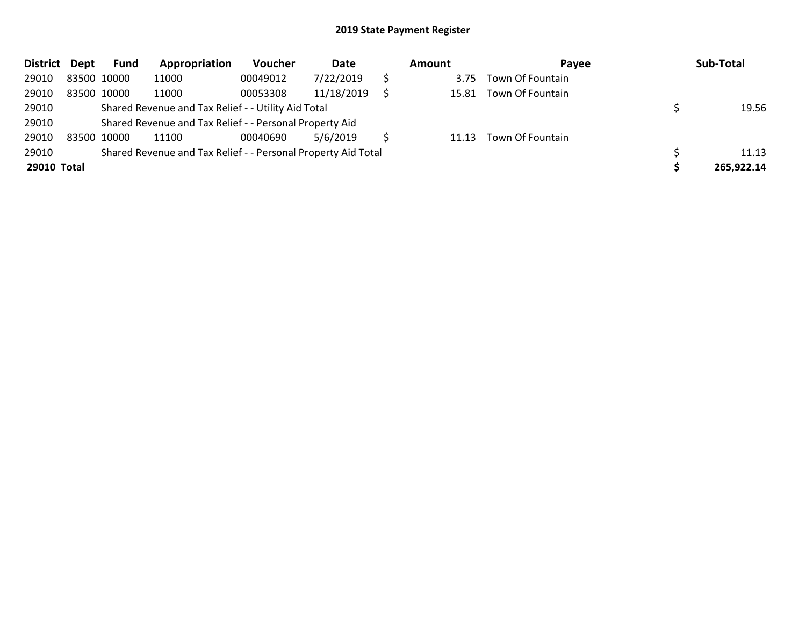| <b>District</b> | Dept        | Fund | Appropriation                                                 | Voucher  | Date       | Amount | Payee            | Sub-Total  |
|-----------------|-------------|------|---------------------------------------------------------------|----------|------------|--------|------------------|------------|
| 29010           | 83500 10000 |      | 11000                                                         | 00049012 | 7/22/2019  | 3.75   | Town Of Fountain |            |
| 29010           | 83500 10000 |      | 11000                                                         | 00053308 | 11/18/2019 | 15.81  | Town Of Fountain |            |
| 29010           |             |      | Shared Revenue and Tax Relief - - Utility Aid Total           |          |            |        |                  | 19.56      |
| 29010           |             |      | Shared Revenue and Tax Relief - - Personal Property Aid       |          |            |        |                  |            |
| 29010           | 83500 10000 |      | 11100                                                         | 00040690 | 5/6/2019   | 11.13  | Town Of Fountain |            |
| 29010           |             |      | Shared Revenue and Tax Relief - - Personal Property Aid Total |          |            |        |                  | 11.13      |
| 29010 Total     |             |      |                                                               |          |            |        |                  | 265,922.14 |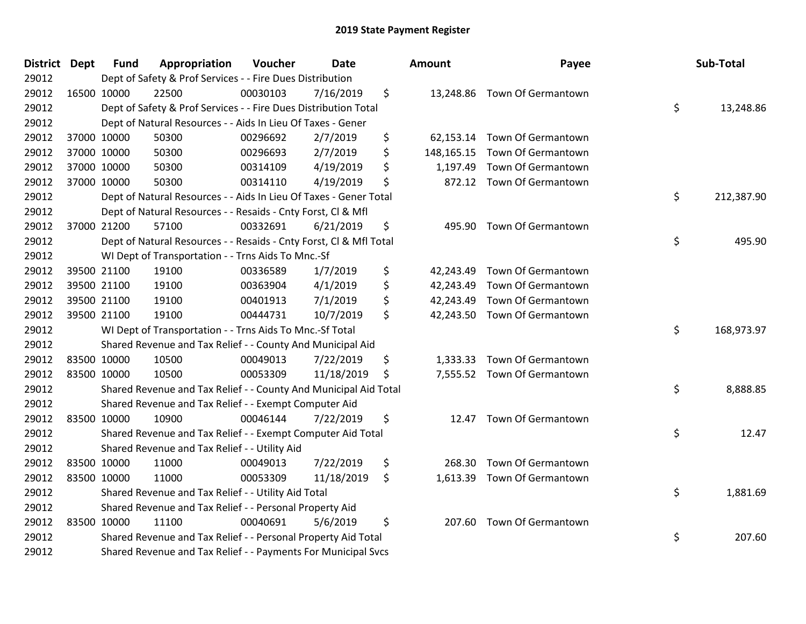| District Dept | <b>Fund</b> | Appropriation                                                      | Voucher  | Date       | Amount          | Payee                         | Sub-Total        |
|---------------|-------------|--------------------------------------------------------------------|----------|------------|-----------------|-------------------------------|------------------|
| 29012         |             | Dept of Safety & Prof Services - - Fire Dues Distribution          |          |            |                 |                               |                  |
| 29012         | 16500 10000 | 22500                                                              | 00030103 | 7/16/2019  | \$              | 13,248.86 Town Of Germantown  |                  |
| 29012         |             | Dept of Safety & Prof Services - - Fire Dues Distribution Total    |          |            |                 |                               | \$<br>13,248.86  |
| 29012         |             | Dept of Natural Resources - - Aids In Lieu Of Taxes - Gener        |          |            |                 |                               |                  |
| 29012         | 37000 10000 | 50300                                                              | 00296692 | 2/7/2019   | \$<br>62,153.14 | Town Of Germantown            |                  |
| 29012         | 37000 10000 | 50300                                                              | 00296693 | 2/7/2019   | \$              | 148,165.15 Town Of Germantown |                  |
| 29012         | 37000 10000 | 50300                                                              | 00314109 | 4/19/2019  | \$<br>1,197.49  | Town Of Germantown            |                  |
| 29012         | 37000 10000 | 50300                                                              | 00314110 | 4/19/2019  | \$              | 872.12 Town Of Germantown     |                  |
| 29012         |             | Dept of Natural Resources - - Aids In Lieu Of Taxes - Gener Total  |          |            |                 |                               | \$<br>212,387.90 |
| 29012         |             | Dept of Natural Resources - - Resaids - Cnty Forst, Cl & Mfl       |          |            |                 |                               |                  |
| 29012         | 37000 21200 | 57100                                                              | 00332691 | 6/21/2019  | \$              | 495.90 Town Of Germantown     |                  |
| 29012         |             | Dept of Natural Resources - - Resaids - Cnty Forst, Cl & Mfl Total |          |            |                 |                               | \$<br>495.90     |
| 29012         |             | WI Dept of Transportation - - Trns Aids To Mnc.-Sf                 |          |            |                 |                               |                  |
| 29012         | 39500 21100 | 19100                                                              | 00336589 | 1/7/2019   | \$<br>42,243.49 | Town Of Germantown            |                  |
| 29012         | 39500 21100 | 19100                                                              | 00363904 | 4/1/2019   | \$<br>42,243.49 | Town Of Germantown            |                  |
| 29012         | 39500 21100 | 19100                                                              | 00401913 | 7/1/2019   | \$<br>42,243.49 | Town Of Germantown            |                  |
| 29012         | 39500 21100 | 19100                                                              | 00444731 | 10/7/2019  | \$              | 42,243.50 Town Of Germantown  |                  |
| 29012         |             | WI Dept of Transportation - - Trns Aids To Mnc.-Sf Total           |          |            |                 |                               | \$<br>168,973.97 |
| 29012         |             | Shared Revenue and Tax Relief - - County And Municipal Aid         |          |            |                 |                               |                  |
| 29012         | 83500 10000 | 10500                                                              | 00049013 | 7/22/2019  | \$<br>1,333.33  | Town Of Germantown            |                  |
| 29012         | 83500 10000 | 10500                                                              | 00053309 | 11/18/2019 | \$              | 7,555.52 Town Of Germantown   |                  |
| 29012         |             | Shared Revenue and Tax Relief - - County And Municipal Aid Total   |          |            |                 |                               | \$<br>8,888.85   |
| 29012         |             | Shared Revenue and Tax Relief - - Exempt Computer Aid              |          |            |                 |                               |                  |
| 29012         | 83500 10000 | 10900                                                              | 00046144 | 7/22/2019  | \$<br>12.47     | Town Of Germantown            |                  |
| 29012         |             | Shared Revenue and Tax Relief - - Exempt Computer Aid Total        |          |            |                 |                               | \$<br>12.47      |
| 29012         |             | Shared Revenue and Tax Relief - - Utility Aid                      |          |            |                 |                               |                  |
| 29012         | 83500 10000 | 11000                                                              | 00049013 | 7/22/2019  | \$<br>268.30    | Town Of Germantown            |                  |
| 29012         | 83500 10000 | 11000                                                              | 00053309 | 11/18/2019 | \$<br>1,613.39  | Town Of Germantown            |                  |
| 29012         |             | Shared Revenue and Tax Relief - - Utility Aid Total                |          |            |                 |                               | \$<br>1,881.69   |
| 29012         |             | Shared Revenue and Tax Relief - - Personal Property Aid            |          |            |                 |                               |                  |
| 29012         | 83500 10000 | 11100                                                              | 00040691 | 5/6/2019   | \$<br>207.60    | Town Of Germantown            |                  |
| 29012         |             | Shared Revenue and Tax Relief - - Personal Property Aid Total      |          |            |                 |                               | \$<br>207.60     |
| 29012         |             | Shared Revenue and Tax Relief - - Payments For Municipal Svcs      |          |            |                 |                               |                  |

| ount      | Payee                        | Sub-Total        |
|-----------|------------------------------|------------------|
| 13,248.86 | Town Of Germantown           | \$<br>13,248.86  |
|           | 62,153.14 Town Of Germantown |                  |
|           | 48,165.15 Town Of Germantown |                  |
|           | 1,197.49 Town Of Germantown  |                  |
|           | 872.12 Town Of Germantown    |                  |
|           |                              | \$<br>212,387.90 |
| 495.90    | Town Of Germantown           |                  |
|           |                              | \$<br>495.90     |
|           | 42,243.49 Town Of Germantown |                  |
|           | 42,243.49 Town Of Germantown |                  |
|           | 42,243.49 Town Of Germantown |                  |
|           | 42,243.50 Town Of Germantown |                  |
|           |                              | \$<br>168,973.97 |
|           | 1,333.33 Town Of Germantown  |                  |
| 7,555.52  | Town Of Germantown           |                  |
|           |                              | \$<br>8,888.85   |
| 12.47     | Town Of Germantown           |                  |
|           |                              | \$<br>12.47      |
|           | 268.30 Town Of Germantown    |                  |
| 1,613.39  | Town Of Germantown           | \$<br>1,881.69   |
|           |                              |                  |
| 207.60    | Town Of Germantown           |                  |
|           |                              | \$<br>207.60     |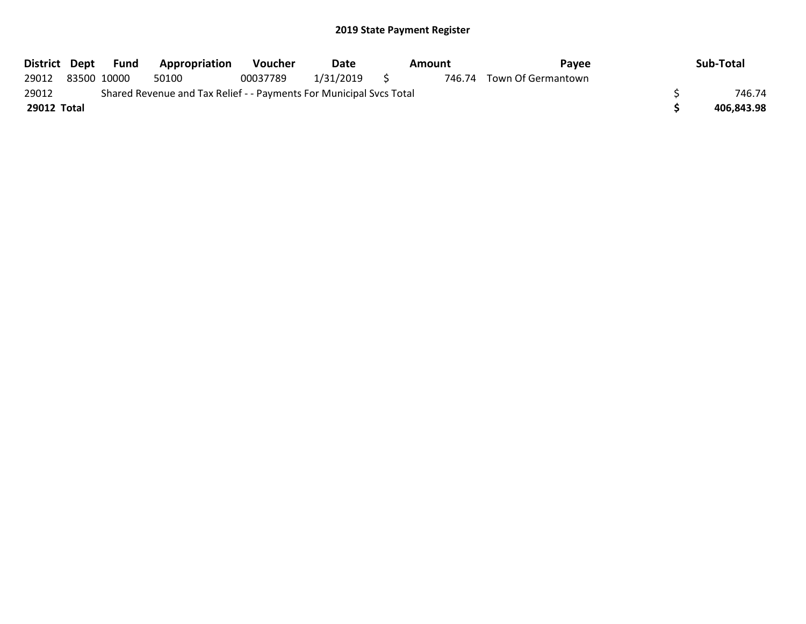|             |                                                                     | District Dept Fund | Appropriation | <b>Voucher</b> | Date      | Amount |  | Pavee                     |  | Sub-Total  |
|-------------|---------------------------------------------------------------------|--------------------|---------------|----------------|-----------|--------|--|---------------------------|--|------------|
| 29012       |                                                                     | 83500 10000        | 50100         | 00037789       | 1/31/2019 | S      |  | 746.74 Town Of Germantown |  |            |
| 29012       | Shared Revenue and Tax Relief - - Payments For Municipal Svcs Total |                    |               |                |           |        |  |                           |  | 746.74     |
| 29012 Total |                                                                     |                    |               |                |           |        |  |                           |  | 406,843.98 |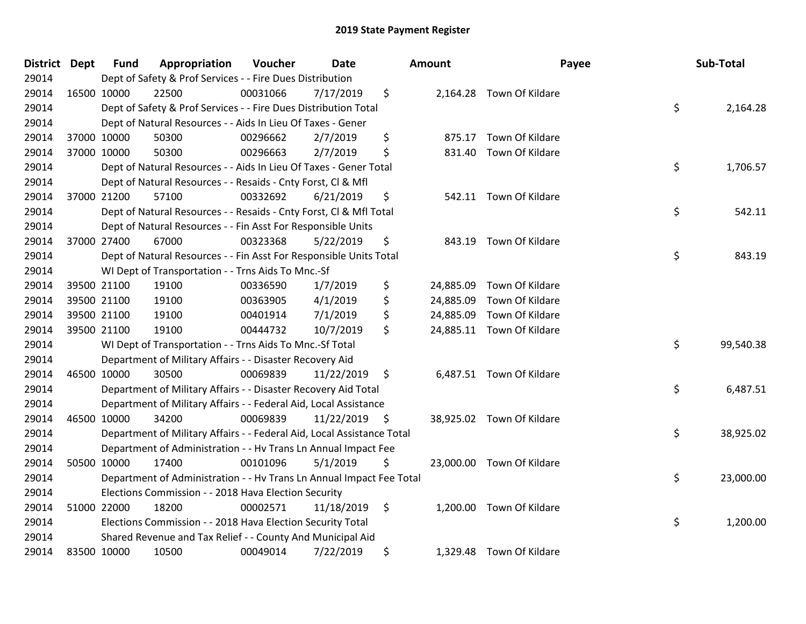| District Dept |             | <b>Fund</b> | Appropriation                                                          | Voucher  | <b>Date</b>   | Amount          |                           | Payee | Sub-Total |
|---------------|-------------|-------------|------------------------------------------------------------------------|----------|---------------|-----------------|---------------------------|-------|-----------|
| 29014         |             |             | Dept of Safety & Prof Services - - Fire Dues Distribution              |          |               |                 |                           |       |           |
| 29014         | 16500 10000 |             | 22500                                                                  | 00031066 | 7/17/2019     | \$              | 2,164.28 Town Of Kildare  |       |           |
| 29014         |             |             | Dept of Safety & Prof Services - - Fire Dues Distribution Total        |          |               |                 |                           | \$    | 2,164.28  |
| 29014         |             |             | Dept of Natural Resources - - Aids In Lieu Of Taxes - Gener            |          |               |                 |                           |       |           |
| 29014         | 37000 10000 |             | 50300                                                                  | 00296662 | 2/7/2019      | \$<br>875.17    | Town Of Kildare           |       |           |
| 29014         | 37000 10000 |             | 50300                                                                  | 00296663 | 2/7/2019      | \$<br>831.40    | Town Of Kildare           |       |           |
| 29014         |             |             | Dept of Natural Resources - - Aids In Lieu Of Taxes - Gener Total      |          |               |                 |                           | \$    | 1,706.57  |
| 29014         |             |             | Dept of Natural Resources - - Resaids - Cnty Forst, CI & Mfl           |          |               |                 |                           |       |           |
| 29014         | 37000 21200 |             | 57100                                                                  | 00332692 | 6/21/2019     | \$              | 542.11 Town Of Kildare    |       |           |
| 29014         |             |             | Dept of Natural Resources - - Resaids - Cnty Forst, CI & Mfl Total     |          |               |                 |                           | \$    | 542.11    |
| 29014         |             |             | Dept of Natural Resources - - Fin Asst For Responsible Units           |          |               |                 |                           |       |           |
| 29014         | 37000 27400 |             | 67000                                                                  | 00323368 | 5/22/2019     | \$              | 843.19 Town Of Kildare    |       |           |
| 29014         |             |             | Dept of Natural Resources - - Fin Asst For Responsible Units Total     |          |               |                 |                           | \$    | 843.19    |
| 29014         |             |             | WI Dept of Transportation - - Trns Aids To Mnc.-Sf                     |          |               |                 |                           |       |           |
| 29014         | 39500 21100 |             | 19100                                                                  | 00336590 | 1/7/2019      | \$<br>24,885.09 | Town Of Kildare           |       |           |
| 29014         | 39500 21100 |             | 19100                                                                  | 00363905 | 4/1/2019      | \$              | 24,885.09 Town Of Kildare |       |           |
| 29014         | 39500 21100 |             | 19100                                                                  | 00401914 | 7/1/2019      | \$              | 24,885.09 Town Of Kildare |       |           |
| 29014         | 39500 21100 |             | 19100                                                                  | 00444732 | 10/7/2019     | \$              | 24,885.11 Town Of Kildare |       |           |
| 29014         |             |             | WI Dept of Transportation - - Trns Aids To Mnc.-Sf Total               |          |               |                 |                           | \$    | 99,540.38 |
| 29014         |             |             | Department of Military Affairs - - Disaster Recovery Aid               |          |               |                 |                           |       |           |
| 29014         | 46500 10000 |             | 30500                                                                  | 00069839 | 11/22/2019    | \$              | 6,487.51 Town Of Kildare  |       |           |
| 29014         |             |             | Department of Military Affairs - - Disaster Recovery Aid Total         |          |               |                 |                           | \$    | 6,487.51  |
| 29014         |             |             | Department of Military Affairs - - Federal Aid, Local Assistance       |          |               |                 |                           |       |           |
| 29014         | 46500 10000 |             | 34200                                                                  | 00069839 | 11/22/2019 \$ |                 | 38,925.02 Town Of Kildare |       |           |
| 29014         |             |             | Department of Military Affairs - - Federal Aid, Local Assistance Total |          |               |                 |                           | \$    | 38,925.02 |
| 29014         |             |             | Department of Administration - - Hv Trans Ln Annual Impact Fee         |          |               |                 |                           |       |           |
| 29014         | 50500 10000 |             | 17400                                                                  | 00101096 | 5/1/2019      | \$              | 23,000.00 Town Of Kildare |       |           |
| 29014         |             |             | Department of Administration - - Hv Trans Ln Annual Impact Fee Total   |          |               |                 |                           | \$    | 23,000.00 |
| 29014         |             |             | Elections Commission - - 2018 Hava Election Security                   |          |               |                 |                           |       |           |
| 29014         | 51000 22000 |             | 18200                                                                  | 00002571 | 11/18/2019    | \$              | 1,200.00 Town Of Kildare  |       |           |
| 29014         |             |             | Elections Commission - - 2018 Hava Election Security Total             |          |               |                 |                           | \$    | 1,200.00  |
| 29014         |             |             | Shared Revenue and Tax Relief - - County And Municipal Aid             |          |               |                 |                           |       |           |
| 29014         | 83500 10000 |             | 10500                                                                  | 00049014 | 7/22/2019     | \$              | 1,329.48 Town Of Kildare  |       |           |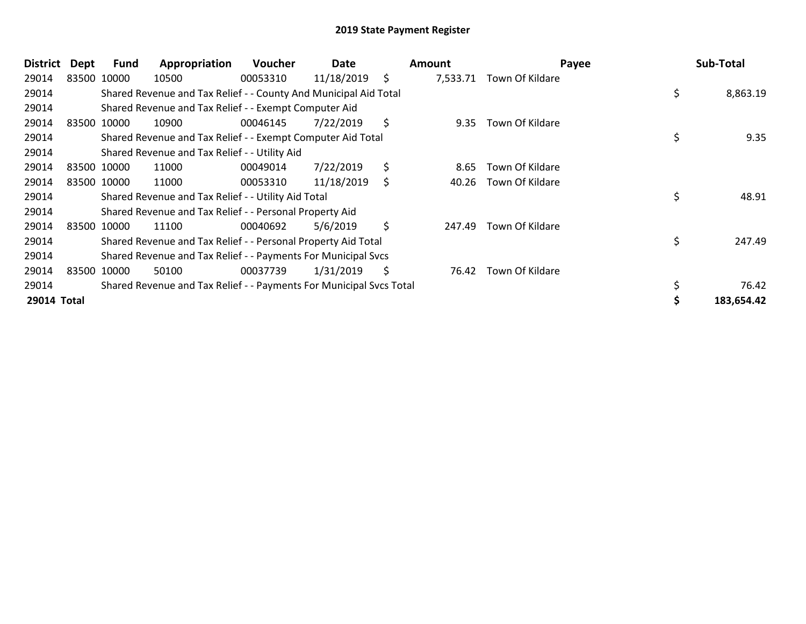| <b>District</b> | Dept | <b>Fund</b> | Appropriation                                                       | <b>Voucher</b> | Date       |     | Amount   | Payee           | Sub-Total      |
|-----------------|------|-------------|---------------------------------------------------------------------|----------------|------------|-----|----------|-----------------|----------------|
| 29014           |      | 83500 10000 | 10500                                                               | 00053310       | 11/18/2019 | \$  | 7,533.71 | Town Of Kildare |                |
| 29014           |      |             | Shared Revenue and Tax Relief - - County And Municipal Aid Total    |                |            |     |          |                 | \$<br>8,863.19 |
| 29014           |      |             | Shared Revenue and Tax Relief - - Exempt Computer Aid               |                |            |     |          |                 |                |
| 29014           |      | 83500 10000 | 10900                                                               | 00046145       | 7/22/2019  | \$  | 9.35     | Town Of Kildare |                |
| 29014           |      |             | Shared Revenue and Tax Relief - - Exempt Computer Aid Total         |                |            |     |          |                 | \$<br>9.35     |
| 29014           |      |             | Shared Revenue and Tax Relief - - Utility Aid                       |                |            |     |          |                 |                |
| 29014           |      | 83500 10000 | 11000                                                               | 00049014       | 7/22/2019  | \$  | 8.65     | Town Of Kildare |                |
| 29014           |      | 83500 10000 | 11000                                                               | 00053310       | 11/18/2019 | \$  | 40.26    | Town Of Kildare |                |
| 29014           |      |             | Shared Revenue and Tax Relief - - Utility Aid Total                 |                |            |     |          |                 | \$<br>48.91    |
| 29014           |      |             | Shared Revenue and Tax Relief - - Personal Property Aid             |                |            |     |          |                 |                |
| 29014           |      | 83500 10000 | 11100                                                               | 00040692       | 5/6/2019   | \$  | 247.49   | Town Of Kildare |                |
| 29014           |      |             | Shared Revenue and Tax Relief - - Personal Property Aid Total       |                |            |     |          |                 | \$<br>247.49   |
| 29014           |      |             | Shared Revenue and Tax Relief - - Payments For Municipal Svcs       |                |            |     |          |                 |                |
| 29014           |      | 83500 10000 | 50100                                                               | 00037739       | 1/31/2019  | \$. | 76.42    | Town Of Kildare |                |
| 29014           |      |             | Shared Revenue and Tax Relief - - Payments For Municipal Svcs Total |                |            |     |          |                 | 76.42          |
| 29014 Total     |      |             |                                                                     |                |            |     |          |                 | 183,654.42     |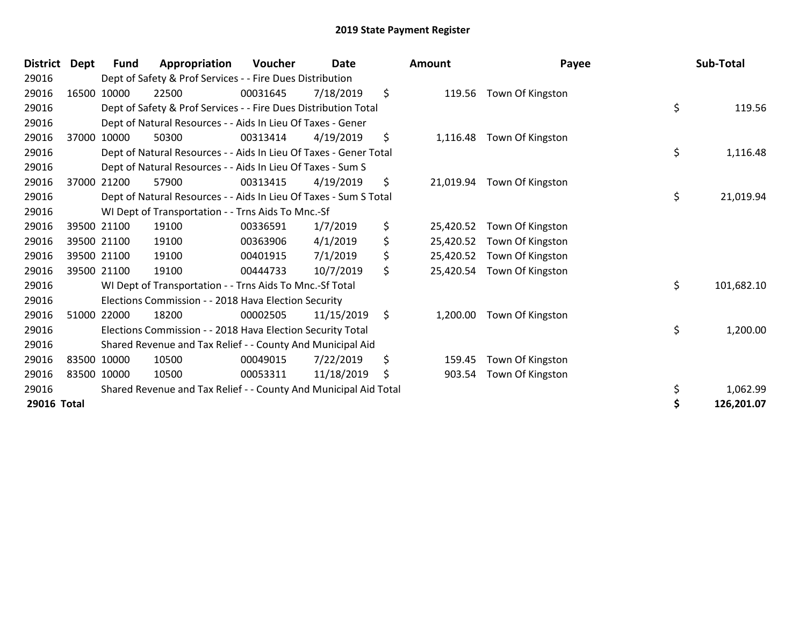| <b>District</b> | Dept        | Fund        | Appropriation                                                     | Voucher  | Date       | <b>Amount</b>   | Payee            | Sub-Total        |
|-----------------|-------------|-------------|-------------------------------------------------------------------|----------|------------|-----------------|------------------|------------------|
| 29016           |             |             | Dept of Safety & Prof Services - - Fire Dues Distribution         |          |            |                 |                  |                  |
| 29016           |             | 16500 10000 | 22500                                                             | 00031645 | 7/18/2019  | \$<br>119.56    | Town Of Kingston |                  |
| 29016           |             |             | Dept of Safety & Prof Services - - Fire Dues Distribution Total   |          |            |                 |                  | \$<br>119.56     |
| 29016           |             |             | Dept of Natural Resources - - Aids In Lieu Of Taxes - Gener       |          |            |                 |                  |                  |
| 29016           |             | 37000 10000 | 50300                                                             | 00313414 | 4/19/2019  | \$<br>1,116.48  | Town Of Kingston |                  |
| 29016           |             |             | Dept of Natural Resources - - Aids In Lieu Of Taxes - Gener Total |          |            |                 |                  | \$<br>1,116.48   |
| 29016           |             |             | Dept of Natural Resources - - Aids In Lieu Of Taxes - Sum S       |          |            |                 |                  |                  |
| 29016           | 37000       | 21200       | 57900                                                             | 00313415 | 4/19/2019  | \$<br>21,019.94 | Town Of Kingston |                  |
| 29016           |             |             | Dept of Natural Resources - - Aids In Lieu Of Taxes - Sum S Total |          |            |                 |                  | \$<br>21,019.94  |
| 29016           |             |             | WI Dept of Transportation - - Trns Aids To Mnc.-Sf                |          |            |                 |                  |                  |
| 29016           |             | 39500 21100 | 19100                                                             | 00336591 | 1/7/2019   | \$<br>25,420.52 | Town Of Kingston |                  |
| 29016           |             | 39500 21100 | 19100                                                             | 00363906 | 4/1/2019   | \$<br>25,420.52 | Town Of Kingston |                  |
| 29016           |             | 39500 21100 | 19100                                                             | 00401915 | 7/1/2019   | \$<br>25,420.52 | Town Of Kingston |                  |
| 29016           | 39500 21100 |             | 19100                                                             | 00444733 | 10/7/2019  | \$<br>25,420.54 | Town Of Kingston |                  |
| 29016           |             |             | WI Dept of Transportation - - Trns Aids To Mnc.-Sf Total          |          |            |                 |                  | \$<br>101,682.10 |
| 29016           |             |             | Elections Commission - - 2018 Hava Election Security              |          |            |                 |                  |                  |
| 29016           |             | 51000 22000 | 18200                                                             | 00002505 | 11/15/2019 | \$<br>1,200.00  | Town Of Kingston |                  |
| 29016           |             |             | Elections Commission - - 2018 Hava Election Security Total        |          |            |                 |                  | \$<br>1,200.00   |
| 29016           |             |             | Shared Revenue and Tax Relief - - County And Municipal Aid        |          |            |                 |                  |                  |
| 29016           | 83500 10000 |             | 10500                                                             | 00049015 | 7/22/2019  | \$<br>159.45    | Town Of Kingston |                  |
| 29016           | 83500 10000 |             | 10500                                                             | 00053311 | 11/18/2019 | \$<br>903.54    | Town Of Kingston |                  |
| 29016           |             |             | Shared Revenue and Tax Relief - - County And Municipal Aid Total  |          |            |                 |                  | \$<br>1,062.99   |
| 29016 Total     |             |             |                                                                   |          |            |                 |                  | \$<br>126,201.07 |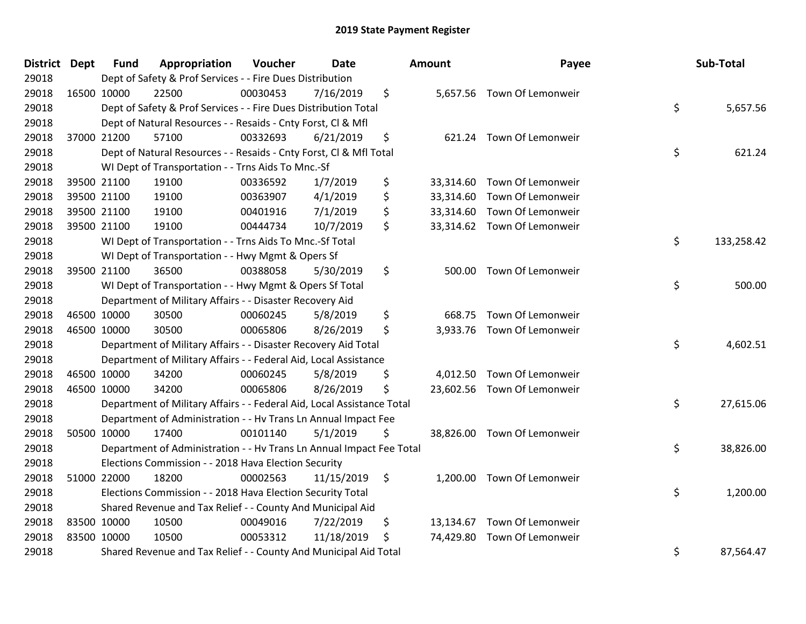| District Dept |             | <b>Fund</b> | Appropriation                                                          | Voucher  | Date       | <b>Amount</b>   | Payee                       | Sub-Total        |
|---------------|-------------|-------------|------------------------------------------------------------------------|----------|------------|-----------------|-----------------------------|------------------|
| 29018         |             |             | Dept of Safety & Prof Services - - Fire Dues Distribution              |          |            |                 |                             |                  |
| 29018         | 16500 10000 |             | 22500                                                                  | 00030453 | 7/16/2019  | \$              | 5,657.56 Town Of Lemonweir  |                  |
| 29018         |             |             | Dept of Safety & Prof Services - - Fire Dues Distribution Total        |          |            |                 |                             | \$<br>5,657.56   |
| 29018         |             |             | Dept of Natural Resources - - Resaids - Cnty Forst, Cl & Mfl           |          |            |                 |                             |                  |
| 29018         | 37000 21200 |             | 57100                                                                  | 00332693 | 6/21/2019  | \$              | 621.24 Town Of Lemonweir    |                  |
| 29018         |             |             | Dept of Natural Resources - - Resaids - Cnty Forst, Cl & Mfl Total     |          |            |                 |                             | \$<br>621.24     |
| 29018         |             |             | WI Dept of Transportation - - Trns Aids To Mnc.-Sf                     |          |            |                 |                             |                  |
| 29018         |             | 39500 21100 | 19100                                                                  | 00336592 | 1/7/2019   | \$              | 33,314.60 Town Of Lemonweir |                  |
| 29018         |             | 39500 21100 | 19100                                                                  | 00363907 | 4/1/2019   | \$              | 33,314.60 Town Of Lemonweir |                  |
| 29018         |             | 39500 21100 | 19100                                                                  | 00401916 | 7/1/2019   | \$              | 33,314.60 Town Of Lemonweir |                  |
| 29018         | 39500 21100 |             | 19100                                                                  | 00444734 | 10/7/2019  | \$              | 33,314.62 Town Of Lemonweir |                  |
| 29018         |             |             | WI Dept of Transportation - - Trns Aids To Mnc.-Sf Total               |          |            |                 |                             | \$<br>133,258.42 |
| 29018         |             |             | WI Dept of Transportation - - Hwy Mgmt & Opers Sf                      |          |            |                 |                             |                  |
| 29018         |             | 39500 21100 | 36500                                                                  | 00388058 | 5/30/2019  | \$              | 500.00 Town Of Lemonweir    |                  |
| 29018         |             |             | WI Dept of Transportation - - Hwy Mgmt & Opers Sf Total                |          |            |                 |                             | \$<br>500.00     |
| 29018         |             |             | Department of Military Affairs - - Disaster Recovery Aid               |          |            |                 |                             |                  |
| 29018         | 46500 10000 |             | 30500                                                                  | 00060245 | 5/8/2019   | \$<br>668.75    | Town Of Lemonweir           |                  |
| 29018         | 46500 10000 |             | 30500                                                                  | 00065806 | 8/26/2019  | \$              | 3,933.76 Town Of Lemonweir  |                  |
| 29018         |             |             | Department of Military Affairs - - Disaster Recovery Aid Total         |          |            |                 |                             | \$<br>4,602.51   |
| 29018         |             |             | Department of Military Affairs - - Federal Aid, Local Assistance       |          |            |                 |                             |                  |
| 29018         | 46500 10000 |             | 34200                                                                  | 00060245 | 5/8/2019   | \$              | 4,012.50 Town Of Lemonweir  |                  |
| 29018         | 46500 10000 |             | 34200                                                                  | 00065806 | 8/26/2019  | \$              | 23,602.56 Town Of Lemonweir |                  |
| 29018         |             |             | Department of Military Affairs - - Federal Aid, Local Assistance Total |          |            |                 |                             | \$<br>27,615.06  |
| 29018         |             |             | Department of Administration - - Hv Trans Ln Annual Impact Fee         |          |            |                 |                             |                  |
| 29018         | 50500 10000 |             | 17400                                                                  | 00101140 | 5/1/2019   | \$              | 38,826.00 Town Of Lemonweir |                  |
| 29018         |             |             | Department of Administration - - Hv Trans Ln Annual Impact Fee Total   |          |            |                 |                             | \$<br>38,826.00  |
| 29018         |             |             | Elections Commission - - 2018 Hava Election Security                   |          |            |                 |                             |                  |
| 29018         | 51000 22000 |             | 18200                                                                  | 00002563 | 11/15/2019 | \$              | 1,200.00 Town Of Lemonweir  |                  |
| 29018         |             |             | Elections Commission - - 2018 Hava Election Security Total             |          |            |                 |                             | \$<br>1,200.00   |
| 29018         |             |             | Shared Revenue and Tax Relief - - County And Municipal Aid             |          |            |                 |                             |                  |
| 29018         | 83500 10000 |             | 10500                                                                  | 00049016 | 7/22/2019  | \$<br>13,134.67 | Town Of Lemonweir           |                  |
| 29018         | 83500 10000 |             | 10500                                                                  | 00053312 | 11/18/2019 | \$<br>74,429.80 | Town Of Lemonweir           |                  |
| 29018         |             |             | Shared Revenue and Tax Relief - - County And Municipal Aid Total       |          |            |                 |                             | \$<br>87,564.47  |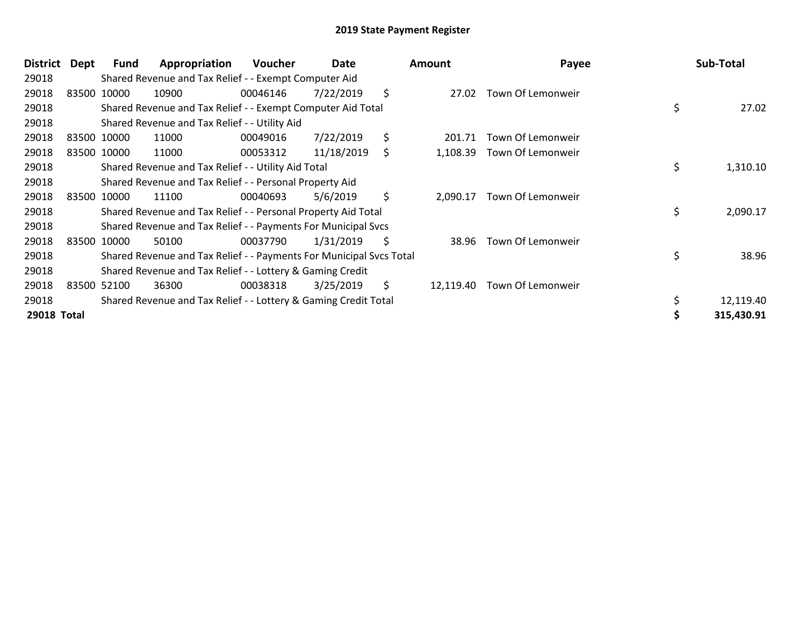| <b>District</b> | Dept        | Fund        | Appropriation                                                       | <b>Voucher</b> | Date       | Amount          | Payee             | Sub-Total       |
|-----------------|-------------|-------------|---------------------------------------------------------------------|----------------|------------|-----------------|-------------------|-----------------|
| 29018           |             |             | Shared Revenue and Tax Relief - - Exempt Computer Aid               |                |            |                 |                   |                 |
| 29018           | 83500 10000 |             | 10900                                                               | 00046146       | 7/22/2019  | \$<br>27.02     | Town Of Lemonweir |                 |
| 29018           |             |             | Shared Revenue and Tax Relief - - Exempt Computer Aid Total         |                |            |                 |                   | \$<br>27.02     |
| 29018           |             |             | Shared Revenue and Tax Relief - - Utility Aid                       |                |            |                 |                   |                 |
| 29018           |             | 83500 10000 | 11000                                                               | 00049016       | 7/22/2019  | \$<br>201.71    | Town Of Lemonweir |                 |
| 29018           |             | 83500 10000 | 11000                                                               | 00053312       | 11/18/2019 | \$<br>1,108.39  | Town Of Lemonweir |                 |
| 29018           |             |             | Shared Revenue and Tax Relief - - Utility Aid Total                 |                |            |                 |                   | \$<br>1,310.10  |
| 29018           |             |             | Shared Revenue and Tax Relief - - Personal Property Aid             |                |            |                 |                   |                 |
| 29018           |             | 83500 10000 | 11100                                                               | 00040693       | 5/6/2019   | \$<br>2,090.17  | Town Of Lemonweir |                 |
| 29018           |             |             | Shared Revenue and Tax Relief - - Personal Property Aid Total       |                |            |                 |                   | \$<br>2,090.17  |
| 29018           |             |             | Shared Revenue and Tax Relief - - Payments For Municipal Svcs       |                |            |                 |                   |                 |
| 29018           |             | 83500 10000 | 50100                                                               | 00037790       | 1/31/2019  | \$<br>38.96     | Town Of Lemonweir |                 |
| 29018           |             |             | Shared Revenue and Tax Relief - - Payments For Municipal Svcs Total |                |            |                 |                   | \$<br>38.96     |
| 29018           |             |             | Shared Revenue and Tax Relief - - Lottery & Gaming Credit           |                |            |                 |                   |                 |
| 29018           |             | 83500 52100 | 36300                                                               | 00038318       | 3/25/2019  | \$<br>12,119.40 | Town Of Lemonweir |                 |
| 29018           |             |             | Shared Revenue and Tax Relief - - Lottery & Gaming Credit Total     |                |            |                 |                   | \$<br>12,119.40 |
| 29018 Total     |             |             |                                                                     |                |            |                 |                   | 315,430.91      |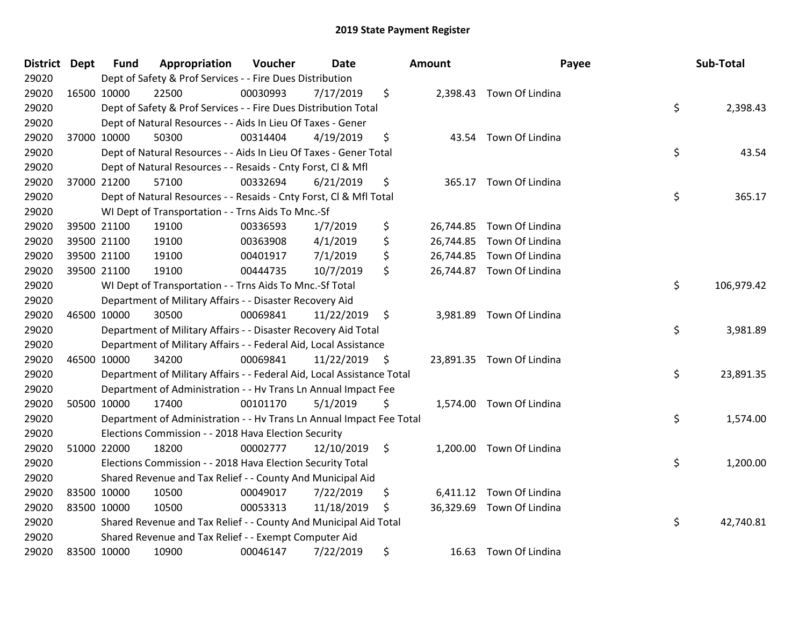| District Dept |             | <b>Fund</b> | Appropriation                                                          | Voucher  | <b>Date</b>   | Amount | Payee                     | Sub-Total        |
|---------------|-------------|-------------|------------------------------------------------------------------------|----------|---------------|--------|---------------------------|------------------|
| 29020         |             |             | Dept of Safety & Prof Services - - Fire Dues Distribution              |          |               |        |                           |                  |
| 29020         | 16500 10000 |             | 22500                                                                  | 00030993 | 7/17/2019     | \$     | 2,398.43 Town Of Lindina  |                  |
| 29020         |             |             | Dept of Safety & Prof Services - - Fire Dues Distribution Total        |          |               |        |                           | \$<br>2,398.43   |
| 29020         |             |             | Dept of Natural Resources - - Aids In Lieu Of Taxes - Gener            |          |               |        |                           |                  |
| 29020         | 37000 10000 |             | 50300                                                                  | 00314404 | 4/19/2019     | \$     | 43.54 Town Of Lindina     |                  |
| 29020         |             |             | Dept of Natural Resources - - Aids In Lieu Of Taxes - Gener Total      |          |               |        |                           | \$<br>43.54      |
| 29020         |             |             | Dept of Natural Resources - - Resaids - Cnty Forst, Cl & Mfl           |          |               |        |                           |                  |
| 29020         | 37000 21200 |             | 57100                                                                  | 00332694 | 6/21/2019     | \$     | 365.17 Town Of Lindina    |                  |
| 29020         |             |             | Dept of Natural Resources - - Resaids - Cnty Forst, CI & Mfl Total     |          |               |        |                           | \$<br>365.17     |
| 29020         |             |             | WI Dept of Transportation - - Trns Aids To Mnc.-Sf                     |          |               |        |                           |                  |
| 29020         |             | 39500 21100 | 19100                                                                  | 00336593 | 1/7/2019      | \$     | 26,744.85 Town Of Lindina |                  |
| 29020         |             | 39500 21100 | 19100                                                                  | 00363908 | 4/1/2019      | \$     | 26,744.85 Town Of Lindina |                  |
| 29020         | 39500 21100 |             | 19100                                                                  | 00401917 | 7/1/2019      | \$     | 26,744.85 Town Of Lindina |                  |
| 29020         | 39500 21100 |             | 19100                                                                  | 00444735 | 10/7/2019     | \$     | 26,744.87 Town Of Lindina |                  |
| 29020         |             |             | WI Dept of Transportation - - Trns Aids To Mnc.-Sf Total               |          |               |        |                           | \$<br>106,979.42 |
| 29020         |             |             | Department of Military Affairs - - Disaster Recovery Aid               |          |               |        |                           |                  |
| 29020         |             | 46500 10000 | 30500                                                                  | 00069841 | 11/22/2019    | \$     | 3,981.89 Town Of Lindina  |                  |
| 29020         |             |             | Department of Military Affairs - - Disaster Recovery Aid Total         |          |               |        |                           | \$<br>3,981.89   |
| 29020         |             |             | Department of Military Affairs - - Federal Aid, Local Assistance       |          |               |        |                           |                  |
| 29020         | 46500 10000 |             | 34200                                                                  | 00069841 | 11/22/2019 \$ |        | 23,891.35 Town Of Lindina |                  |
| 29020         |             |             | Department of Military Affairs - - Federal Aid, Local Assistance Total |          |               |        |                           | \$<br>23,891.35  |
| 29020         |             |             | Department of Administration - - Hv Trans Ln Annual Impact Fee         |          |               |        |                           |                  |
| 29020         | 50500 10000 |             | 17400                                                                  | 00101170 | 5/1/2019      | \$     | 1,574.00 Town Of Lindina  |                  |
| 29020         |             |             | Department of Administration - - Hv Trans Ln Annual Impact Fee Total   |          |               |        |                           | \$<br>1,574.00   |
| 29020         |             |             | Elections Commission - - 2018 Hava Election Security                   |          |               |        |                           |                  |
| 29020         | 51000 22000 |             | 18200                                                                  | 00002777 | 12/10/2019    | \$     | 1,200.00 Town Of Lindina  |                  |
| 29020         |             |             | Elections Commission - - 2018 Hava Election Security Total             |          |               |        |                           | \$<br>1,200.00   |
| 29020         |             |             | Shared Revenue and Tax Relief - - County And Municipal Aid             |          |               |        |                           |                  |
| 29020         |             | 83500 10000 | 10500                                                                  | 00049017 | 7/22/2019     | \$     | 6,411.12 Town Of Lindina  |                  |
| 29020         | 83500 10000 |             | 10500                                                                  | 00053313 | 11/18/2019    | \$     | 36,329.69 Town Of Lindina |                  |
| 29020         |             |             | Shared Revenue and Tax Relief - - County And Municipal Aid Total       |          |               |        |                           | \$<br>42,740.81  |
| 29020         |             |             | Shared Revenue and Tax Relief - - Exempt Computer Aid                  |          |               |        |                           |                  |
| 29020         | 83500 10000 |             | 10900                                                                  | 00046147 | 7/22/2019     | \$     | 16.63 Town Of Lindina     |                  |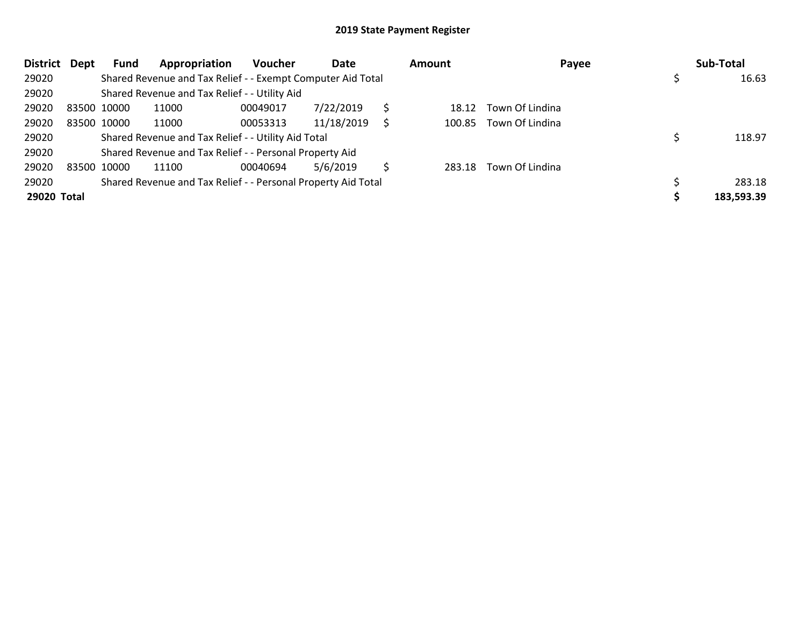| <b>District</b> | Dept | Fund        | Appropriation                                                 | <b>Voucher</b> | Date       |   | Amount | Payee                  | Sub-Total  |
|-----------------|------|-------------|---------------------------------------------------------------|----------------|------------|---|--------|------------------------|------------|
| 29020           |      |             | Shared Revenue and Tax Relief - - Exempt Computer Aid Total   |                |            |   |        |                        | 16.63      |
| 29020           |      |             | Shared Revenue and Tax Relief - - Utility Aid                 |                |            |   |        |                        |            |
| 29020           |      | 83500 10000 | 11000                                                         | 00049017       | 7/22/2019  |   | 18.12  | Town Of Lindina        |            |
| 29020           |      | 83500 10000 | 11000                                                         | 00053313       | 11/18/2019 |   |        | 100.85 Town Of Lindina |            |
| 29020           |      |             | Shared Revenue and Tax Relief - - Utility Aid Total           |                |            |   |        |                        | 118.97     |
| 29020           |      |             | Shared Revenue and Tax Relief - - Personal Property Aid       |                |            |   |        |                        |            |
| 29020           |      | 83500 10000 | 11100                                                         | 00040694       | 5/6/2019   | S | 283.18 | Town Of Lindina        |            |
| 29020           |      |             | Shared Revenue and Tax Relief - - Personal Property Aid Total |                |            |   |        |                        | 283.18     |
| 29020 Total     |      |             |                                                               |                |            |   |        |                        | 183,593.39 |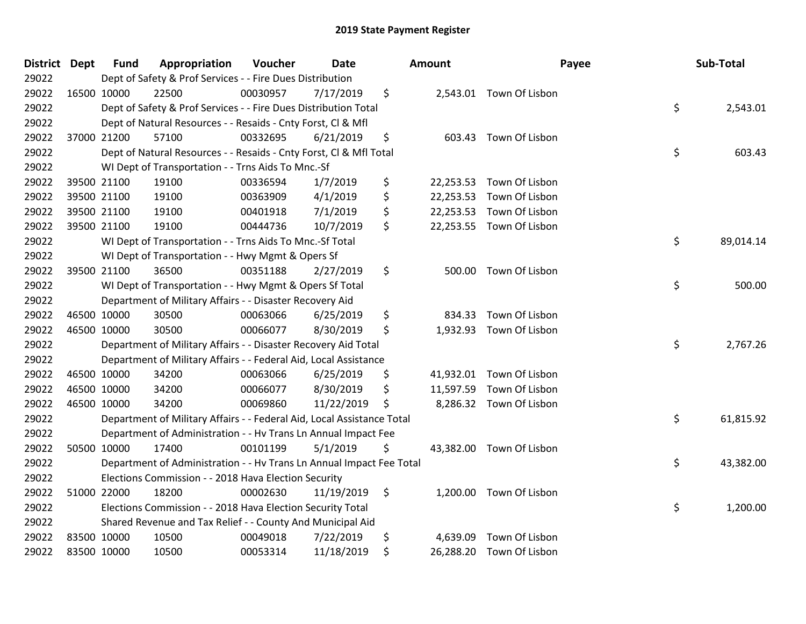| District Dept |             | <b>Fund</b> | Appropriation                                                          | Voucher  | <b>Date</b> | <b>Amount</b>   |                          | Payee | Sub-Total |
|---------------|-------------|-------------|------------------------------------------------------------------------|----------|-------------|-----------------|--------------------------|-------|-----------|
| 29022         |             |             | Dept of Safety & Prof Services - - Fire Dues Distribution              |          |             |                 |                          |       |           |
| 29022         | 16500 10000 |             | 22500                                                                  | 00030957 | 7/17/2019   | \$              | 2,543.01 Town Of Lisbon  |       |           |
| 29022         |             |             | Dept of Safety & Prof Services - - Fire Dues Distribution Total        |          |             |                 |                          | \$    | 2,543.01  |
| 29022         |             |             | Dept of Natural Resources - - Resaids - Cnty Forst, CI & Mfl           |          |             |                 |                          |       |           |
| 29022         | 37000 21200 |             | 57100                                                                  | 00332695 | 6/21/2019   | \$              | 603.43 Town Of Lisbon    |       |           |
| 29022         |             |             | Dept of Natural Resources - - Resaids - Cnty Forst, Cl & Mfl Total     |          |             |                 |                          | \$    | 603.43    |
| 29022         |             |             | WI Dept of Transportation - - Trns Aids To Mnc.-Sf                     |          |             |                 |                          |       |           |
| 29022         |             | 39500 21100 | 19100                                                                  | 00336594 | 1/7/2019    | \$<br>22,253.53 | Town Of Lisbon           |       |           |
| 29022         | 39500 21100 |             | 19100                                                                  | 00363909 | 4/1/2019    | \$<br>22,253.53 | Town Of Lisbon           |       |           |
| 29022         |             | 39500 21100 | 19100                                                                  | 00401918 | 7/1/2019    | \$              | 22,253.53 Town Of Lisbon |       |           |
| 29022         | 39500 21100 |             | 19100                                                                  | 00444736 | 10/7/2019   | \$              | 22,253.55 Town Of Lisbon |       |           |
| 29022         |             |             | WI Dept of Transportation - - Trns Aids To Mnc.-Sf Total               |          |             |                 |                          | \$    | 89,014.14 |
| 29022         |             |             | WI Dept of Transportation - - Hwy Mgmt & Opers Sf                      |          |             |                 |                          |       |           |
| 29022         |             | 39500 21100 | 36500                                                                  | 00351188 | 2/27/2019   | \$              | 500.00 Town Of Lisbon    |       |           |
| 29022         |             |             | WI Dept of Transportation - - Hwy Mgmt & Opers Sf Total                |          |             |                 |                          | \$    | 500.00    |
| 29022         |             |             | Department of Military Affairs - - Disaster Recovery Aid               |          |             |                 |                          |       |           |
| 29022         | 46500 10000 |             | 30500                                                                  | 00063066 | 6/25/2019   | \$<br>834.33    | Town Of Lisbon           |       |           |
| 29022         | 46500 10000 |             | 30500                                                                  | 00066077 | 8/30/2019   | \$              | 1,932.93 Town Of Lisbon  |       |           |
| 29022         |             |             | Department of Military Affairs - - Disaster Recovery Aid Total         |          |             |                 |                          | \$    | 2,767.26  |
| 29022         |             |             | Department of Military Affairs - - Federal Aid, Local Assistance       |          |             |                 |                          |       |           |
| 29022         | 46500 10000 |             | 34200                                                                  | 00063066 | 6/25/2019   | \$              | 41,932.01 Town Of Lisbon |       |           |
| 29022         | 46500 10000 |             | 34200                                                                  | 00066077 | 8/30/2019   | \$              | 11,597.59 Town Of Lisbon |       |           |
| 29022         | 46500 10000 |             | 34200                                                                  | 00069860 | 11/22/2019  | \$              | 8,286.32 Town Of Lisbon  |       |           |
| 29022         |             |             | Department of Military Affairs - - Federal Aid, Local Assistance Total |          |             |                 |                          | \$    | 61,815.92 |
| 29022         |             |             | Department of Administration - - Hv Trans Ln Annual Impact Fee         |          |             |                 |                          |       |           |
| 29022         | 50500 10000 |             | 17400                                                                  | 00101199 | 5/1/2019    | \$              | 43,382.00 Town Of Lisbon |       |           |
| 29022         |             |             | Department of Administration - - Hv Trans Ln Annual Impact Fee Total   |          |             |                 |                          | \$    | 43,382.00 |
| 29022         |             |             | Elections Commission - - 2018 Hava Election Security                   |          |             |                 |                          |       |           |
| 29022         | 51000 22000 |             | 18200                                                                  | 00002630 | 11/19/2019  | \$              | 1,200.00 Town Of Lisbon  |       |           |
| 29022         |             |             | Elections Commission - - 2018 Hava Election Security Total             |          |             |                 |                          | \$    | 1,200.00  |
| 29022         |             |             | Shared Revenue and Tax Relief - - County And Municipal Aid             |          |             |                 |                          |       |           |
| 29022         | 83500 10000 |             | 10500                                                                  | 00049018 | 7/22/2019   | \$<br>4,639.09  | Town Of Lisbon           |       |           |
| 29022         | 83500 10000 |             | 10500                                                                  | 00053314 | 11/18/2019  | \$              | 26,288.20 Town Of Lisbon |       |           |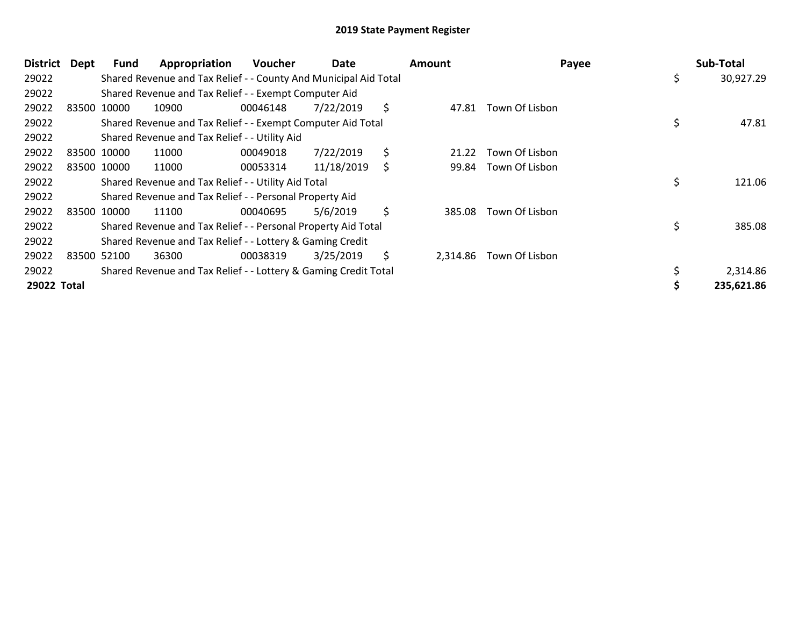| <b>District</b> | Dept | <b>Fund</b> | Appropriation                                                    | <b>Voucher</b> | Date       | <b>Amount</b>  | Payee          | Sub-Total       |
|-----------------|------|-------------|------------------------------------------------------------------|----------------|------------|----------------|----------------|-----------------|
| 29022           |      |             | Shared Revenue and Tax Relief - - County And Municipal Aid Total |                |            |                |                | \$<br>30,927.29 |
| 29022           |      |             | Shared Revenue and Tax Relief - - Exempt Computer Aid            |                |            |                |                |                 |
| 29022           |      | 83500 10000 | 10900                                                            | 00046148       | 7/22/2019  | \$<br>47.81    | Town Of Lisbon |                 |
| 29022           |      |             | Shared Revenue and Tax Relief - - Exempt Computer Aid Total      |                |            |                |                | \$<br>47.81     |
| 29022           |      |             | Shared Revenue and Tax Relief - - Utility Aid                    |                |            |                |                |                 |
| 29022           |      | 83500 10000 | 11000                                                            | 00049018       | 7/22/2019  | \$<br>21.22    | Town Of Lisbon |                 |
| 29022           |      | 83500 10000 | 11000                                                            | 00053314       | 11/18/2019 | \$<br>99.84    | Town Of Lisbon |                 |
| 29022           |      |             | Shared Revenue and Tax Relief - - Utility Aid Total              |                |            |                |                | \$<br>121.06    |
| 29022           |      |             | Shared Revenue and Tax Relief - - Personal Property Aid          |                |            |                |                |                 |
| 29022           |      | 83500 10000 | 11100                                                            | 00040695       | 5/6/2019   | \$<br>385.08   | Town Of Lisbon |                 |
| 29022           |      |             | Shared Revenue and Tax Relief - - Personal Property Aid Total    |                |            |                |                | \$<br>385.08    |
| 29022           |      |             | Shared Revenue and Tax Relief - - Lottery & Gaming Credit        |                |            |                |                |                 |
| 29022           |      | 83500 52100 | 36300                                                            | 00038319       | 3/25/2019  | \$<br>2,314.86 | Town Of Lisbon |                 |
| 29022           |      |             | Shared Revenue and Tax Relief - - Lottery & Gaming Credit Total  |                |            |                |                | 2,314.86        |
| 29022 Total     |      |             |                                                                  |                |            |                |                | 235,621.86      |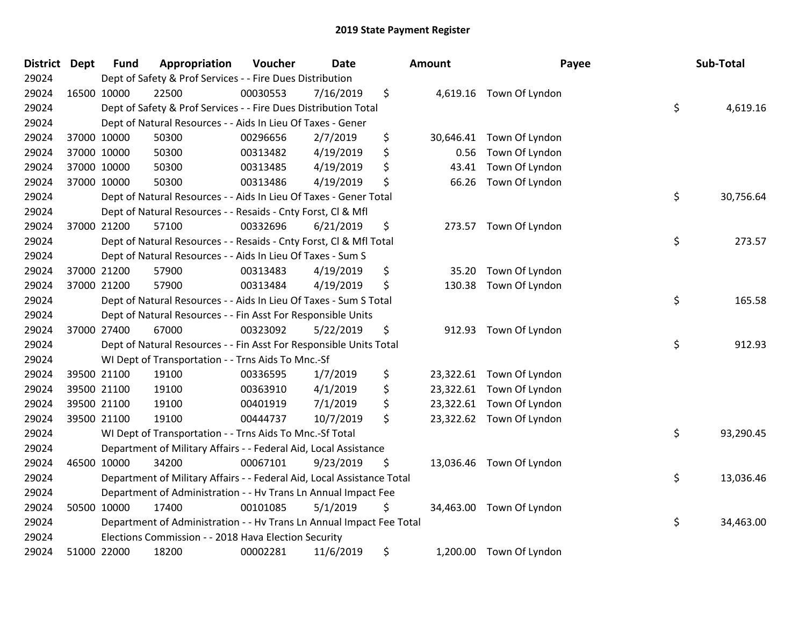| District Dept |             | <b>Fund</b> | Appropriation                                                          | Voucher  | <b>Date</b> | <b>Amount</b> | Payee                    | Sub-Total       |
|---------------|-------------|-------------|------------------------------------------------------------------------|----------|-------------|---------------|--------------------------|-----------------|
| 29024         |             |             | Dept of Safety & Prof Services - - Fire Dues Distribution              |          |             |               |                          |                 |
| 29024         | 16500 10000 |             | 22500                                                                  | 00030553 | 7/16/2019   | \$            | 4,619.16 Town Of Lyndon  |                 |
| 29024         |             |             | Dept of Safety & Prof Services - - Fire Dues Distribution Total        |          |             |               |                          | \$<br>4,619.16  |
| 29024         |             |             | Dept of Natural Resources - - Aids In Lieu Of Taxes - Gener            |          |             |               |                          |                 |
| 29024         |             | 37000 10000 | 50300                                                                  | 00296656 | 2/7/2019    | \$            | 30,646.41 Town Of Lyndon |                 |
| 29024         |             | 37000 10000 | 50300                                                                  | 00313482 | 4/19/2019   | \$<br>0.56    | Town Of Lyndon           |                 |
| 29024         |             | 37000 10000 | 50300                                                                  | 00313485 | 4/19/2019   | \$<br>43.41   | Town Of Lyndon           |                 |
| 29024         |             | 37000 10000 | 50300                                                                  | 00313486 | 4/19/2019   | \$<br>66.26   | Town Of Lyndon           |                 |
| 29024         |             |             | Dept of Natural Resources - - Aids In Lieu Of Taxes - Gener Total      |          |             |               |                          | \$<br>30,756.64 |
| 29024         |             |             | Dept of Natural Resources - - Resaids - Cnty Forst, Cl & Mfl           |          |             |               |                          |                 |
| 29024         |             | 37000 21200 | 57100                                                                  | 00332696 | 6/21/2019   | \$            | 273.57 Town Of Lyndon    |                 |
| 29024         |             |             | Dept of Natural Resources - - Resaids - Cnty Forst, CI & Mfl Total     |          |             |               |                          | \$<br>273.57    |
| 29024         |             |             | Dept of Natural Resources - - Aids In Lieu Of Taxes - Sum S            |          |             |               |                          |                 |
| 29024         |             | 37000 21200 | 57900                                                                  | 00313483 | 4/19/2019   | \$<br>35.20   | Town Of Lyndon           |                 |
| 29024         |             | 37000 21200 | 57900                                                                  | 00313484 | 4/19/2019   | \$<br>130.38  | Town Of Lyndon           |                 |
| 29024         |             |             | Dept of Natural Resources - - Aids In Lieu Of Taxes - Sum S Total      |          |             |               |                          | \$<br>165.58    |
| 29024         |             |             | Dept of Natural Resources - - Fin Asst For Responsible Units           |          |             |               |                          |                 |
| 29024         |             | 37000 27400 | 67000                                                                  | 00323092 | 5/22/2019   | \$            | 912.93 Town Of Lyndon    |                 |
| 29024         |             |             | Dept of Natural Resources - - Fin Asst For Responsible Units Total     |          |             |               |                          | \$<br>912.93    |
| 29024         |             |             | WI Dept of Transportation - - Trns Aids To Mnc.-Sf                     |          |             |               |                          |                 |
| 29024         |             | 39500 21100 | 19100                                                                  | 00336595 | 1/7/2019    | \$            | 23,322.61 Town Of Lyndon |                 |
| 29024         |             | 39500 21100 | 19100                                                                  | 00363910 | 4/1/2019    | \$            | 23,322.61 Town Of Lyndon |                 |
| 29024         |             | 39500 21100 | 19100                                                                  | 00401919 | 7/1/2019    | \$            | 23,322.61 Town Of Lyndon |                 |
| 29024         |             | 39500 21100 | 19100                                                                  | 00444737 | 10/7/2019   | \$            | 23,322.62 Town Of Lyndon |                 |
| 29024         |             |             | WI Dept of Transportation - - Trns Aids To Mnc.-Sf Total               |          |             |               |                          | \$<br>93,290.45 |
| 29024         |             |             | Department of Military Affairs - - Federal Aid, Local Assistance       |          |             |               |                          |                 |
| 29024         |             | 46500 10000 | 34200                                                                  | 00067101 | 9/23/2019   | \$            | 13,036.46 Town Of Lyndon |                 |
| 29024         |             |             | Department of Military Affairs - - Federal Aid, Local Assistance Total |          |             |               |                          | \$<br>13,036.46 |
| 29024         |             |             | Department of Administration - - Hv Trans Ln Annual Impact Fee         |          |             |               |                          |                 |
| 29024         |             | 50500 10000 | 17400                                                                  | 00101085 | 5/1/2019    | \$            | 34,463.00 Town Of Lyndon |                 |
| 29024         |             |             | Department of Administration - - Hv Trans Ln Annual Impact Fee Total   |          |             |               |                          | \$<br>34,463.00 |
| 29024         |             |             | Elections Commission - - 2018 Hava Election Security                   |          |             |               |                          |                 |
| 29024         |             | 51000 22000 | 18200                                                                  | 00002281 | 11/6/2019   | \$            | 1,200.00 Town Of Lyndon  |                 |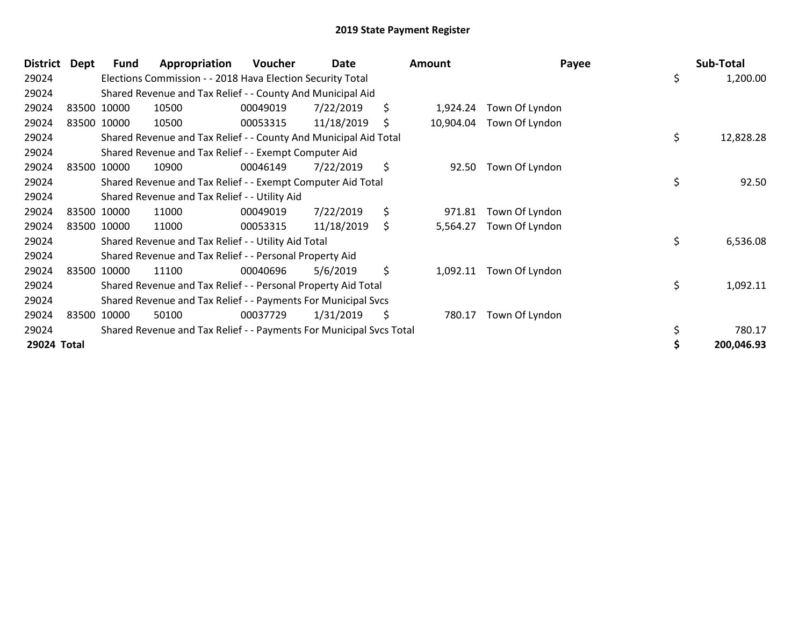| <b>District</b> | Dept | Fund        | Appropriation                                                       | <b>Voucher</b> | Date       | <b>Amount</b>   | Payee          | Sub-Total       |
|-----------------|------|-------------|---------------------------------------------------------------------|----------------|------------|-----------------|----------------|-----------------|
| 29024           |      |             | Elections Commission - - 2018 Hava Election Security Total          |                |            |                 |                | \$<br>1,200.00  |
| 29024           |      |             | Shared Revenue and Tax Relief - - County And Municipal Aid          |                |            |                 |                |                 |
| 29024           |      | 83500 10000 | 10500                                                               | 00049019       | 7/22/2019  | \$<br>1,924.24  | Town Of Lyndon |                 |
| 29024           |      | 83500 10000 | 10500                                                               | 00053315       | 11/18/2019 | \$<br>10,904.04 | Town Of Lyndon |                 |
| 29024           |      |             | Shared Revenue and Tax Relief - - County And Municipal Aid Total    |                |            |                 |                | \$<br>12,828.28 |
| 29024           |      |             | Shared Revenue and Tax Relief - - Exempt Computer Aid               |                |            |                 |                |                 |
| 29024           |      | 83500 10000 | 10900                                                               | 00046149       | 7/22/2019  | \$<br>92.50     | Town Of Lyndon |                 |
| 29024           |      |             | Shared Revenue and Tax Relief - - Exempt Computer Aid Total         |                |            |                 |                | \$<br>92.50     |
| 29024           |      |             | Shared Revenue and Tax Relief - - Utility Aid                       |                |            |                 |                |                 |
| 29024           |      | 83500 10000 | 11000                                                               | 00049019       | 7/22/2019  | \$<br>971.81    | Town Of Lyndon |                 |
| 29024           |      | 83500 10000 | 11000                                                               | 00053315       | 11/18/2019 | \$<br>5,564.27  | Town Of Lyndon |                 |
| 29024           |      |             | Shared Revenue and Tax Relief - - Utility Aid Total                 |                |            |                 |                | \$<br>6,536.08  |
| 29024           |      |             | Shared Revenue and Tax Relief - - Personal Property Aid             |                |            |                 |                |                 |
| 29024           |      | 83500 10000 | 11100                                                               | 00040696       | 5/6/2019   | \$<br>1,092.11  | Town Of Lyndon |                 |
| 29024           |      |             | Shared Revenue and Tax Relief - - Personal Property Aid Total       |                |            |                 |                | \$<br>1,092.11  |
| 29024           |      |             | Shared Revenue and Tax Relief - - Payments For Municipal Svcs       |                |            |                 |                |                 |
| 29024           |      | 83500 10000 | 50100                                                               | 00037729       | 1/31/2019  | \$<br>780.17    | Town Of Lyndon |                 |
| 29024           |      |             | Shared Revenue and Tax Relief - - Payments For Municipal Svcs Total |                |            |                 |                | 780.17          |
| 29024 Total     |      |             |                                                                     |                |            |                 |                | 200,046.93      |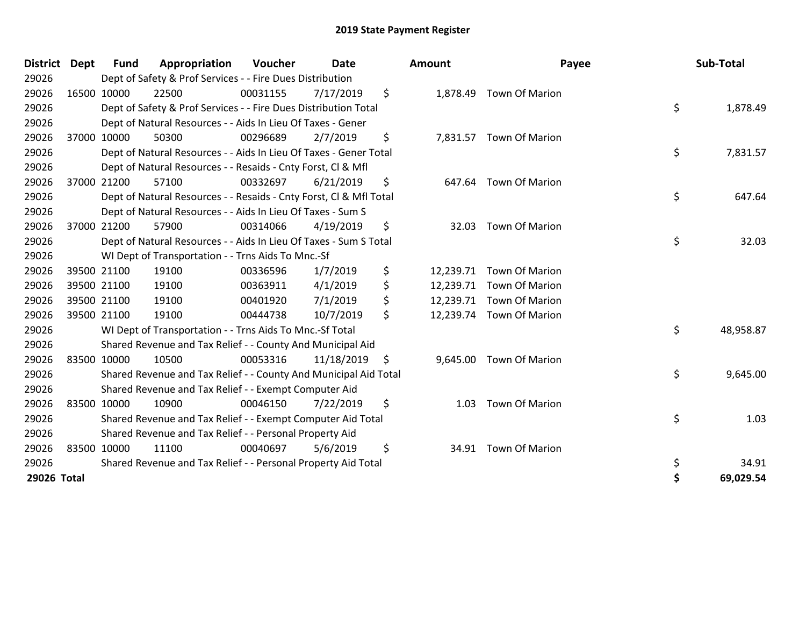| District Dept |       | <b>Fund</b> | Appropriation                                                      | <b>Voucher</b> | Date       | <b>Amount</b>   | Payee                    | Sub-Total       |
|---------------|-------|-------------|--------------------------------------------------------------------|----------------|------------|-----------------|--------------------------|-----------------|
| 29026         |       |             | Dept of Safety & Prof Services - - Fire Dues Distribution          |                |            |                 |                          |                 |
| 29026         |       | 16500 10000 | 22500                                                              | 00031155       | 7/17/2019  | \$<br>1,878.49  | <b>Town Of Marion</b>    |                 |
| 29026         |       |             | Dept of Safety & Prof Services - - Fire Dues Distribution Total    |                |            |                 |                          | \$<br>1,878.49  |
| 29026         |       |             | Dept of Natural Resources - - Aids In Lieu Of Taxes - Gener        |                |            |                 |                          |                 |
| 29026         |       | 37000 10000 | 50300                                                              | 00296689       | 2/7/2019   | \$<br>7,831.57  | <b>Town Of Marion</b>    |                 |
| 29026         |       |             | Dept of Natural Resources - - Aids In Lieu Of Taxes - Gener Total  |                |            |                 |                          | \$<br>7,831.57  |
| 29026         |       |             | Dept of Natural Resources - - Resaids - Cnty Forst, CI & Mfl       |                |            |                 |                          |                 |
| 29026         | 37000 | 21200       | 57100                                                              | 00332697       | 6/21/2019  | \$<br>647.64    | <b>Town Of Marion</b>    |                 |
| 29026         |       |             | Dept of Natural Resources - - Resaids - Cnty Forst, CI & Mfl Total |                |            |                 |                          | \$<br>647.64    |
| 29026         |       |             | Dept of Natural Resources - - Aids In Lieu Of Taxes - Sum S        |                |            |                 |                          |                 |
| 29026         |       | 37000 21200 | 57900                                                              | 00314066       | 4/19/2019  | \$<br>32.03     | <b>Town Of Marion</b>    |                 |
| 29026         |       |             | Dept of Natural Resources - - Aids In Lieu Of Taxes - Sum S Total  |                |            |                 |                          | \$<br>32.03     |
| 29026         |       |             | WI Dept of Transportation - - Trns Aids To Mnc.-Sf                 |                |            |                 |                          |                 |
| 29026         |       | 39500 21100 | 19100                                                              | 00336596       | 1/7/2019   | \$<br>12,239.71 | <b>Town Of Marion</b>    |                 |
| 29026         |       | 39500 21100 | 19100                                                              | 00363911       | 4/1/2019   | \$<br>12,239.71 | Town Of Marion           |                 |
| 29026         |       | 39500 21100 | 19100                                                              | 00401920       | 7/1/2019   | \$              | 12,239.71 Town Of Marion |                 |
| 29026         |       | 39500 21100 | 19100                                                              | 00444738       | 10/7/2019  | \$<br>12,239.74 | <b>Town Of Marion</b>    |                 |
| 29026         |       |             | WI Dept of Transportation - - Trns Aids To Mnc.-Sf Total           |                |            |                 |                          | \$<br>48,958.87 |
| 29026         |       |             | Shared Revenue and Tax Relief - - County And Municipal Aid         |                |            |                 |                          |                 |
| 29026         |       | 83500 10000 | 10500                                                              | 00053316       | 11/18/2019 | \$<br>9,645.00  | <b>Town Of Marion</b>    |                 |
| 29026         |       |             | Shared Revenue and Tax Relief - - County And Municipal Aid Total   |                |            |                 |                          | \$<br>9,645.00  |
| 29026         |       |             | Shared Revenue and Tax Relief - - Exempt Computer Aid              |                |            |                 |                          |                 |
| 29026         |       | 83500 10000 | 10900                                                              | 00046150       | 7/22/2019  | \$<br>1.03      | <b>Town Of Marion</b>    |                 |
| 29026         |       |             | Shared Revenue and Tax Relief - - Exempt Computer Aid Total        |                |            |                 |                          | \$<br>1.03      |
| 29026         |       |             | Shared Revenue and Tax Relief - - Personal Property Aid            |                |            |                 |                          |                 |
| 29026         |       | 83500 10000 | 11100                                                              | 00040697       | 5/6/2019   | \$<br>34.91     | <b>Town Of Marion</b>    |                 |
| 29026         |       |             | Shared Revenue and Tax Relief - - Personal Property Aid Total      |                |            |                 |                          | \$<br>34.91     |
| 29026 Total   |       |             |                                                                    |                |            |                 |                          | \$<br>69,029.54 |

| unt,                                             | Payee                                                                              |          | Sub-Total          |
|--------------------------------------------------|------------------------------------------------------------------------------------|----------|--------------------|
| 1,878.49                                         | <b>Town Of Marion</b>                                                              | \$       | 1,878.49           |
| 7,831.57                                         | Town Of Marion                                                                     | \$       | 7,831.57           |
|                                                  | 647.64 Town Of Marion                                                              | \$       | 647.64             |
| 32.03                                            | <b>Town Of Marion</b>                                                              | \$       | 32.03              |
| 12,239.71<br>12,239.71<br>12,239.71<br>12,239.74 | <b>Town Of Marion</b><br>Town Of Marion<br><b>Town Of Marion</b><br>Town Of Marion |          |                    |
|                                                  |                                                                                    | \$       | 48,958.87          |
| 9,645.00                                         | Town Of Marion                                                                     | \$       | 9,645.00           |
| 1.03                                             | Town Of Marion                                                                     | \$       | 1.03               |
| 34.91                                            | <b>Town Of Marion</b>                                                              | \$<br>\$ | 34.91<br>69,029.54 |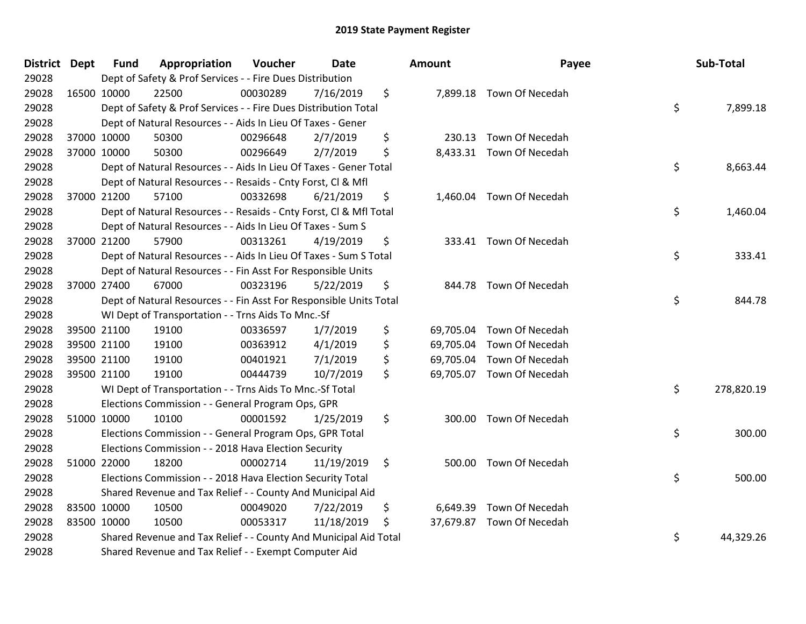| District Dept | <b>Fund</b> | Appropriation                                                      | Voucher  | <b>Date</b> | Amount          | Payee                     | Sub-Total        |
|---------------|-------------|--------------------------------------------------------------------|----------|-------------|-----------------|---------------------------|------------------|
| 29028         |             | Dept of Safety & Prof Services - - Fire Dues Distribution          |          |             |                 |                           |                  |
| 29028         | 16500 10000 | 22500                                                              | 00030289 | 7/16/2019   | \$              | 7,899.18 Town Of Necedah  |                  |
| 29028         |             | Dept of Safety & Prof Services - - Fire Dues Distribution Total    |          |             |                 |                           | \$<br>7,899.18   |
| 29028         |             | Dept of Natural Resources - - Aids In Lieu Of Taxes - Gener        |          |             |                 |                           |                  |
| 29028         | 37000 10000 | 50300                                                              | 00296648 | 2/7/2019    | \$<br>230.13    | Town Of Necedah           |                  |
| 29028         | 37000 10000 | 50300                                                              | 00296649 | 2/7/2019    | \$              | 8,433.31 Town Of Necedah  |                  |
| 29028         |             | Dept of Natural Resources - - Aids In Lieu Of Taxes - Gener Total  |          |             |                 |                           | \$<br>8,663.44   |
| 29028         |             | Dept of Natural Resources - - Resaids - Cnty Forst, Cl & Mfl       |          |             |                 |                           |                  |
| 29028         | 37000 21200 | 57100                                                              | 00332698 | 6/21/2019   | \$              | 1,460.04 Town Of Necedah  |                  |
| 29028         |             | Dept of Natural Resources - - Resaids - Cnty Forst, Cl & Mfl Total |          |             |                 |                           | \$<br>1,460.04   |
| 29028         |             | Dept of Natural Resources - - Aids In Lieu Of Taxes - Sum S        |          |             |                 |                           |                  |
| 29028         | 37000 21200 | 57900                                                              | 00313261 | 4/19/2019   | \$              | 333.41 Town Of Necedah    |                  |
| 29028         |             | Dept of Natural Resources - - Aids In Lieu Of Taxes - Sum S Total  |          |             |                 |                           | \$<br>333.41     |
| 29028         |             | Dept of Natural Resources - - Fin Asst For Responsible Units       |          |             |                 |                           |                  |
| 29028         | 37000 27400 | 67000                                                              | 00323196 | 5/22/2019   | \$<br>844.78    | Town Of Necedah           |                  |
| 29028         |             | Dept of Natural Resources - - Fin Asst For Responsible Units Total |          |             |                 |                           | \$<br>844.78     |
| 29028         |             | WI Dept of Transportation - - Trns Aids To Mnc.-Sf                 |          |             |                 |                           |                  |
| 29028         | 39500 21100 | 19100                                                              | 00336597 | 1/7/2019    | \$<br>69,705.04 | Town Of Necedah           |                  |
| 29028         | 39500 21100 | 19100                                                              | 00363912 | 4/1/2019    | \$<br>69,705.04 | Town Of Necedah           |                  |
| 29028         | 39500 21100 | 19100                                                              | 00401921 | 7/1/2019    | \$<br>69,705.04 | Town Of Necedah           |                  |
| 29028         | 39500 21100 | 19100                                                              | 00444739 | 10/7/2019   | \$              | 69,705.07 Town Of Necedah |                  |
| 29028         |             | WI Dept of Transportation - - Trns Aids To Mnc.-Sf Total           |          |             |                 |                           | \$<br>278,820.19 |
| 29028         |             | Elections Commission - - General Program Ops, GPR                  |          |             |                 |                           |                  |
| 29028         | 51000 10000 | 10100                                                              | 00001592 | 1/25/2019   | \$<br>300.00    | Town Of Necedah           |                  |
| 29028         |             | Elections Commission - - General Program Ops, GPR Total            |          |             |                 |                           | \$<br>300.00     |
| 29028         |             | Elections Commission - - 2018 Hava Election Security               |          |             |                 |                           |                  |
| 29028         | 51000 22000 | 18200                                                              | 00002714 | 11/19/2019  | \$              | 500.00 Town Of Necedah    |                  |
| 29028         |             | Elections Commission - - 2018 Hava Election Security Total         |          |             |                 |                           | \$<br>500.00     |
| 29028         |             | Shared Revenue and Tax Relief - - County And Municipal Aid         |          |             |                 |                           |                  |
| 29028         | 83500 10000 | 10500                                                              | 00049020 | 7/22/2019   | \$<br>6,649.39  | Town Of Necedah           |                  |
| 29028         | 83500 10000 | 10500                                                              | 00053317 | 11/18/2019  | \$<br>37,679.87 | Town Of Necedah           |                  |
| 29028         |             | Shared Revenue and Tax Relief - - County And Municipal Aid Total   |          |             |                 |                           | \$<br>44,329.26  |
| 29028         |             | Shared Revenue and Tax Relief - - Exempt Computer Aid              |          |             |                 |                           |                  |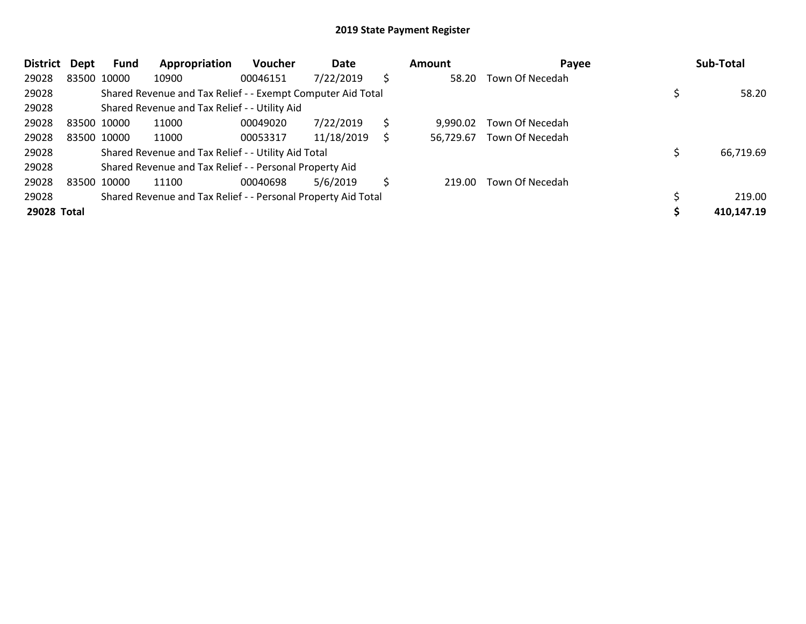| <b>District</b> | Dept | Fund        | Appropriation                                                 | <b>Voucher</b> | Date       |    | Amount    | Payee           | Sub-Total  |
|-----------------|------|-------------|---------------------------------------------------------------|----------------|------------|----|-----------|-----------------|------------|
| 29028           |      | 83500 10000 | 10900                                                         | 00046151       | 7/22/2019  | \$ | 58.20     | Town Of Necedah |            |
| 29028           |      |             | Shared Revenue and Tax Relief - - Exempt Computer Aid Total   |                |            |    |           |                 | 58.20      |
| 29028           |      |             | Shared Revenue and Tax Relief - - Utility Aid                 |                |            |    |           |                 |            |
| 29028           |      | 83500 10000 | 11000                                                         | 00049020       | 7/22/2019  | \$ | 9.990.02  | Town Of Necedah |            |
| 29028           |      | 83500 10000 | 11000                                                         | 00053317       | 11/18/2019 | S  | 56.729.67 | Town Of Necedah |            |
| 29028           |      |             | Shared Revenue and Tax Relief - - Utility Aid Total           |                |            |    |           |                 | 66,719.69  |
| 29028           |      |             | Shared Revenue and Tax Relief - - Personal Property Aid       |                |            |    |           |                 |            |
| 29028           |      | 83500 10000 | 11100                                                         | 00040698       | 5/6/2019   | \$ | 219.00    | Town Of Necedah |            |
| 29028           |      |             | Shared Revenue and Tax Relief - - Personal Property Aid Total |                |            |    |           |                 | 219.00     |
| 29028 Total     |      |             |                                                               |                |            |    |           |                 | 410,147.19 |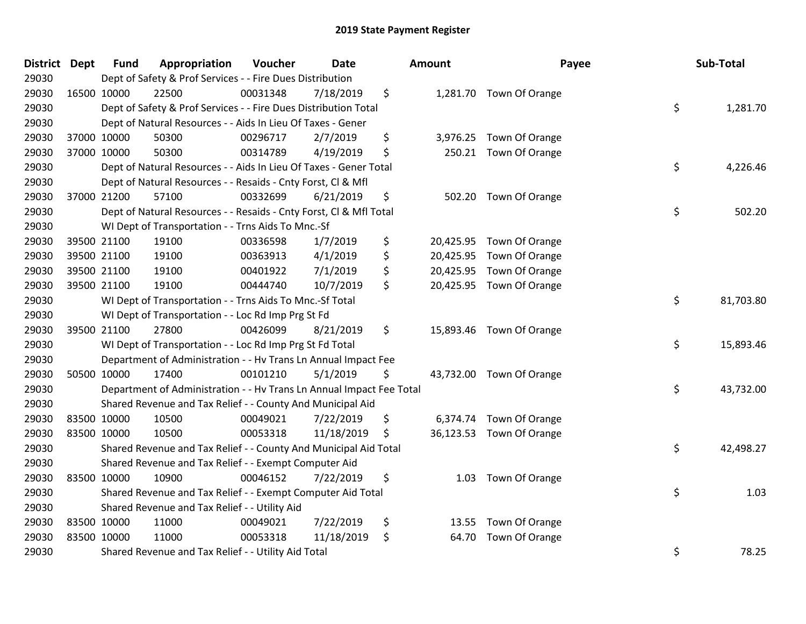| District Dept |             | <b>Fund</b> | Appropriation                                                        | Voucher  | <b>Date</b> | Amount      | Payee                    | Sub-Total       |
|---------------|-------------|-------------|----------------------------------------------------------------------|----------|-------------|-------------|--------------------------|-----------------|
| 29030         |             |             | Dept of Safety & Prof Services - - Fire Dues Distribution            |          |             |             |                          |                 |
| 29030         | 16500 10000 |             | 22500                                                                | 00031348 | 7/18/2019   | \$          | 1,281.70 Town Of Orange  |                 |
| 29030         |             |             | Dept of Safety & Prof Services - - Fire Dues Distribution Total      |          |             |             |                          | \$<br>1,281.70  |
| 29030         |             |             | Dept of Natural Resources - - Aids In Lieu Of Taxes - Gener          |          |             |             |                          |                 |
| 29030         | 37000 10000 |             | 50300                                                                | 00296717 | 2/7/2019    | \$          | 3,976.25 Town Of Orange  |                 |
| 29030         | 37000 10000 |             | 50300                                                                | 00314789 | 4/19/2019   | \$          | 250.21 Town Of Orange    |                 |
| 29030         |             |             | Dept of Natural Resources - - Aids In Lieu Of Taxes - Gener Total    |          |             |             |                          | \$<br>4,226.46  |
| 29030         |             |             | Dept of Natural Resources - - Resaids - Cnty Forst, CI & Mfl         |          |             |             |                          |                 |
| 29030         | 37000 21200 |             | 57100                                                                | 00332699 | 6/21/2019   | \$          | 502.20 Town Of Orange    |                 |
| 29030         |             |             | Dept of Natural Resources - - Resaids - Cnty Forst, CI & Mfl Total   |          |             |             |                          | \$<br>502.20    |
| 29030         |             |             | WI Dept of Transportation - - Trns Aids To Mnc.-Sf                   |          |             |             |                          |                 |
| 29030         | 39500 21100 |             | 19100                                                                | 00336598 | 1/7/2019    | \$          | 20,425.95 Town Of Orange |                 |
| 29030         | 39500 21100 |             | 19100                                                                | 00363913 | 4/1/2019    | \$          | 20,425.95 Town Of Orange |                 |
| 29030         | 39500 21100 |             | 19100                                                                | 00401922 | 7/1/2019    | \$          | 20,425.95 Town Of Orange |                 |
| 29030         | 39500 21100 |             | 19100                                                                | 00444740 | 10/7/2019   | \$          | 20,425.95 Town Of Orange |                 |
| 29030         |             |             | WI Dept of Transportation - - Trns Aids To Mnc.-Sf Total             |          |             |             |                          | \$<br>81,703.80 |
| 29030         |             |             | WI Dept of Transportation - - Loc Rd Imp Prg St Fd                   |          |             |             |                          |                 |
| 29030         | 39500 21100 |             | 27800                                                                | 00426099 | 8/21/2019   | \$          | 15,893.46 Town Of Orange |                 |
| 29030         |             |             | WI Dept of Transportation - - Loc Rd Imp Prg St Fd Total             |          |             |             |                          | \$<br>15,893.46 |
| 29030         |             |             | Department of Administration - - Hv Trans Ln Annual Impact Fee       |          |             |             |                          |                 |
| 29030         | 50500 10000 |             | 17400                                                                | 00101210 | 5/1/2019    | \$          | 43,732.00 Town Of Orange |                 |
| 29030         |             |             | Department of Administration - - Hv Trans Ln Annual Impact Fee Total |          |             |             |                          | \$<br>43,732.00 |
| 29030         |             |             | Shared Revenue and Tax Relief - - County And Municipal Aid           |          |             |             |                          |                 |
| 29030         | 83500 10000 |             | 10500                                                                | 00049021 | 7/22/2019   | \$          | 6,374.74 Town Of Orange  |                 |
| 29030         | 83500 10000 |             | 10500                                                                | 00053318 | 11/18/2019  | \$          | 36,123.53 Town Of Orange |                 |
| 29030         |             |             | Shared Revenue and Tax Relief - - County And Municipal Aid Total     |          |             |             |                          | \$<br>42,498.27 |
| 29030         |             |             | Shared Revenue and Tax Relief - - Exempt Computer Aid                |          |             |             |                          |                 |
| 29030         | 83500 10000 |             | 10900                                                                | 00046152 | 7/22/2019   | \$          | 1.03 Town Of Orange      |                 |
| 29030         |             |             | Shared Revenue and Tax Relief - - Exempt Computer Aid Total          |          |             |             |                          | \$<br>1.03      |
| 29030         |             |             | Shared Revenue and Tax Relief - - Utility Aid                        |          |             |             |                          |                 |
| 29030         | 83500 10000 |             | 11000                                                                | 00049021 | 7/22/2019   | \$          | 13.55 Town Of Orange     |                 |
| 29030         | 83500 10000 |             | 11000                                                                | 00053318 | 11/18/2019  | \$<br>64.70 | Town Of Orange           |                 |
| 29030         |             |             | Shared Revenue and Tax Relief - - Utility Aid Total                  |          |             |             |                          | \$<br>78.25     |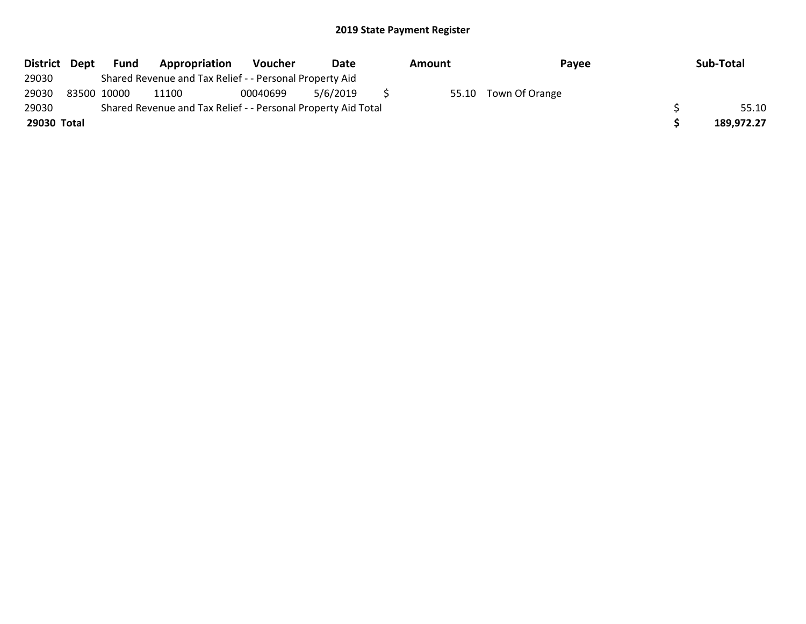| District Dept | <b>Fund</b> | Appropriation                                                 | Voucher  | Date     | Amount | Payee                | Sub-Total  |
|---------------|-------------|---------------------------------------------------------------|----------|----------|--------|----------------------|------------|
| 29030         |             | Shared Revenue and Tax Relief - - Personal Property Aid       |          |          |        |                      |            |
| 29030         | 83500 10000 | 11100                                                         | 00040699 | 5/6/2019 |        | 55.10 Town Of Orange |            |
| 29030         |             | Shared Revenue and Tax Relief - - Personal Property Aid Total |          |          |        |                      | 55.10      |
| 29030 Total   |             |                                                               |          |          |        |                      | 189,972.27 |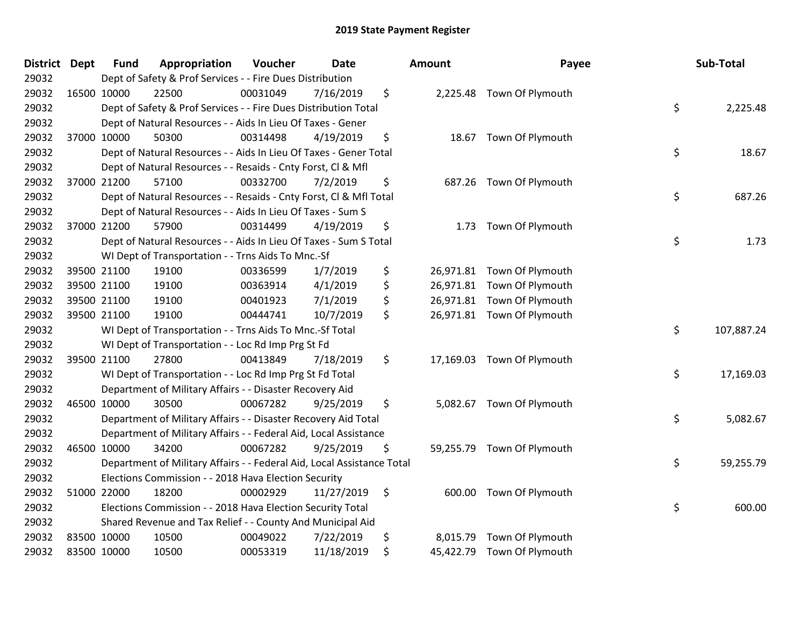| District Dept |             | <b>Fund</b> | Appropriation                                                          | Voucher  | <b>Date</b> | Amount         | Payee                      | Sub-Total        |
|---------------|-------------|-------------|------------------------------------------------------------------------|----------|-------------|----------------|----------------------------|------------------|
| 29032         |             |             | Dept of Safety & Prof Services - - Fire Dues Distribution              |          |             |                |                            |                  |
| 29032         | 16500 10000 |             | 22500                                                                  | 00031049 | 7/16/2019   | \$             | 2,225.48 Town Of Plymouth  |                  |
| 29032         |             |             | Dept of Safety & Prof Services - - Fire Dues Distribution Total        |          |             |                |                            | \$<br>2,225.48   |
| 29032         |             |             | Dept of Natural Resources - - Aids In Lieu Of Taxes - Gener            |          |             |                |                            |                  |
| 29032         |             | 37000 10000 | 50300                                                                  | 00314498 | 4/19/2019   | \$             | 18.67 Town Of Plymouth     |                  |
| 29032         |             |             | Dept of Natural Resources - - Aids In Lieu Of Taxes - Gener Total      |          |             |                |                            | \$<br>18.67      |
| 29032         |             |             | Dept of Natural Resources - - Resaids - Cnty Forst, Cl & Mfl           |          |             |                |                            |                  |
| 29032         |             | 37000 21200 | 57100                                                                  | 00332700 | 7/2/2019    | \$             | 687.26 Town Of Plymouth    |                  |
| 29032         |             |             | Dept of Natural Resources - - Resaids - Cnty Forst, CI & Mfl Total     |          |             |                |                            | \$<br>687.26     |
| 29032         |             |             | Dept of Natural Resources - - Aids In Lieu Of Taxes - Sum S            |          |             |                |                            |                  |
| 29032         |             | 37000 21200 | 57900                                                                  | 00314499 | 4/19/2019   | \$<br>1.73     | Town Of Plymouth           |                  |
| 29032         |             |             | Dept of Natural Resources - - Aids In Lieu Of Taxes - Sum S Total      |          |             |                |                            | \$<br>1.73       |
| 29032         |             |             | WI Dept of Transportation - - Trns Aids To Mnc.-Sf                     |          |             |                |                            |                  |
| 29032         |             | 39500 21100 | 19100                                                                  | 00336599 | 1/7/2019    | \$             | 26,971.81 Town Of Plymouth |                  |
| 29032         |             | 39500 21100 | 19100                                                                  | 00363914 | 4/1/2019    | \$             | 26,971.81 Town Of Plymouth |                  |
| 29032         |             | 39500 21100 | 19100                                                                  | 00401923 | 7/1/2019    | \$             | 26,971.81 Town Of Plymouth |                  |
| 29032         |             | 39500 21100 | 19100                                                                  | 00444741 | 10/7/2019   | \$             | 26,971.81 Town Of Plymouth |                  |
| 29032         |             |             | WI Dept of Transportation - - Trns Aids To Mnc.-Sf Total               |          |             |                |                            | \$<br>107,887.24 |
| 29032         |             |             | WI Dept of Transportation - - Loc Rd Imp Prg St Fd                     |          |             |                |                            |                  |
| 29032         |             | 39500 21100 | 27800                                                                  | 00413849 | 7/18/2019   | \$             | 17,169.03 Town Of Plymouth |                  |
| 29032         |             |             | WI Dept of Transportation - - Loc Rd Imp Prg St Fd Total               |          |             |                |                            | \$<br>17,169.03  |
| 29032         |             |             | Department of Military Affairs - - Disaster Recovery Aid               |          |             |                |                            |                  |
| 29032         |             | 46500 10000 | 30500                                                                  | 00067282 | 9/25/2019   | \$             | 5,082.67 Town Of Plymouth  |                  |
| 29032         |             |             | Department of Military Affairs - - Disaster Recovery Aid Total         |          |             |                |                            | \$<br>5,082.67   |
| 29032         |             |             | Department of Military Affairs - - Federal Aid, Local Assistance       |          |             |                |                            |                  |
| 29032         |             | 46500 10000 | 34200                                                                  | 00067282 | 9/25/2019   | \$             | 59,255.79 Town Of Plymouth |                  |
| 29032         |             |             | Department of Military Affairs - - Federal Aid, Local Assistance Total |          |             |                |                            | \$<br>59,255.79  |
| 29032         |             |             | Elections Commission - - 2018 Hava Election Security                   |          |             |                |                            |                  |
| 29032         |             | 51000 22000 | 18200                                                                  | 00002929 | 11/27/2019  | \$             | 600.00 Town Of Plymouth    |                  |
| 29032         |             |             | Elections Commission - - 2018 Hava Election Security Total             |          |             |                |                            | \$<br>600.00     |
| 29032         |             |             | Shared Revenue and Tax Relief - - County And Municipal Aid             |          |             |                |                            |                  |
| 29032         | 83500 10000 |             | 10500                                                                  | 00049022 | 7/22/2019   | \$<br>8,015.79 | Town Of Plymouth           |                  |
| 29032         | 83500 10000 |             | 10500                                                                  | 00053319 | 11/18/2019  | \$             | 45,422.79 Town Of Plymouth |                  |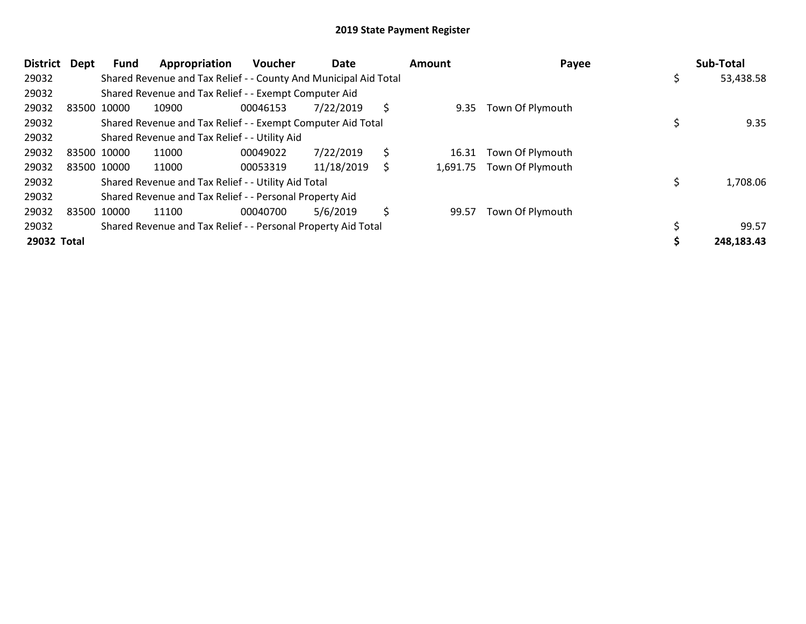| <b>District</b> | <b>Dept</b> | Fund        | Appropriation                                                    | <b>Voucher</b> | Date       |     | <b>Amount</b> | Payee                     | Sub-Total  |
|-----------------|-------------|-------------|------------------------------------------------------------------|----------------|------------|-----|---------------|---------------------------|------------|
| 29032           |             |             | Shared Revenue and Tax Relief - - County And Municipal Aid Total |                |            |     |               |                           | 53,438.58  |
| 29032           |             |             | Shared Revenue and Tax Relief - - Exempt Computer Aid            |                |            |     |               |                           |            |
| 29032           | 83500 10000 |             | 10900                                                            | 00046153       | 7/22/2019  | \$. | 9.35          | Town Of Plymouth          |            |
| 29032           |             |             | Shared Revenue and Tax Relief - - Exempt Computer Aid Total      |                |            |     |               |                           | 9.35       |
| 29032           |             |             | Shared Revenue and Tax Relief - - Utility Aid                    |                |            |     |               |                           |            |
| 29032           | 83500 10000 |             | 11000                                                            | 00049022       | 7/22/2019  | \$  | 16.31         | Town Of Plymouth          |            |
| 29032           |             | 83500 10000 | 11000                                                            | 00053319       | 11/18/2019 | \$  |               | 1,691.75 Town Of Plymouth |            |
| 29032           |             |             | Shared Revenue and Tax Relief - - Utility Aid Total              |                |            |     |               |                           | 1,708.06   |
| 29032           |             |             | Shared Revenue and Tax Relief - - Personal Property Aid          |                |            |     |               |                           |            |
| 29032           | 83500 10000 |             | 11100                                                            | 00040700       | 5/6/2019   | \$  | 99.57         | Town Of Plymouth          |            |
| 29032           |             |             | Shared Revenue and Tax Relief - - Personal Property Aid Total    |                |            |     |               |                           | 99.57      |
| 29032 Total     |             |             |                                                                  |                |            |     |               |                           | 248,183.43 |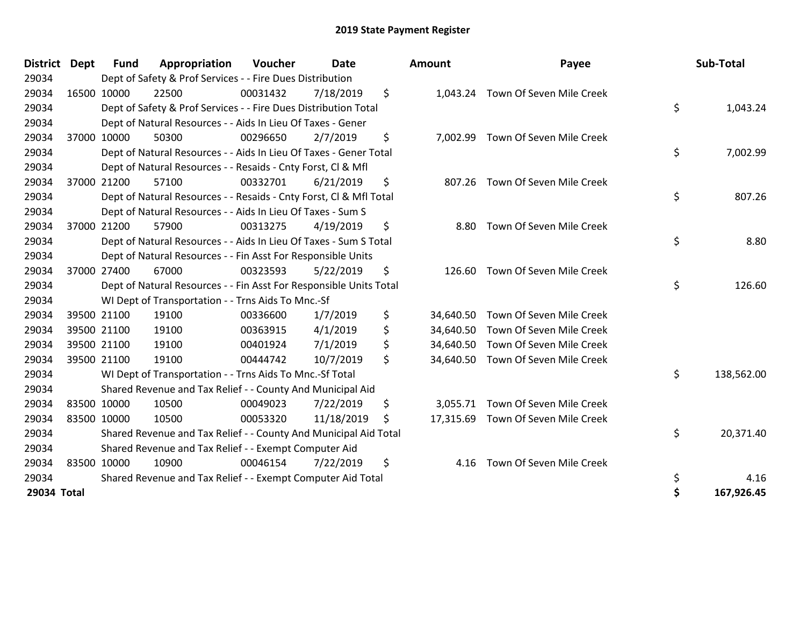| District Dept | <b>Fund</b> | Appropriation                                                      | Voucher  | <b>Date</b> | Amount          | Payee                             | Sub-Total        |
|---------------|-------------|--------------------------------------------------------------------|----------|-------------|-----------------|-----------------------------------|------------------|
| 29034         |             | Dept of Safety & Prof Services - - Fire Dues Distribution          |          |             |                 |                                   |                  |
| 29034         | 16500 10000 | 22500                                                              | 00031432 | 7/18/2019   | \$<br>1,043.24  | Town Of Seven Mile Creek          |                  |
| 29034         |             | Dept of Safety & Prof Services - - Fire Dues Distribution Total    |          |             |                 |                                   | \$<br>1,043.24   |
| 29034         |             | Dept of Natural Resources - - Aids In Lieu Of Taxes - Gener        |          |             |                 |                                   |                  |
| 29034         | 37000 10000 | 50300                                                              | 00296650 | 2/7/2019    | \$              | 7,002.99 Town Of Seven Mile Creek |                  |
| 29034         |             | Dept of Natural Resources - - Aids In Lieu Of Taxes - Gener Total  |          |             |                 |                                   | \$<br>7,002.99   |
| 29034         |             | Dept of Natural Resources - - Resaids - Cnty Forst, CI & Mfl       |          |             |                 |                                   |                  |
| 29034         | 37000 21200 | 57100                                                              | 00332701 | 6/21/2019   | \$<br>807.26    | Town Of Seven Mile Creek          |                  |
| 29034         |             | Dept of Natural Resources - - Resaids - Cnty Forst, Cl & Mfl Total |          |             |                 |                                   | \$<br>807.26     |
| 29034         |             | Dept of Natural Resources - - Aids In Lieu Of Taxes - Sum S        |          |             |                 |                                   |                  |
| 29034         | 37000 21200 | 57900                                                              | 00313275 | 4/19/2019   | \$<br>8.80      | Town Of Seven Mile Creek          |                  |
| 29034         |             | Dept of Natural Resources - - Aids In Lieu Of Taxes - Sum S Total  |          |             |                 |                                   | \$<br>8.80       |
| 29034         |             | Dept of Natural Resources - - Fin Asst For Responsible Units       |          |             |                 |                                   |                  |
| 29034         | 37000 27400 | 67000                                                              | 00323593 | 5/22/2019   | \$<br>126.60    | Town Of Seven Mile Creek          |                  |
| 29034         |             | Dept of Natural Resources - - Fin Asst For Responsible Units Total |          |             |                 |                                   | \$<br>126.60     |
| 29034         |             | WI Dept of Transportation - - Trns Aids To Mnc.-Sf                 |          |             |                 |                                   |                  |
| 29034         | 39500 21100 | 19100                                                              | 00336600 | 1/7/2019    | \$<br>34,640.50 | Town Of Seven Mile Creek          |                  |
| 29034         | 39500 21100 | 19100                                                              | 00363915 | 4/1/2019    | \$<br>34,640.50 | Town Of Seven Mile Creek          |                  |
| 29034         | 39500 21100 | 19100                                                              | 00401924 | 7/1/2019    | \$<br>34,640.50 | Town Of Seven Mile Creek          |                  |
| 29034         | 39500 21100 | 19100                                                              | 00444742 | 10/7/2019   | \$<br>34,640.50 | Town Of Seven Mile Creek          |                  |
| 29034         |             | WI Dept of Transportation - - Trns Aids To Mnc.-Sf Total           |          |             |                 |                                   | \$<br>138,562.00 |
| 29034         |             | Shared Revenue and Tax Relief - - County And Municipal Aid         |          |             |                 |                                   |                  |
| 29034         | 83500 10000 | 10500                                                              | 00049023 | 7/22/2019   | \$<br>3,055.71  | Town Of Seven Mile Creek          |                  |
| 29034         | 83500 10000 | 10500                                                              | 00053320 | 11/18/2019  | \$<br>17,315.69 | Town Of Seven Mile Creek          |                  |
| 29034         |             | Shared Revenue and Tax Relief - - County And Municipal Aid Total   |          |             |                 |                                   | \$<br>20,371.40  |
| 29034         |             | Shared Revenue and Tax Relief - - Exempt Computer Aid              |          |             |                 |                                   |                  |
| 29034         | 83500 10000 | 10900                                                              | 00046154 | 7/22/2019   | \$<br>4.16      | Town Of Seven Mile Creek          |                  |
| 29034         |             | Shared Revenue and Tax Relief - - Exempt Computer Aid Total        |          |             |                 |                                   | \$<br>4.16       |
| 29034 Total   |             |                                                                    |          |             |                 |                                   | \$<br>167,926.45 |

| District Dept |             | <b>Fund</b> | Appropriation                                                      | Voucher  | <b>Date</b> |    | Amount | Payee                              | Sub-Total        |
|---------------|-------------|-------------|--------------------------------------------------------------------|----------|-------------|----|--------|------------------------------------|------------------|
| 29034         |             |             | Dept of Safety & Prof Services - - Fire Dues Distribution          |          |             |    |        |                                    |                  |
| 29034         | 16500 10000 |             | 22500                                                              | 00031432 | 7/18/2019   | \$ |        | 1,043.24 Town Of Seven Mile Creek  |                  |
| 29034         |             |             | Dept of Safety & Prof Services - - Fire Dues Distribution Total    |          |             |    |        |                                    | \$<br>1,043.24   |
| 29034         |             |             | Dept of Natural Resources - - Aids In Lieu Of Taxes - Gener        |          |             |    |        |                                    |                  |
| 29034         | 37000 10000 |             | 50300                                                              | 00296650 | 2/7/2019    | \$ |        | 7,002.99 Town Of Seven Mile Creek  |                  |
| 29034         |             |             | Dept of Natural Resources - - Aids In Lieu Of Taxes - Gener Total  |          |             |    |        |                                    | \$<br>7,002.99   |
| 29034         |             |             | Dept of Natural Resources - - Resaids - Cnty Forst, CI & Mfl       |          |             |    |        |                                    |                  |
| 29034         |             | 37000 21200 | 57100                                                              | 00332701 | 6/21/2019   | \$ | 807.26 | Town Of Seven Mile Creek           |                  |
| 29034         |             |             | Dept of Natural Resources - - Resaids - Cnty Forst, CI & Mfl Total |          |             |    |        |                                    | \$<br>807.26     |
| 29034         |             |             | Dept of Natural Resources - - Aids In Lieu Of Taxes - Sum S        |          |             |    |        |                                    |                  |
| 29034         |             | 37000 21200 | 57900                                                              | 00313275 | 4/19/2019   | \$ | 8.80   | Town Of Seven Mile Creek           |                  |
| 29034         |             |             | Dept of Natural Resources - - Aids In Lieu Of Taxes - Sum S Total  |          |             |    |        |                                    | \$<br>8.80       |
| 29034         |             |             | Dept of Natural Resources - - Fin Asst For Responsible Units       |          |             |    |        |                                    |                  |
| 29034         |             | 37000 27400 | 67000                                                              | 00323593 | 5/22/2019   | \$ | 126.60 | Town Of Seven Mile Creek           |                  |
| 29034         |             |             | Dept of Natural Resources - - Fin Asst For Responsible Units Total |          |             |    |        |                                    | \$<br>126.60     |
| 29034         |             |             | WI Dept of Transportation - - Trns Aids To Mnc.-Sf                 |          |             |    |        |                                    |                  |
| 29034         |             | 39500 21100 | 19100                                                              | 00336600 | 1/7/2019    | \$ |        | 34,640.50 Town Of Seven Mile Creek |                  |
| 29034         |             | 39500 21100 | 19100                                                              | 00363915 | 4/1/2019    | \$ |        | 34,640.50 Town Of Seven Mile Creek |                  |
| 29034         |             | 39500 21100 | 19100                                                              | 00401924 | 7/1/2019    | \$ |        | 34,640.50 Town Of Seven Mile Creek |                  |
| 29034         |             | 39500 21100 | 19100                                                              | 00444742 | 10/7/2019   | \$ |        | 34,640.50 Town Of Seven Mile Creek |                  |
| 29034         |             |             | WI Dept of Transportation - - Trns Aids To Mnc.-Sf Total           |          |             |    |        |                                    | \$<br>138,562.00 |
| 29034         |             |             | Shared Revenue and Tax Relief - - County And Municipal Aid         |          |             |    |        |                                    |                  |
| 29034         |             | 83500 10000 | 10500                                                              | 00049023 | 7/22/2019   | \$ |        | 3,055.71 Town Of Seven Mile Creek  |                  |
| 29034         |             | 83500 10000 | 10500                                                              | 00053320 | 11/18/2019  | S. |        | 17,315.69 Town Of Seven Mile Creek |                  |
| 29034         |             |             | Shared Revenue and Tax Relief - - County And Municipal Aid Total   |          |             |    |        |                                    | \$<br>20,371.40  |
| 29034         |             |             | Shared Revenue and Tax Relief - - Exempt Computer Aid              |          |             |    |        |                                    |                  |
| 29034         | 83500 10000 |             | 10900                                                              | 00046154 | 7/22/2019   | \$ | 4.16   | Town Of Seven Mile Creek           |                  |
| 29034         |             |             | Shared Revenue and Tax Relief - - Exempt Computer Aid Total        |          |             |    |        |                                    | \$<br>4.16       |
| 29034 Total   |             |             |                                                                    |          |             |    |        |                                    | \$<br>167,926.45 |
|               |             |             |                                                                    |          |             |    |        |                                    |                  |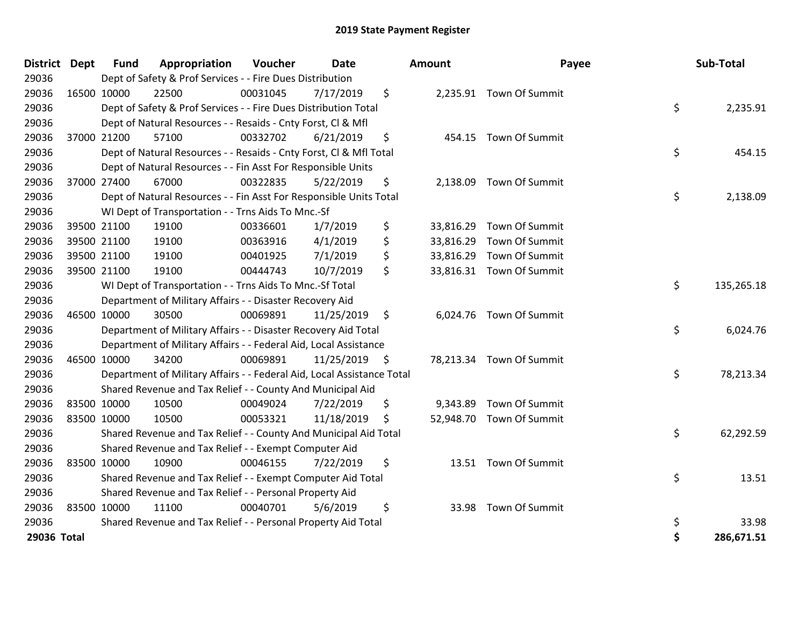| District Dept |             | <b>Fund</b> | Appropriation                                                          | Voucher  | <b>Date</b>   | Amount          | Payee                    | Sub-Total        |
|---------------|-------------|-------------|------------------------------------------------------------------------|----------|---------------|-----------------|--------------------------|------------------|
| 29036         |             |             | Dept of Safety & Prof Services - - Fire Dues Distribution              |          |               |                 |                          |                  |
| 29036         | 16500 10000 |             | 22500                                                                  | 00031045 | 7/17/2019     | \$              | 2,235.91 Town Of Summit  |                  |
| 29036         |             |             | Dept of Safety & Prof Services - - Fire Dues Distribution Total        |          |               |                 |                          | \$<br>2,235.91   |
| 29036         |             |             | Dept of Natural Resources - - Resaids - Cnty Forst, CI & Mfl           |          |               |                 |                          |                  |
| 29036         |             | 37000 21200 | 57100                                                                  | 00332702 | 6/21/2019     | \$<br>454.15    | Town Of Summit           |                  |
| 29036         |             |             | Dept of Natural Resources - - Resaids - Cnty Forst, Cl & Mfl Total     |          |               |                 |                          | \$<br>454.15     |
| 29036         |             |             | Dept of Natural Resources - - Fin Asst For Responsible Units           |          |               |                 |                          |                  |
| 29036         |             | 37000 27400 | 67000                                                                  | 00322835 | 5/22/2019     | \$              | 2,138.09 Town Of Summit  |                  |
| 29036         |             |             | Dept of Natural Resources - - Fin Asst For Responsible Units Total     |          |               |                 |                          | \$<br>2,138.09   |
| 29036         |             |             | WI Dept of Transportation - - Trns Aids To Mnc.-Sf                     |          |               |                 |                          |                  |
| 29036         |             | 39500 21100 | 19100                                                                  | 00336601 | 1/7/2019      | \$<br>33,816.29 | Town Of Summit           |                  |
| 29036         |             | 39500 21100 | 19100                                                                  | 00363916 | 4/1/2019      | \$<br>33,816.29 | Town Of Summit           |                  |
| 29036         |             | 39500 21100 | 19100                                                                  | 00401925 | 7/1/2019      | \$              | 33,816.29 Town Of Summit |                  |
| 29036         |             | 39500 21100 | 19100                                                                  | 00444743 | 10/7/2019     | \$              | 33,816.31 Town Of Summit |                  |
| 29036         |             |             | WI Dept of Transportation - - Trns Aids To Mnc.-Sf Total               |          |               |                 |                          | \$<br>135,265.18 |
| 29036         |             |             | Department of Military Affairs - - Disaster Recovery Aid               |          |               |                 |                          |                  |
| 29036         |             | 46500 10000 | 30500                                                                  | 00069891 | 11/25/2019    | \$              | 6,024.76 Town Of Summit  |                  |
| 29036         |             |             | Department of Military Affairs - - Disaster Recovery Aid Total         |          |               |                 |                          | \$<br>6,024.76   |
| 29036         |             |             | Department of Military Affairs - - Federal Aid, Local Assistance       |          |               |                 |                          |                  |
| 29036         |             | 46500 10000 | 34200                                                                  | 00069891 | 11/25/2019 \$ |                 | 78,213.34 Town Of Summit |                  |
| 29036         |             |             | Department of Military Affairs - - Federal Aid, Local Assistance Total |          |               |                 |                          | \$<br>78,213.34  |
| 29036         |             |             | Shared Revenue and Tax Relief - - County And Municipal Aid             |          |               |                 |                          |                  |
| 29036         |             | 83500 10000 | 10500                                                                  | 00049024 | 7/22/2019     | \$<br>9,343.89  | Town Of Summit           |                  |
| 29036         |             | 83500 10000 | 10500                                                                  | 00053321 | 11/18/2019    | \$              | 52,948.70 Town Of Summit |                  |
| 29036         |             |             | Shared Revenue and Tax Relief - - County And Municipal Aid Total       |          |               |                 |                          | \$<br>62,292.59  |
| 29036         |             |             | Shared Revenue and Tax Relief - - Exempt Computer Aid                  |          |               |                 |                          |                  |
| 29036         |             | 83500 10000 | 10900                                                                  | 00046155 | 7/22/2019     | \$<br>13.51     | Town Of Summit           |                  |
| 29036         |             |             | Shared Revenue and Tax Relief - - Exempt Computer Aid Total            |          |               |                 |                          | \$<br>13.51      |
| 29036         |             |             | Shared Revenue and Tax Relief - - Personal Property Aid                |          |               |                 |                          |                  |
| 29036         |             | 83500 10000 | 11100                                                                  | 00040701 | 5/6/2019      | \$<br>33.98     | Town Of Summit           |                  |
| 29036         |             |             | Shared Revenue and Tax Relief - - Personal Property Aid Total          |          |               |                 |                          | \$<br>33.98      |
| 29036 Total   |             |             |                                                                        |          |               |                 |                          | \$<br>286,671.51 |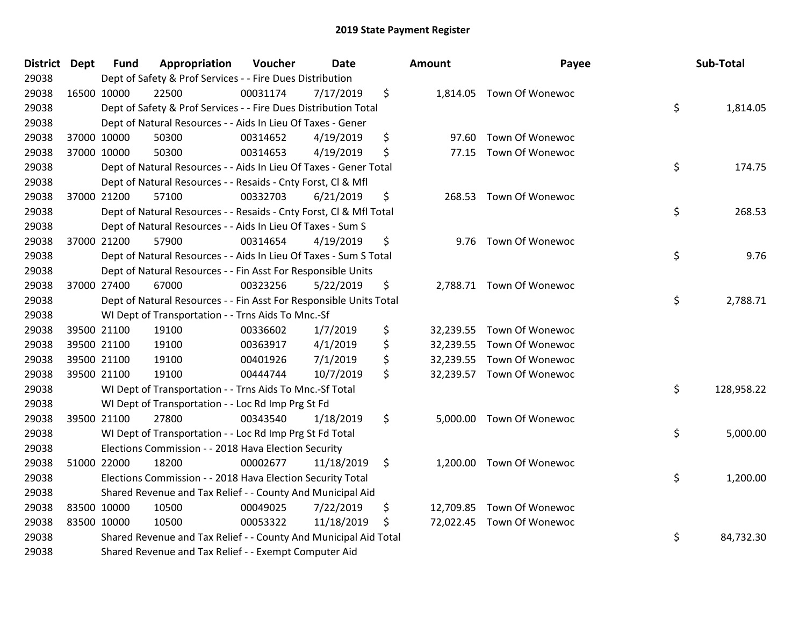| <b>District Dept</b> | <b>Fund</b> | Appropriation                                                      | Voucher  | <b>Date</b> | Amount      | Payee                     | Sub-Total        |
|----------------------|-------------|--------------------------------------------------------------------|----------|-------------|-------------|---------------------------|------------------|
| 29038                |             | Dept of Safety & Prof Services - - Fire Dues Distribution          |          |             |             |                           |                  |
| 29038                | 16500 10000 | 22500                                                              | 00031174 | 7/17/2019   | \$          | 1,814.05 Town Of Wonewoc  |                  |
| 29038                |             | Dept of Safety & Prof Services - - Fire Dues Distribution Total    |          |             |             |                           | \$<br>1,814.05   |
| 29038                |             | Dept of Natural Resources - - Aids In Lieu Of Taxes - Gener        |          |             |             |                           |                  |
| 29038                | 37000 10000 | 50300                                                              | 00314652 | 4/19/2019   | \$<br>97.60 | <b>Town Of Wonewoc</b>    |                  |
| 29038                | 37000 10000 | 50300                                                              | 00314653 | 4/19/2019   | \$<br>77.15 | <b>Town Of Wonewoc</b>    |                  |
| 29038                |             | Dept of Natural Resources - - Aids In Lieu Of Taxes - Gener Total  |          |             |             |                           | \$<br>174.75     |
| 29038                |             | Dept of Natural Resources - - Resaids - Cnty Forst, Cl & Mfl       |          |             |             |                           |                  |
| 29038                | 37000 21200 | 57100                                                              | 00332703 | 6/21/2019   | \$          | 268.53 Town Of Wonewoc    |                  |
| 29038                |             | Dept of Natural Resources - - Resaids - Cnty Forst, Cl & Mfl Total |          |             |             |                           | \$<br>268.53     |
| 29038                |             | Dept of Natural Resources - - Aids In Lieu Of Taxes - Sum S        |          |             |             |                           |                  |
| 29038                | 37000 21200 | 57900                                                              | 00314654 | 4/19/2019   | \$          | 9.76 Town Of Wonewoc      |                  |
| 29038                |             | Dept of Natural Resources - - Aids In Lieu Of Taxes - Sum S Total  |          |             |             |                           | \$<br>9.76       |
| 29038                |             | Dept of Natural Resources - - Fin Asst For Responsible Units       |          |             |             |                           |                  |
| 29038                | 37000 27400 | 67000                                                              | 00323256 | 5/22/2019   | \$          | 2,788.71 Town Of Wonewoc  |                  |
| 29038                |             | Dept of Natural Resources - - Fin Asst For Responsible Units Total |          |             |             |                           | \$<br>2,788.71   |
| 29038                |             | WI Dept of Transportation - - Trns Aids To Mnc.-Sf                 |          |             |             |                           |                  |
| 29038                | 39500 21100 | 19100                                                              | 00336602 | 1/7/2019    | \$          | 32,239.55 Town Of Wonewoc |                  |
| 29038                | 39500 21100 | 19100                                                              | 00363917 | 4/1/2019    | \$          | 32,239.55 Town Of Wonewoc |                  |
| 29038                | 39500 21100 | 19100                                                              | 00401926 | 7/1/2019    | \$          | 32,239.55 Town Of Wonewoc |                  |
| 29038                | 39500 21100 | 19100                                                              | 00444744 | 10/7/2019   | \$          | 32,239.57 Town Of Wonewoc |                  |
| 29038                |             | WI Dept of Transportation - - Trns Aids To Mnc.-Sf Total           |          |             |             |                           | \$<br>128,958.22 |
| 29038                |             | WI Dept of Transportation - - Loc Rd Imp Prg St Fd                 |          |             |             |                           |                  |
| 29038                | 39500 21100 | 27800                                                              | 00343540 | 1/18/2019   | \$          | 5,000.00 Town Of Wonewoc  |                  |
| 29038                |             | WI Dept of Transportation - - Loc Rd Imp Prg St Fd Total           |          |             |             |                           | \$<br>5,000.00   |
| 29038                |             | Elections Commission - - 2018 Hava Election Security               |          |             |             |                           |                  |
| 29038                | 51000 22000 | 18200                                                              | 00002677 | 11/18/2019  | \$          | 1,200.00 Town Of Wonewoc  |                  |
| 29038                |             | Elections Commission - - 2018 Hava Election Security Total         |          |             |             |                           | \$<br>1,200.00   |
| 29038                |             | Shared Revenue and Tax Relief - - County And Municipal Aid         |          |             |             |                           |                  |
| 29038                | 83500 10000 | 10500                                                              | 00049025 | 7/22/2019   | \$          | 12,709.85 Town Of Wonewoc |                  |
| 29038                | 83500 10000 | 10500                                                              | 00053322 | 11/18/2019  | \$          | 72,022.45 Town Of Wonewoc |                  |
| 29038                |             | Shared Revenue and Tax Relief - - County And Municipal Aid Total   |          |             |             |                           | \$<br>84,732.30  |
| 29038                |             | Shared Revenue and Tax Relief - - Exempt Computer Aid              |          |             |             |                           |                  |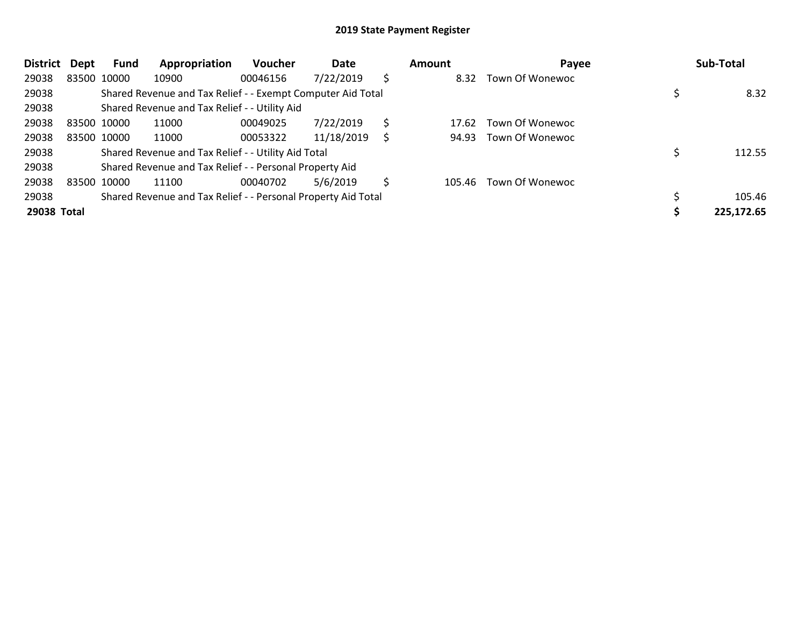| <b>District</b> | Dept        | Fund        | Appropriation                                                 | <b>Voucher</b> | Date       |    | Amount | Payee           | Sub-Total  |
|-----------------|-------------|-------------|---------------------------------------------------------------|----------------|------------|----|--------|-----------------|------------|
| 29038           |             | 83500 10000 | 10900                                                         | 00046156       | 7/22/2019  | \$ | 8.32   | Town Of Wonewoc |            |
| 29038           |             |             | Shared Revenue and Tax Relief - - Exempt Computer Aid Total   |                |            |    |        |                 | 8.32       |
| 29038           |             |             | Shared Revenue and Tax Relief - - Utility Aid                 |                |            |    |        |                 |            |
| 29038           | 83500 10000 |             | 11000                                                         | 00049025       | 7/22/2019  | S  | 17.62  | Town Of Wonewoc |            |
| 29038           |             | 83500 10000 | 11000                                                         | 00053322       | 11/18/2019 |    | 94.93  | Town Of Wonewoc |            |
| 29038           |             |             | Shared Revenue and Tax Relief - - Utility Aid Total           |                |            |    |        |                 | 112.55     |
| 29038           |             |             | Shared Revenue and Tax Relief - - Personal Property Aid       |                |            |    |        |                 |            |
| 29038           | 83500 10000 |             | 11100                                                         | 00040702       | 5/6/2019   |    | 105.46 | Town Of Wonewoc |            |
| 29038           |             |             | Shared Revenue and Tax Relief - - Personal Property Aid Total |                |            |    |        |                 | 105.46     |
| 29038 Total     |             |             |                                                               |                |            |    |        |                 | 225,172.65 |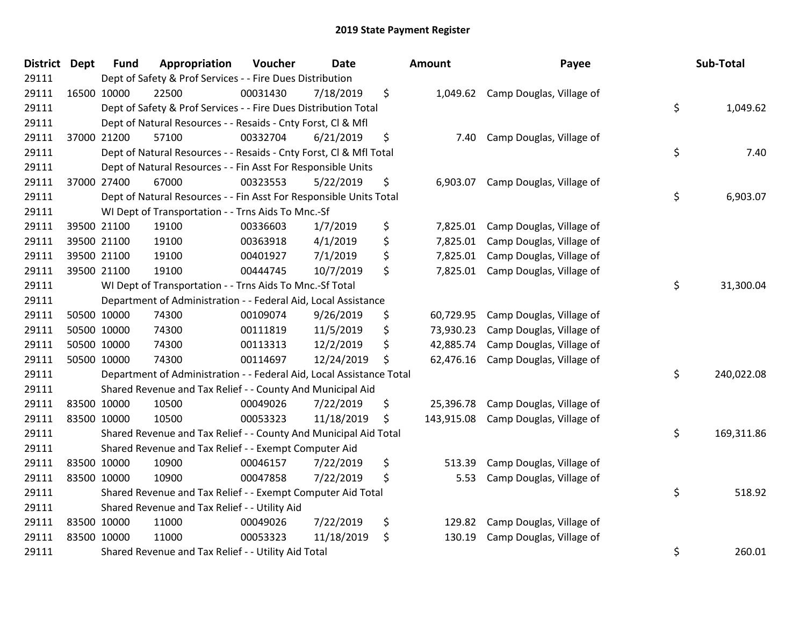| <b>District</b> | Dept | <b>Fund</b> | Appropriation                                                        | Voucher  | <b>Date</b> |    | <b>Amount</b> | Payee                    |    | Sub-Total  |
|-----------------|------|-------------|----------------------------------------------------------------------|----------|-------------|----|---------------|--------------------------|----|------------|
| 29111           |      |             | Dept of Safety & Prof Services - - Fire Dues Distribution            |          |             |    |               |                          |    |            |
| 29111           |      | 16500 10000 | 22500                                                                | 00031430 | 7/18/2019   | \$ | 1,049.62      | Camp Douglas, Village of |    |            |
| 29111           |      |             | Dept of Safety & Prof Services - - Fire Dues Distribution Total      |          |             |    |               |                          | \$ | 1,049.62   |
| 29111           |      |             | Dept of Natural Resources - - Resaids - Cnty Forst, Cl & Mfl         |          |             |    |               |                          |    |            |
| 29111           |      | 37000 21200 | 57100                                                                | 00332704 | 6/21/2019   | \$ | 7.40          | Camp Douglas, Village of |    |            |
| 29111           |      |             | Dept of Natural Resources - - Resaids - Cnty Forst, Cl & Mfl Total   |          |             |    |               |                          | \$ | 7.40       |
| 29111           |      |             | Dept of Natural Resources - - Fin Asst For Responsible Units         |          |             |    |               |                          |    |            |
| 29111           |      | 37000 27400 | 67000                                                                | 00323553 | 5/22/2019   | \$ | 6,903.07      | Camp Douglas, Village of |    |            |
| 29111           |      |             | Dept of Natural Resources - - Fin Asst For Responsible Units Total   |          |             |    |               |                          | \$ | 6,903.07   |
| 29111           |      |             | WI Dept of Transportation - - Trns Aids To Mnc.-Sf                   |          |             |    |               |                          |    |            |
| 29111           |      | 39500 21100 | 19100                                                                | 00336603 | 1/7/2019    | \$ | 7,825.01      | Camp Douglas, Village of |    |            |
| 29111           |      | 39500 21100 | 19100                                                                | 00363918 | 4/1/2019    | \$ | 7,825.01      | Camp Douglas, Village of |    |            |
| 29111           |      | 39500 21100 | 19100                                                                | 00401927 | 7/1/2019    | \$ | 7,825.01      | Camp Douglas, Village of |    |            |
| 29111           |      | 39500 21100 | 19100                                                                | 00444745 | 10/7/2019   | \$ | 7,825.01      | Camp Douglas, Village of |    |            |
| 29111           |      |             | WI Dept of Transportation - - Trns Aids To Mnc.-Sf Total             |          |             |    |               |                          | \$ | 31,300.04  |
| 29111           |      |             | Department of Administration - - Federal Aid, Local Assistance       |          |             |    |               |                          |    |            |
| 29111           |      | 50500 10000 | 74300                                                                | 00109074 | 9/26/2019   | \$ | 60,729.95     | Camp Douglas, Village of |    |            |
| 29111           |      | 50500 10000 | 74300                                                                | 00111819 | 11/5/2019   | \$ | 73,930.23     | Camp Douglas, Village of |    |            |
| 29111           |      | 50500 10000 | 74300                                                                | 00113313 | 12/2/2019   | \$ | 42,885.74     | Camp Douglas, Village of |    |            |
| 29111           |      | 50500 10000 | 74300                                                                | 00114697 | 12/24/2019  | \$ | 62,476.16     | Camp Douglas, Village of |    |            |
| 29111           |      |             | Department of Administration - - Federal Aid, Local Assistance Total |          |             |    |               |                          | \$ | 240,022.08 |
| 29111           |      |             | Shared Revenue and Tax Relief - - County And Municipal Aid           |          |             |    |               |                          |    |            |
| 29111           |      | 83500 10000 | 10500                                                                | 00049026 | 7/22/2019   | \$ | 25,396.78     | Camp Douglas, Village of |    |            |
| 29111           |      | 83500 10000 | 10500                                                                | 00053323 | 11/18/2019  | \$ | 143,915.08    | Camp Douglas, Village of |    |            |
| 29111           |      |             | Shared Revenue and Tax Relief - - County And Municipal Aid Total     |          |             |    |               |                          | \$ | 169,311.86 |
| 29111           |      |             | Shared Revenue and Tax Relief - - Exempt Computer Aid                |          |             |    |               |                          |    |            |
| 29111           |      | 83500 10000 | 10900                                                                | 00046157 | 7/22/2019   | \$ | 513.39        | Camp Douglas, Village of |    |            |
| 29111           |      | 83500 10000 | 10900                                                                | 00047858 | 7/22/2019   | \$ | 5.53          | Camp Douglas, Village of |    |            |
| 29111           |      |             | Shared Revenue and Tax Relief - - Exempt Computer Aid Total          |          |             |    |               |                          | \$ | 518.92     |
| 29111           |      |             | Shared Revenue and Tax Relief - - Utility Aid                        |          |             |    |               |                          |    |            |
| 29111           |      | 83500 10000 | 11000                                                                | 00049026 | 7/22/2019   | \$ | 129.82        | Camp Douglas, Village of |    |            |
| 29111           |      | 83500 10000 | 11000                                                                | 00053323 | 11/18/2019  | \$ | 130.19        | Camp Douglas, Village of |    |            |
| 29111           |      |             | Shared Revenue and Tax Relief - - Utility Aid Total                  |          |             |    |               |                          | \$ | 260.01     |

| unt                                              | Payee                                                                                                        |          | Sub-Total                |
|--------------------------------------------------|--------------------------------------------------------------------------------------------------------------|----------|--------------------------|
| 1,049.62                                         | Camp Douglas, Village of                                                                                     | \$       | 1,049.62                 |
| 7.40                                             | Camp Douglas, Village of                                                                                     | \$       | 7.40                     |
| 6,903.07                                         | Camp Douglas, Village of                                                                                     | \$       | 6,903.07                 |
| 7,825.01<br>7,825.01<br>7,825.01<br>7,825.01     | Camp Douglas, Village of<br>Camp Douglas, Village of<br>Camp Douglas, Village of<br>Camp Douglas, Village of | \$       | 31,300.04                |
| 50,729.95<br>73,930.23<br>12,885.74<br>52,476.16 | Camp Douglas, Village of<br>Camp Douglas, Village of<br>Camp Douglas, Village of<br>Camp Douglas, Village of |          |                          |
| 25,396.78<br>13,915.08                           | Camp Douglas, Village of<br>Camp Douglas, Village of                                                         | \$<br>\$ | 240,022.08<br>169,311.86 |
| 513.39<br>5.53                                   | Camp Douglas, Village of<br>Camp Douglas, Village of                                                         | \$       | 518.92                   |
| 129.82<br>130.19                                 | Camp Douglas, Village of<br>Camp Douglas, Village of                                                         | \$       | 260.01                   |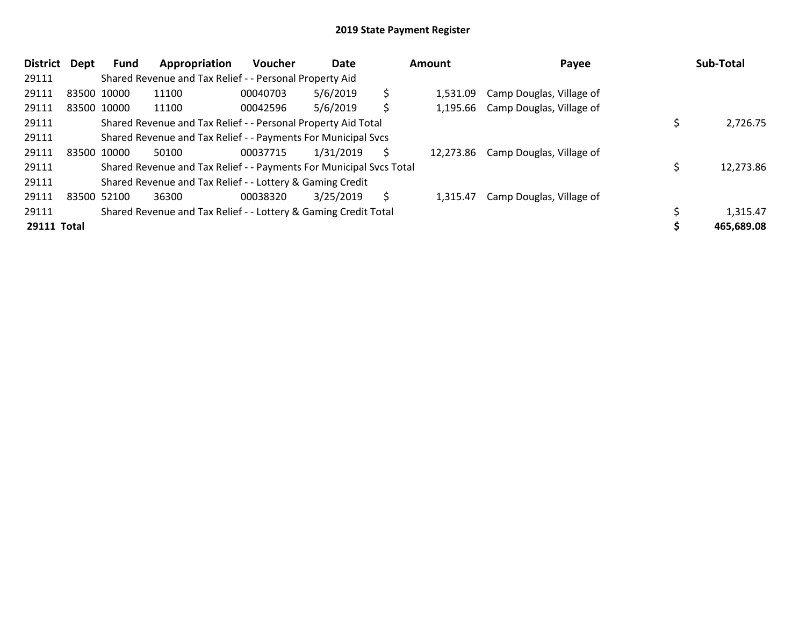| District           | Dept | Fund        | Appropriation                                                       | <b>Voucher</b> | Date      |    | Amount    | Payee                             |  | Sub-Total  |  |  |
|--------------------|------|-------------|---------------------------------------------------------------------|----------------|-----------|----|-----------|-----------------------------------|--|------------|--|--|
| 29111              |      |             | Shared Revenue and Tax Relief - - Personal Property Aid             |                |           |    |           |                                   |  |            |  |  |
| 29111              |      | 83500 10000 | 11100                                                               | 00040703       | 5/6/2019  | \$ | 1.531.09  | Camp Douglas, Village of          |  |            |  |  |
| 29111              |      | 83500 10000 | 11100                                                               | 00042596       | 5/6/2019  | \$ |           | 1,195.66 Camp Douglas, Village of |  |            |  |  |
| 29111              |      |             | Shared Revenue and Tax Relief - - Personal Property Aid Total       |                |           |    |           |                                   |  | 2,726.75   |  |  |
| 29111              |      |             | Shared Revenue and Tax Relief - - Payments For Municipal Svcs       |                |           |    |           |                                   |  |            |  |  |
| 29111              |      | 83500 10000 | 50100                                                               | 00037715       | 1/31/2019 | S  | 12,273.86 | Camp Douglas, Village of          |  |            |  |  |
| 29111              |      |             | Shared Revenue and Tax Relief - - Payments For Municipal Svcs Total |                |           |    |           |                                   |  | 12,273.86  |  |  |
| 29111              |      |             | Shared Revenue and Tax Relief - - Lottery & Gaming Credit           |                |           |    |           |                                   |  |            |  |  |
| 29111              |      | 83500 52100 | 36300                                                               | 00038320       | 3/25/2019 | \$ | 1.315.47  | Camp Douglas, Village of          |  |            |  |  |
| 29111              |      |             | Shared Revenue and Tax Relief - - Lottery & Gaming Credit Total     |                |           |    |           |                                   |  | 1,315.47   |  |  |
| <b>29111 Total</b> |      |             |                                                                     |                |           |    |           |                                   |  | 465,689.08 |  |  |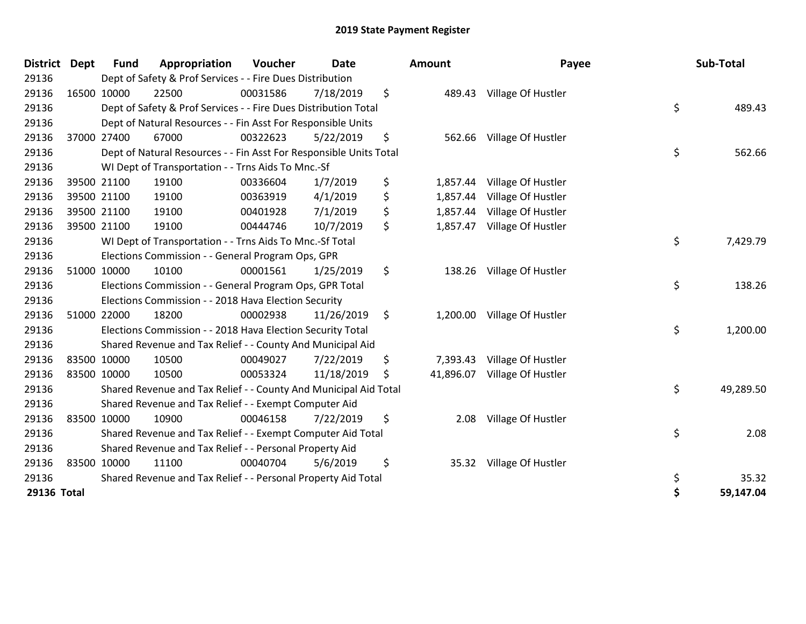| <b>District</b> | <b>Dept</b> | <b>Fund</b> | Appropriation                                                      | Voucher  | <b>Date</b> | Amount          | Payee                       | Sub-Total       |
|-----------------|-------------|-------------|--------------------------------------------------------------------|----------|-------------|-----------------|-----------------------------|-----------------|
| 29136           |             |             | Dept of Safety & Prof Services - - Fire Dues Distribution          |          |             |                 |                             |                 |
| 29136           |             | 16500 10000 | 22500                                                              | 00031586 | 7/18/2019   | \$<br>489.43    | Village Of Hustler          |                 |
| 29136           |             |             | Dept of Safety & Prof Services - - Fire Dues Distribution Total    |          |             |                 |                             | \$<br>489.43    |
| 29136           |             |             | Dept of Natural Resources - - Fin Asst For Responsible Units       |          |             |                 |                             |                 |
| 29136           |             | 37000 27400 | 67000                                                              | 00322623 | 5/22/2019   | \$<br>562.66    | Village Of Hustler          |                 |
| 29136           |             |             | Dept of Natural Resources - - Fin Asst For Responsible Units Total |          |             |                 |                             | \$<br>562.66    |
| 29136           |             |             | WI Dept of Transportation - - Trns Aids To Mnc.-Sf                 |          |             |                 |                             |                 |
| 29136           |             | 39500 21100 | 19100                                                              | 00336604 | 1/7/2019    | \$<br>1,857.44  | Village Of Hustler          |                 |
| 29136           |             | 39500 21100 | 19100                                                              | 00363919 | 4/1/2019    | \$<br>1,857.44  | Village Of Hustler          |                 |
| 29136           |             | 39500 21100 | 19100                                                              | 00401928 | 7/1/2019    | \$<br>1,857.44  | Village Of Hustler          |                 |
| 29136           |             | 39500 21100 | 19100                                                              | 00444746 | 10/7/2019   | \$<br>1,857.47  | Village Of Hustler          |                 |
| 29136           |             |             | WI Dept of Transportation - - Trns Aids To Mnc.-Sf Total           |          |             |                 |                             | \$<br>7,429.79  |
| 29136           |             |             | Elections Commission - - General Program Ops, GPR                  |          |             |                 |                             |                 |
| 29136           |             | 51000 10000 | 10100                                                              | 00001561 | 1/25/2019   | \$<br>138.26    | Village Of Hustler          |                 |
| 29136           |             |             | Elections Commission - - General Program Ops, GPR Total            |          |             |                 |                             | \$<br>138.26    |
| 29136           |             |             | Elections Commission - - 2018 Hava Election Security               |          |             |                 |                             |                 |
| 29136           |             | 51000 22000 | 18200                                                              | 00002938 | 11/26/2019  | \$              | 1,200.00 Village Of Hustler |                 |
| 29136           |             |             | Elections Commission - - 2018 Hava Election Security Total         |          |             |                 |                             | \$<br>1,200.00  |
| 29136           |             |             | Shared Revenue and Tax Relief - - County And Municipal Aid         |          |             |                 |                             |                 |
| 29136           |             | 83500 10000 | 10500                                                              | 00049027 | 7/22/2019   | \$<br>7,393.43  | Village Of Hustler          |                 |
| 29136           |             | 83500 10000 | 10500                                                              | 00053324 | 11/18/2019  | \$<br>41,896.07 | Village Of Hustler          |                 |
| 29136           |             |             | Shared Revenue and Tax Relief - - County And Municipal Aid Total   |          |             |                 |                             | \$<br>49,289.50 |
| 29136           |             |             | Shared Revenue and Tax Relief - - Exempt Computer Aid              |          |             |                 |                             |                 |
| 29136           |             | 83500 10000 | 10900                                                              | 00046158 | 7/22/2019   | \$<br>2.08      | Village Of Hustler          |                 |
| 29136           |             |             | Shared Revenue and Tax Relief - - Exempt Computer Aid Total        |          |             |                 |                             | \$<br>2.08      |
| 29136           |             |             | Shared Revenue and Tax Relief - - Personal Property Aid            |          |             |                 |                             |                 |
| 29136           |             | 83500 10000 | 11100                                                              | 00040704 | 5/6/2019    | \$<br>35.32     | Village Of Hustler          |                 |
| 29136           |             |             | Shared Revenue and Tax Relief - - Personal Property Aid Total      |          |             |                 |                             | \$<br>35.32     |
| 29136 Total     |             |             |                                                                    |          |             |                 |                             | \$<br>59,147.04 |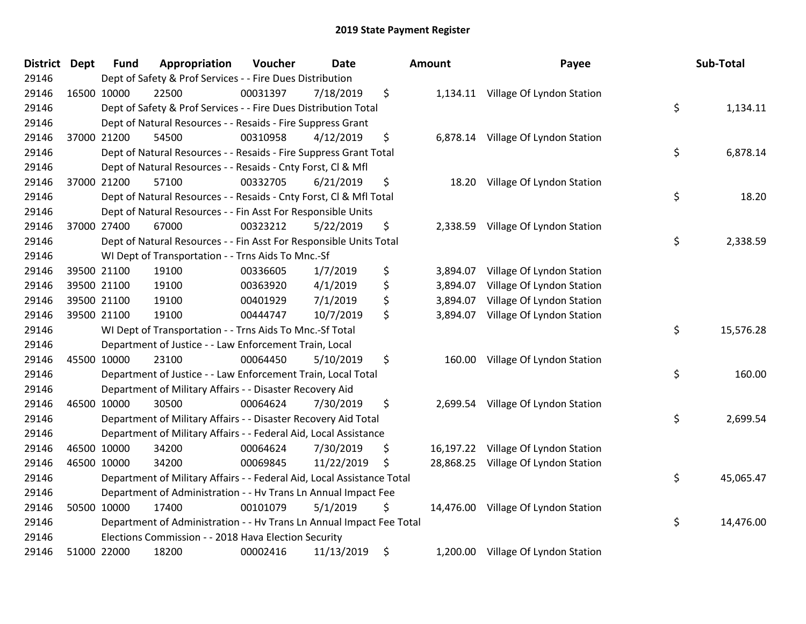| District Dept | <b>Fund</b> | Appropriation                                                          | Voucher  | <b>Date</b> |    | <b>Amount</b> | Payee                               |    | Sub-Total |  |  |
|---------------|-------------|------------------------------------------------------------------------|----------|-------------|----|---------------|-------------------------------------|----|-----------|--|--|
| 29146         |             | Dept of Safety & Prof Services - - Fire Dues Distribution              |          |             |    |               |                                     |    |           |  |  |
| 29146         | 16500 10000 | 22500                                                                  | 00031397 | 7/18/2019   | \$ |               | 1,134.11 Village Of Lyndon Station  |    |           |  |  |
| 29146         |             | Dept of Safety & Prof Services - - Fire Dues Distribution Total        |          |             |    |               |                                     | \$ | 1,134.11  |  |  |
| 29146         |             | Dept of Natural Resources - - Resaids - Fire Suppress Grant            |          |             |    |               |                                     |    |           |  |  |
| 29146         | 37000 21200 | 54500                                                                  | 00310958 | 4/12/2019   | \$ | 6,878.14      | Village Of Lyndon Station           |    |           |  |  |
| 29146         |             | Dept of Natural Resources - - Resaids - Fire Suppress Grant Total      |          |             |    |               |                                     | \$ | 6,878.14  |  |  |
| 29146         |             | Dept of Natural Resources - - Resaids - Cnty Forst, Cl & Mfl           |          |             |    |               |                                     |    |           |  |  |
| 29146         | 37000 21200 | 57100                                                                  | 00332705 | 6/21/2019   | \$ | 18.20         | Village Of Lyndon Station           |    |           |  |  |
| 29146         |             | Dept of Natural Resources - - Resaids - Cnty Forst, Cl & Mfl Total     |          |             |    |               |                                     | \$ | 18.20     |  |  |
| 29146         |             | Dept of Natural Resources - - Fin Asst For Responsible Units           |          |             |    |               |                                     |    |           |  |  |
| 29146         | 37000 27400 | 67000                                                                  | 00323212 | 5/22/2019   | \$ | 2,338.59      | Village Of Lyndon Station           |    |           |  |  |
| 29146         |             | Dept of Natural Resources - - Fin Asst For Responsible Units Total     |          |             |    |               |                                     | \$ | 2,338.59  |  |  |
| 29146         |             | WI Dept of Transportation - - Trns Aids To Mnc.-Sf                     |          |             |    |               |                                     |    |           |  |  |
| 29146         | 39500 21100 | 19100                                                                  | 00336605 | 1/7/2019    | \$ | 3,894.07      | Village Of Lyndon Station           |    |           |  |  |
| 29146         | 39500 21100 | 19100                                                                  | 00363920 | 4/1/2019    | \$ | 3,894.07      | Village Of Lyndon Station           |    |           |  |  |
| 29146         | 39500 21100 | 19100                                                                  | 00401929 | 7/1/2019    | \$ | 3,894.07      | Village Of Lyndon Station           |    |           |  |  |
| 29146         | 39500 21100 | 19100                                                                  | 00444747 | 10/7/2019   | \$ | 3,894.07      | Village Of Lyndon Station           |    |           |  |  |
| 29146         |             | WI Dept of Transportation - - Trns Aids To Mnc.-Sf Total               |          |             |    |               |                                     | \$ | 15,576.28 |  |  |
| 29146         |             | Department of Justice - - Law Enforcement Train, Local                 |          |             |    |               |                                     |    |           |  |  |
| 29146         | 45500 10000 | 23100                                                                  | 00064450 | 5/10/2019   | \$ | 160.00        | Village Of Lyndon Station           |    |           |  |  |
| 29146         |             | Department of Justice - - Law Enforcement Train, Local Total           |          |             |    |               |                                     | \$ | 160.00    |  |  |
| 29146         |             | Department of Military Affairs - - Disaster Recovery Aid               |          |             |    |               |                                     |    |           |  |  |
| 29146         | 46500 10000 | 30500                                                                  | 00064624 | 7/30/2019   | \$ |               | 2,699.54 Village Of Lyndon Station  |    |           |  |  |
| 29146         |             | Department of Military Affairs - - Disaster Recovery Aid Total         |          |             |    |               |                                     | \$ | 2,699.54  |  |  |
| 29146         |             | Department of Military Affairs - - Federal Aid, Local Assistance       |          |             |    |               |                                     |    |           |  |  |
| 29146         | 46500 10000 | 34200                                                                  | 00064624 | 7/30/2019   | \$ | 16,197.22     | Village Of Lyndon Station           |    |           |  |  |
| 29146         | 46500 10000 | 34200                                                                  | 00069845 | 11/22/2019  | \$ | 28,868.25     | Village Of Lyndon Station           |    |           |  |  |
| 29146         |             | Department of Military Affairs - - Federal Aid, Local Assistance Total |          |             |    |               |                                     | \$ | 45,065.47 |  |  |
| 29146         |             | Department of Administration - - Hv Trans Ln Annual Impact Fee         |          |             |    |               |                                     |    |           |  |  |
| 29146         | 50500 10000 | 17400                                                                  | 00101079 | 5/1/2019    | \$ |               | 14,476.00 Village Of Lyndon Station |    |           |  |  |
| 29146         |             | Department of Administration - - Hv Trans Ln Annual Impact Fee Total   |          |             |    |               |                                     | \$ | 14,476.00 |  |  |
| 29146         |             | Elections Commission - - 2018 Hava Election Security                   |          |             |    |               |                                     |    |           |  |  |
| 29146         | 51000 22000 | 18200                                                                  | 00002416 | 11/13/2019  | \$ |               | 1,200.00 Village Of Lyndon Station  |    |           |  |  |

| ount                             | Payee                                                                               | Sub-Total       |
|----------------------------------|-------------------------------------------------------------------------------------|-----------------|
| 1,134.11                         | Village Of Lyndon Station                                                           | \$<br>1,134.11  |
| 6,878.14                         | Village Of Lyndon Station                                                           | \$<br>6,878.14  |
| 18.20                            | Village Of Lyndon Station                                                           | \$<br>18.20     |
| 2,338.59                         | Village Of Lyndon Station                                                           | \$<br>2,338.59  |
| 3,894.07<br>3,894.07<br>3,894.07 | Village Of Lyndon Station<br>Village Of Lyndon Station<br>Village Of Lyndon Station |                 |
| 3,894.07                         | Village Of Lyndon Station                                                           | \$<br>15,576.28 |
| 160.00                           | Village Of Lyndon Station                                                           | \$<br>160.00    |
| 2,699.54                         | Village Of Lyndon Station                                                           | \$<br>2,699.54  |
| 16,197.22                        | Village Of Lyndon Station                                                           |                 |
| 28,868.25                        | Village Of Lyndon Station                                                           | \$<br>45,065.47 |
| 14,476.00                        | Village Of Lyndon Station                                                           | \$<br>14,476.00 |
| 1,200.00                         | Village Of Lyndon Station                                                           |                 |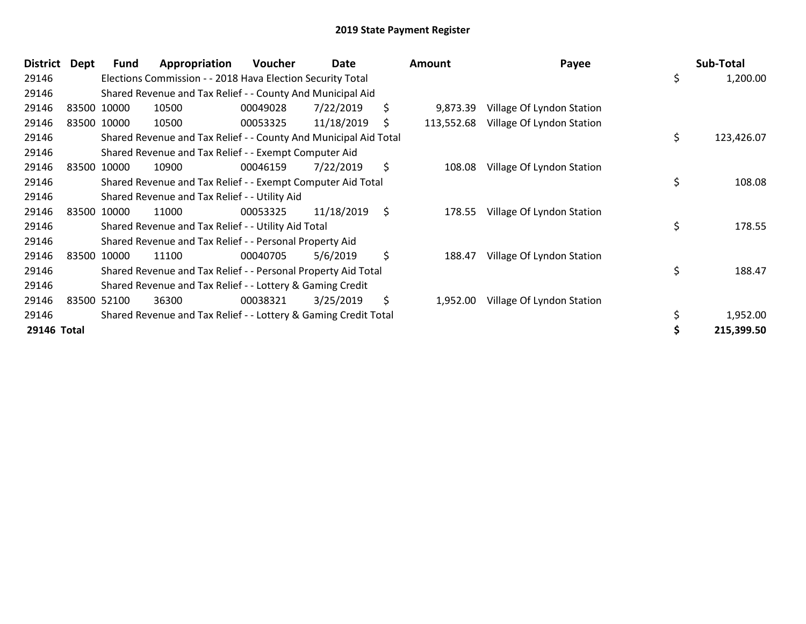| District    | Dept | <b>Fund</b> | Appropriation                                                    | Voucher  | Date       | Amount           | Payee                     | Sub-Total        |
|-------------|------|-------------|------------------------------------------------------------------|----------|------------|------------------|---------------------------|------------------|
| 29146       |      |             | Elections Commission - - 2018 Hava Election Security Total       |          |            |                  |                           | \$<br>1,200.00   |
| 29146       |      |             | Shared Revenue and Tax Relief - - County And Municipal Aid       |          |            |                  |                           |                  |
| 29146       |      | 83500 10000 | 10500                                                            | 00049028 | 7/22/2019  | \$<br>9,873.39   | Village Of Lyndon Station |                  |
| 29146       |      | 83500 10000 | 10500                                                            | 00053325 | 11/18/2019 | \$<br>113,552.68 | Village Of Lyndon Station |                  |
| 29146       |      |             | Shared Revenue and Tax Relief - - County And Municipal Aid Total |          |            |                  |                           | \$<br>123,426.07 |
| 29146       |      |             | Shared Revenue and Tax Relief - - Exempt Computer Aid            |          |            |                  |                           |                  |
| 29146       |      | 83500 10000 | 10900                                                            | 00046159 | 7/22/2019  | \$<br>108.08     | Village Of Lyndon Station |                  |
| 29146       |      |             | Shared Revenue and Tax Relief - - Exempt Computer Aid Total      |          |            |                  |                           | \$<br>108.08     |
| 29146       |      |             | Shared Revenue and Tax Relief - - Utility Aid                    |          |            |                  |                           |                  |
| 29146       |      | 83500 10000 | 11000                                                            | 00053325 | 11/18/2019 | \$<br>178.55     | Village Of Lyndon Station |                  |
| 29146       |      |             | Shared Revenue and Tax Relief - - Utility Aid Total              |          |            |                  |                           | \$<br>178.55     |
| 29146       |      |             | Shared Revenue and Tax Relief - - Personal Property Aid          |          |            |                  |                           |                  |
| 29146       |      | 83500 10000 | 11100                                                            | 00040705 | 5/6/2019   | \$<br>188.47     | Village Of Lyndon Station |                  |
| 29146       |      |             | Shared Revenue and Tax Relief - - Personal Property Aid Total    |          |            |                  |                           | \$<br>188.47     |
| 29146       |      |             | Shared Revenue and Tax Relief - - Lottery & Gaming Credit        |          |            |                  |                           |                  |
| 29146       |      | 83500 52100 | 36300                                                            | 00038321 | 3/25/2019  | \$<br>1,952.00   | Village Of Lyndon Station |                  |
| 29146       |      |             | Shared Revenue and Tax Relief - - Lottery & Gaming Credit Total  |          |            |                  |                           | \$<br>1,952.00   |
| 29146 Total |      |             |                                                                  |          |            |                  |                           | 215,399.50       |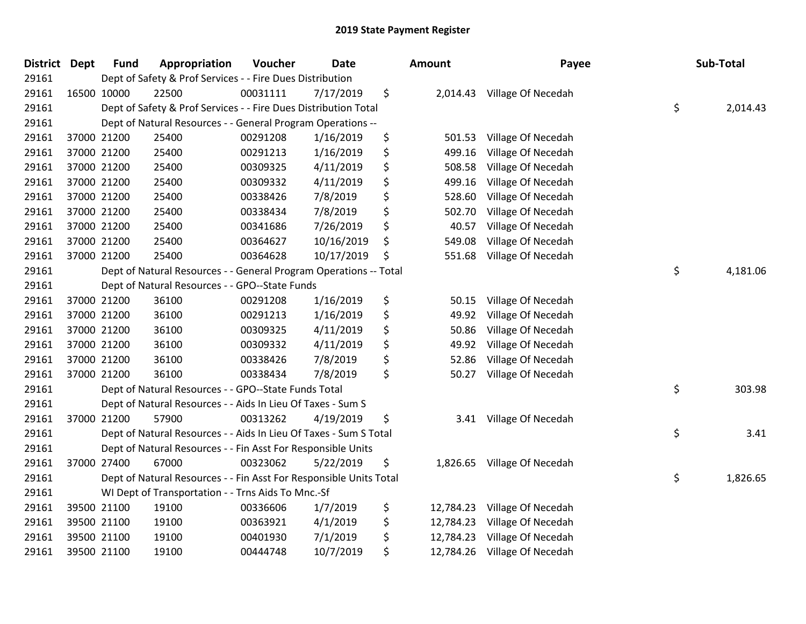| <b>District</b> | <b>Dept</b> | <b>Fund</b> | Appropriation                                                      | Voucher  | Date       | <b>Amount</b>   | Payee              | Sub-Total      |
|-----------------|-------------|-------------|--------------------------------------------------------------------|----------|------------|-----------------|--------------------|----------------|
| 29161           |             |             | Dept of Safety & Prof Services - - Fire Dues Distribution          |          |            |                 |                    |                |
| 29161           |             | 16500 10000 | 22500                                                              | 00031111 | 7/17/2019  | \$<br>2,014.43  | Village Of Necedah |                |
| 29161           |             |             | Dept of Safety & Prof Services - - Fire Dues Distribution Total    |          |            |                 |                    | \$<br>2,014.43 |
| 29161           |             |             | Dept of Natural Resources - - General Program Operations --        |          |            |                 |                    |                |
| 29161           |             | 37000 21200 | 25400                                                              | 00291208 | 1/16/2019  | \$<br>501.53    | Village Of Necedah |                |
| 29161           |             | 37000 21200 | 25400                                                              | 00291213 | 1/16/2019  | \$<br>499.16    | Village Of Necedah |                |
| 29161           |             | 37000 21200 | 25400                                                              | 00309325 | 4/11/2019  | \$<br>508.58    | Village Of Necedah |                |
| 29161           |             | 37000 21200 | 25400                                                              | 00309332 | 4/11/2019  | \$<br>499.16    | Village Of Necedah |                |
| 29161           |             | 37000 21200 | 25400                                                              | 00338426 | 7/8/2019   | \$<br>528.60    | Village Of Necedah |                |
| 29161           |             | 37000 21200 | 25400                                                              | 00338434 | 7/8/2019   | \$<br>502.70    | Village Of Necedah |                |
| 29161           |             | 37000 21200 | 25400                                                              | 00341686 | 7/26/2019  | \$<br>40.57     | Village Of Necedah |                |
| 29161           |             | 37000 21200 | 25400                                                              | 00364627 | 10/16/2019 | \$<br>549.08    | Village Of Necedah |                |
| 29161           |             | 37000 21200 | 25400                                                              | 00364628 | 10/17/2019 | \$<br>551.68    | Village Of Necedah |                |
| 29161           |             |             | Dept of Natural Resources - - General Program Operations -- Total  |          |            |                 |                    | \$<br>4,181.06 |
| 29161           |             |             | Dept of Natural Resources - - GPO--State Funds                     |          |            |                 |                    |                |
| 29161           |             | 37000 21200 | 36100                                                              | 00291208 | 1/16/2019  | \$<br>50.15     | Village Of Necedah |                |
| 29161           |             | 37000 21200 | 36100                                                              | 00291213 | 1/16/2019  | \$<br>49.92     | Village Of Necedah |                |
| 29161           |             | 37000 21200 | 36100                                                              | 00309325 | 4/11/2019  | \$<br>50.86     | Village Of Necedah |                |
| 29161           |             | 37000 21200 | 36100                                                              | 00309332 | 4/11/2019  | \$<br>49.92     | Village Of Necedah |                |
| 29161           |             | 37000 21200 | 36100                                                              | 00338426 | 7/8/2019   | \$<br>52.86     | Village Of Necedah |                |
| 29161           |             | 37000 21200 | 36100                                                              | 00338434 | 7/8/2019   | \$<br>50.27     | Village Of Necedah |                |
| 29161           |             |             | Dept of Natural Resources - - GPO--State Funds Total               |          |            |                 |                    | \$<br>303.98   |
| 29161           |             |             | Dept of Natural Resources - - Aids In Lieu Of Taxes - Sum S        |          |            |                 |                    |                |
| 29161           |             | 37000 21200 | 57900                                                              | 00313262 | 4/19/2019  | \$<br>3.41      | Village Of Necedah |                |
| 29161           |             |             | Dept of Natural Resources - - Aids In Lieu Of Taxes - Sum S Total  |          |            |                 |                    | \$<br>3.41     |
| 29161           |             |             | Dept of Natural Resources - - Fin Asst For Responsible Units       |          |            |                 |                    |                |
| 29161           |             | 37000 27400 | 67000                                                              | 00323062 | 5/22/2019  | \$<br>1,826.65  | Village Of Necedah |                |
| 29161           |             |             | Dept of Natural Resources - - Fin Asst For Responsible Units Total |          |            |                 |                    | \$<br>1,826.65 |
| 29161           |             |             | WI Dept of Transportation - - Trns Aids To Mnc.-Sf                 |          |            |                 |                    |                |
| 29161           |             | 39500 21100 | 19100                                                              | 00336606 | 1/7/2019   | \$<br>12,784.23 | Village Of Necedah |                |
| 29161           |             | 39500 21100 | 19100                                                              | 00363921 | 4/1/2019   | \$<br>12,784.23 | Village Of Necedah |                |
| 29161           |             | 39500 21100 | 19100                                                              | 00401930 | 7/1/2019   | \$<br>12,784.23 | Village Of Necedah |                |
| 29161           |             | 39500 21100 | 19100                                                              | 00444748 | 10/7/2019  | \$<br>12,784.26 | Village Of Necedah |                |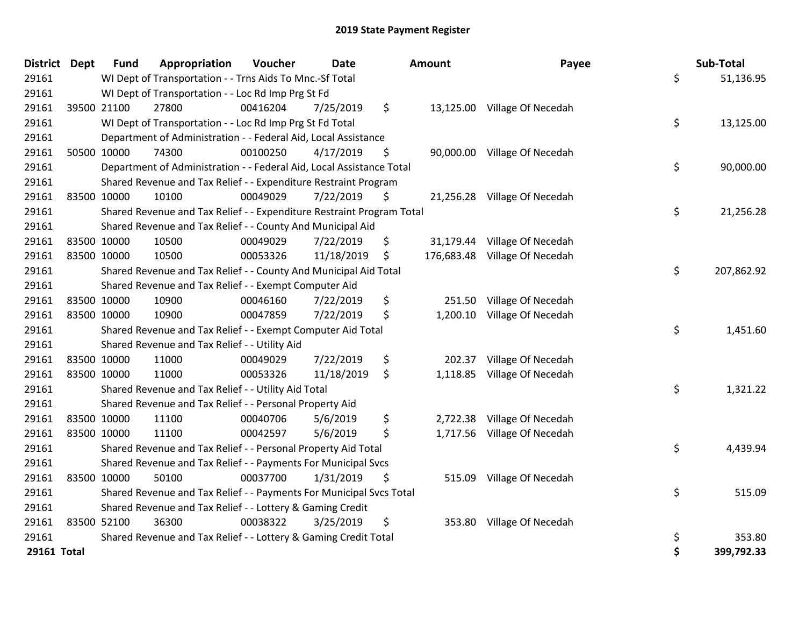| <b>District Dept</b> |             | <b>Fund</b> | Appropriation                                                         | Voucher  | <b>Date</b> | Amount          | Payee                         | Sub-Total        |
|----------------------|-------------|-------------|-----------------------------------------------------------------------|----------|-------------|-----------------|-------------------------------|------------------|
| 29161                |             |             | WI Dept of Transportation - - Trns Aids To Mnc.-Sf Total              |          |             |                 |                               | \$<br>51,136.95  |
| 29161                |             |             | WI Dept of Transportation - - Loc Rd Imp Prg St Fd                    |          |             |                 |                               |                  |
| 29161                |             | 39500 21100 | 27800                                                                 | 00416204 | 7/25/2019   | \$              | 13,125.00 Village Of Necedah  |                  |
| 29161                |             |             | WI Dept of Transportation - - Loc Rd Imp Prg St Fd Total              |          |             |                 |                               | \$<br>13,125.00  |
| 29161                |             |             | Department of Administration - - Federal Aid, Local Assistance        |          |             |                 |                               |                  |
| 29161                |             | 50500 10000 | 74300                                                                 | 00100250 | 4/17/2019   | \$<br>90,000.00 | Village Of Necedah            |                  |
| 29161                |             |             | Department of Administration - - Federal Aid, Local Assistance Total  |          |             |                 |                               | \$<br>90,000.00  |
| 29161                |             |             | Shared Revenue and Tax Relief - - Expenditure Restraint Program       |          |             |                 |                               |                  |
| 29161                |             | 83500 10000 | 10100                                                                 | 00049029 | 7/22/2019   | \$              | 21,256.28 Village Of Necedah  |                  |
| 29161                |             |             | Shared Revenue and Tax Relief - - Expenditure Restraint Program Total |          |             |                 |                               | \$<br>21,256.28  |
| 29161                |             |             | Shared Revenue and Tax Relief - - County And Municipal Aid            |          |             |                 |                               |                  |
| 29161                |             | 83500 10000 | 10500                                                                 | 00049029 | 7/22/2019   | \$              | 31,179.44 Village Of Necedah  |                  |
| 29161                |             | 83500 10000 | 10500                                                                 | 00053326 | 11/18/2019  | \$              | 176,683.48 Village Of Necedah |                  |
| 29161                |             |             | Shared Revenue and Tax Relief - - County And Municipal Aid Total      |          |             |                 |                               | \$<br>207,862.92 |
| 29161                |             |             | Shared Revenue and Tax Relief - - Exempt Computer Aid                 |          |             |                 |                               |                  |
| 29161                |             | 83500 10000 | 10900                                                                 | 00046160 | 7/22/2019   | \$<br>251.50    | Village Of Necedah            |                  |
| 29161                | 83500 10000 |             | 10900                                                                 | 00047859 | 7/22/2019   | \$              | 1,200.10 Village Of Necedah   |                  |
| 29161                |             |             | Shared Revenue and Tax Relief - - Exempt Computer Aid Total           |          |             |                 |                               | \$<br>1,451.60   |
| 29161                |             |             | Shared Revenue and Tax Relief - - Utility Aid                         |          |             |                 |                               |                  |
| 29161                |             | 83500 10000 | 11000                                                                 | 00049029 | 7/22/2019   | \$<br>202.37    | Village Of Necedah            |                  |
| 29161                | 83500 10000 |             | 11000                                                                 | 00053326 | 11/18/2019  | \$              | 1,118.85 Village Of Necedah   |                  |
| 29161                |             |             | Shared Revenue and Tax Relief - - Utility Aid Total                   |          |             |                 |                               | \$<br>1,321.22   |
| 29161                |             |             | Shared Revenue and Tax Relief - - Personal Property Aid               |          |             |                 |                               |                  |
| 29161                |             | 83500 10000 | 11100                                                                 | 00040706 | 5/6/2019    | \$<br>2,722.38  | Village Of Necedah            |                  |
| 29161                |             | 83500 10000 | 11100                                                                 | 00042597 | 5/6/2019    | \$              | 1,717.56 Village Of Necedah   |                  |
| 29161                |             |             | Shared Revenue and Tax Relief - - Personal Property Aid Total         |          |             |                 |                               | \$<br>4,439.94   |
| 29161                |             |             | Shared Revenue and Tax Relief - - Payments For Municipal Svcs         |          |             |                 |                               |                  |
| 29161                | 83500 10000 |             | 50100                                                                 | 00037700 | 1/31/2019   | \$              | 515.09 Village Of Necedah     |                  |
| 29161                |             |             | Shared Revenue and Tax Relief - - Payments For Municipal Svcs Total   |          |             |                 |                               | \$<br>515.09     |
| 29161                |             |             | Shared Revenue and Tax Relief - - Lottery & Gaming Credit             |          |             |                 |                               |                  |
| 29161                | 83500 52100 |             | 36300                                                                 | 00038322 | 3/25/2019   | \$<br>353.80    | Village Of Necedah            |                  |
| 29161                |             |             | Shared Revenue and Tax Relief - - Lottery & Gaming Credit Total       |          |             |                 |                               | \$<br>353.80     |
| 29161 Total          |             |             |                                                                       |          |             |                 |                               | \$<br>399,792.33 |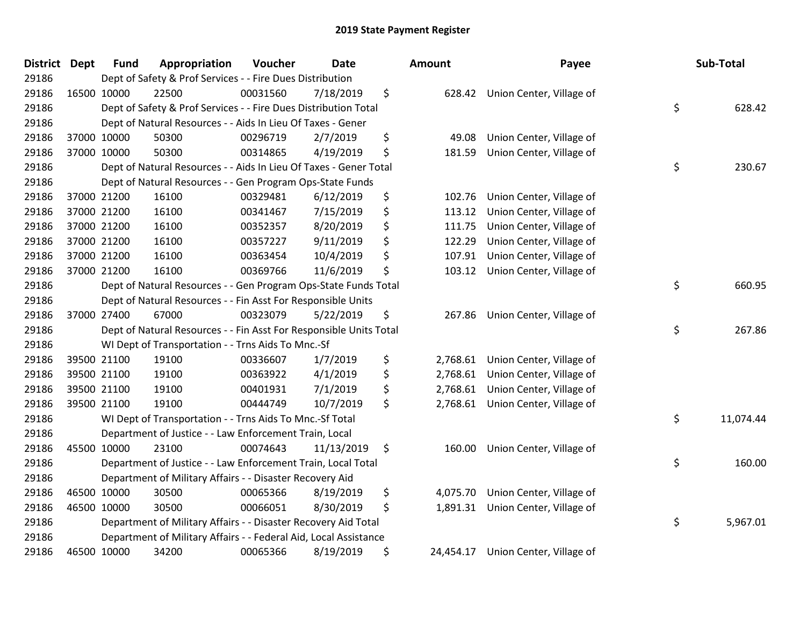| <b>District</b> | <b>Dept</b> | <b>Fund</b> | Appropriation                                                      | Voucher  | <b>Date</b> | Amount          | Payee                             | Sub-Total       |
|-----------------|-------------|-------------|--------------------------------------------------------------------|----------|-------------|-----------------|-----------------------------------|-----------------|
| 29186           |             |             | Dept of Safety & Prof Services - - Fire Dues Distribution          |          |             |                 |                                   |                 |
| 29186           |             | 16500 10000 | 22500                                                              | 00031560 | 7/18/2019   | \$<br>628.42    | Union Center, Village of          |                 |
| 29186           |             |             | Dept of Safety & Prof Services - - Fire Dues Distribution Total    |          |             |                 |                                   | \$<br>628.42    |
| 29186           |             |             | Dept of Natural Resources - - Aids In Lieu Of Taxes - Gener        |          |             |                 |                                   |                 |
| 29186           |             | 37000 10000 | 50300                                                              | 00296719 | 2/7/2019    | \$<br>49.08     | Union Center, Village of          |                 |
| 29186           |             | 37000 10000 | 50300                                                              | 00314865 | 4/19/2019   | \$<br>181.59    | Union Center, Village of          |                 |
| 29186           |             |             | Dept of Natural Resources - - Aids In Lieu Of Taxes - Gener Total  |          |             |                 |                                   | \$<br>230.67    |
| 29186           |             |             | Dept of Natural Resources - - Gen Program Ops-State Funds          |          |             |                 |                                   |                 |
| 29186           |             | 37000 21200 | 16100                                                              | 00329481 | 6/12/2019   | \$<br>102.76    | Union Center, Village of          |                 |
| 29186           |             | 37000 21200 | 16100                                                              | 00341467 | 7/15/2019   | \$<br>113.12    | Union Center, Village of          |                 |
| 29186           |             | 37000 21200 | 16100                                                              | 00352357 | 8/20/2019   | \$<br>111.75    | Union Center, Village of          |                 |
| 29186           |             | 37000 21200 | 16100                                                              | 00357227 | 9/11/2019   | \$<br>122.29    | Union Center, Village of          |                 |
| 29186           |             | 37000 21200 | 16100                                                              | 00363454 | 10/4/2019   | \$<br>107.91    | Union Center, Village of          |                 |
| 29186           |             | 37000 21200 | 16100                                                              | 00369766 | 11/6/2019   | \$<br>103.12    | Union Center, Village of          |                 |
| 29186           |             |             | Dept of Natural Resources - - Gen Program Ops-State Funds Total    |          |             |                 |                                   | \$<br>660.95    |
| 29186           |             |             | Dept of Natural Resources - - Fin Asst For Responsible Units       |          |             |                 |                                   |                 |
| 29186           |             | 37000 27400 | 67000                                                              | 00323079 | 5/22/2019   | \$<br>267.86    | Union Center, Village of          |                 |
| 29186           |             |             | Dept of Natural Resources - - Fin Asst For Responsible Units Total |          |             |                 |                                   | \$<br>267.86    |
| 29186           |             |             | WI Dept of Transportation - - Trns Aids To Mnc.-Sf                 |          |             |                 |                                   |                 |
| 29186           |             | 39500 21100 | 19100                                                              | 00336607 | 1/7/2019    | \$<br>2,768.61  | Union Center, Village of          |                 |
| 29186           |             | 39500 21100 | 19100                                                              | 00363922 | 4/1/2019    | \$<br>2,768.61  | Union Center, Village of          |                 |
| 29186           |             | 39500 21100 | 19100                                                              | 00401931 | 7/1/2019    | \$<br>2,768.61  | Union Center, Village of          |                 |
| 29186           |             | 39500 21100 | 19100                                                              | 00444749 | 10/7/2019   | \$              | 2,768.61 Union Center, Village of |                 |
| 29186           |             |             | WI Dept of Transportation - - Trns Aids To Mnc.-Sf Total           |          |             |                 |                                   | \$<br>11,074.44 |
| 29186           |             |             | Department of Justice - - Law Enforcement Train, Local             |          |             |                 |                                   |                 |
| 29186           |             | 45500 10000 | 23100                                                              | 00074643 | 11/13/2019  | \$<br>160.00    | Union Center, Village of          |                 |
| 29186           |             |             | Department of Justice - - Law Enforcement Train, Local Total       |          |             |                 |                                   | \$<br>160.00    |
| 29186           |             |             | Department of Military Affairs - - Disaster Recovery Aid           |          |             |                 |                                   |                 |
| 29186           |             | 46500 10000 | 30500                                                              | 00065366 | 8/19/2019   | \$<br>4,075.70  | Union Center, Village of          |                 |
| 29186           |             | 46500 10000 | 30500                                                              | 00066051 | 8/30/2019   | \$<br>1,891.31  | Union Center, Village of          |                 |
| 29186           |             |             | Department of Military Affairs - - Disaster Recovery Aid Total     |          |             |                 |                                   | \$<br>5,967.01  |
| 29186           |             |             | Department of Military Affairs - - Federal Aid, Local Assistance   |          |             |                 |                                   |                 |
| 29186           |             | 46500 10000 | 34200                                                              | 00065366 | 8/19/2019   | \$<br>24,454.17 | Union Center, Village of          |                 |

| ount      | Payee                    | Sub-Total       |
|-----------|--------------------------|-----------------|
| 628.42    | Union Center, Village of | \$<br>628.42    |
| 49.08     | Union Center, Village of |                 |
| 181.59    | Union Center, Village of |                 |
|           |                          | \$<br>230.67    |
| 102.76    | Union Center, Village of |                 |
| 113.12    | Union Center, Village of |                 |
| 111.75    | Union Center, Village of |                 |
| 122.29    | Union Center, Village of |                 |
| 107.91    | Union Center, Village of |                 |
| 103.12    | Union Center, Village of |                 |
|           |                          | \$<br>660.95    |
| 267.86    | Union Center, Village of |                 |
|           |                          | \$<br>267.86    |
| 2,768.61  | Union Center, Village of |                 |
| 2,768.61  | Union Center, Village of |                 |
| 2,768.61  | Union Center, Village of |                 |
| 2,768.61  | Union Center, Village of |                 |
|           |                          | \$<br>11,074.44 |
| 160.00    | Union Center, Village of |                 |
|           |                          | \$<br>160.00    |
| 4,075.70  | Union Center, Village of |                 |
| 1,891.31  | Union Center, Village of |                 |
|           |                          | \$<br>5,967.01  |
| 24,454.17 | Union Center, Village of |                 |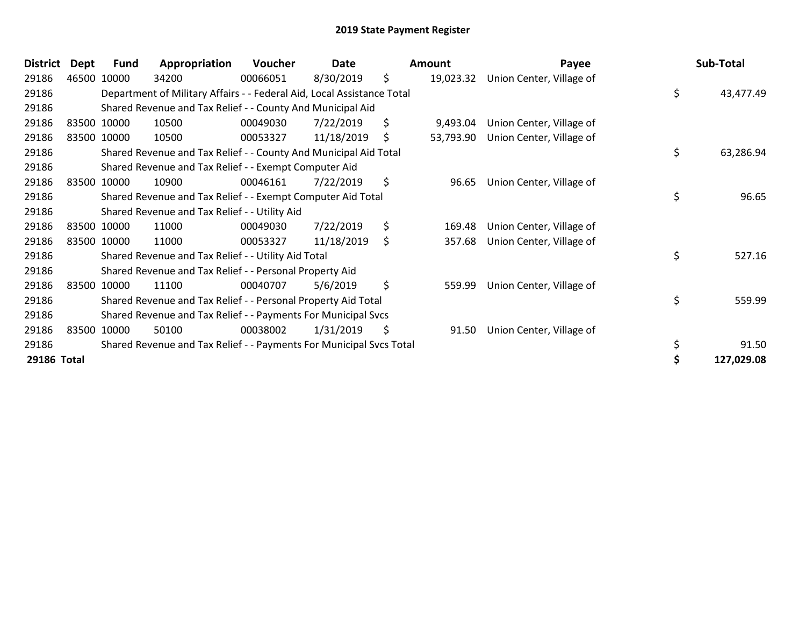| <b>District</b> | <b>Dept</b> | <b>Fund</b> | Appropriation                                                          | Voucher  | Date       | Amount          | Payee                    | Sub-Total       |
|-----------------|-------------|-------------|------------------------------------------------------------------------|----------|------------|-----------------|--------------------------|-----------------|
| 29186           |             | 46500 10000 | 34200                                                                  | 00066051 | 8/30/2019  | \$<br>19,023.32 | Union Center, Village of |                 |
| 29186           |             |             | Department of Military Affairs - - Federal Aid, Local Assistance Total |          |            |                 |                          | \$<br>43,477.49 |
| 29186           |             |             | Shared Revenue and Tax Relief - - County And Municipal Aid             |          |            |                 |                          |                 |
| 29186           |             | 83500 10000 | 10500                                                                  | 00049030 | 7/22/2019  | \$<br>9,493.04  | Union Center, Village of |                 |
| 29186           |             | 83500 10000 | 10500                                                                  | 00053327 | 11/18/2019 | \$<br>53,793.90 | Union Center, Village of |                 |
| 29186           |             |             | Shared Revenue and Tax Relief - - County And Municipal Aid Total       |          |            |                 |                          | \$<br>63,286.94 |
| 29186           |             |             | Shared Revenue and Tax Relief - - Exempt Computer Aid                  |          |            |                 |                          |                 |
| 29186           |             | 83500 10000 | 10900                                                                  | 00046161 | 7/22/2019  | \$<br>96.65     | Union Center, Village of |                 |
| 29186           |             |             | Shared Revenue and Tax Relief - - Exempt Computer Aid Total            |          |            |                 |                          | \$<br>96.65     |
| 29186           |             |             | Shared Revenue and Tax Relief - - Utility Aid                          |          |            |                 |                          |                 |
| 29186           |             | 83500 10000 | 11000                                                                  | 00049030 | 7/22/2019  | \$<br>169.48    | Union Center, Village of |                 |
| 29186           |             | 83500 10000 | 11000                                                                  | 00053327 | 11/18/2019 | \$<br>357.68    | Union Center, Village of |                 |
| 29186           |             |             | Shared Revenue and Tax Relief - - Utility Aid Total                    |          |            |                 |                          | \$<br>527.16    |
| 29186           |             |             | Shared Revenue and Tax Relief - - Personal Property Aid                |          |            |                 |                          |                 |
| 29186           |             | 83500 10000 | 11100                                                                  | 00040707 | 5/6/2019   | \$<br>559.99    | Union Center, Village of |                 |
| 29186           |             |             | Shared Revenue and Tax Relief - - Personal Property Aid Total          |          |            |                 |                          | \$<br>559.99    |
| 29186           |             |             | Shared Revenue and Tax Relief - - Payments For Municipal Svcs          |          |            |                 |                          |                 |
| 29186           |             | 83500 10000 | 50100                                                                  | 00038002 | 1/31/2019  | \$<br>91.50     | Union Center, Village of |                 |
| 29186           |             |             | Shared Revenue and Tax Relief - - Payments For Municipal Svcs Total    |          |            |                 |                          | \$<br>91.50     |
| 29186 Total     |             |             |                                                                        |          |            |                 |                          | 127,029.08      |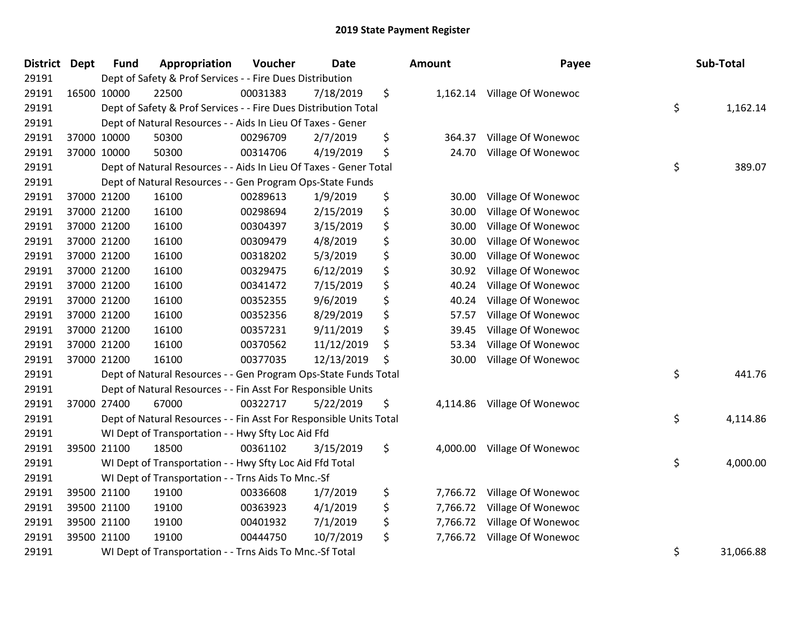| <b>District</b> | Dept | <b>Fund</b> | Appropriation                                                      | Voucher  | <b>Date</b> | Amount         | Payee                       | Sub-Total       |
|-----------------|------|-------------|--------------------------------------------------------------------|----------|-------------|----------------|-----------------------------|-----------------|
| 29191           |      |             | Dept of Safety & Prof Services - - Fire Dues Distribution          |          |             |                |                             |                 |
| 29191           |      | 16500 10000 | 22500                                                              | 00031383 | 7/18/2019   | \$             | 1,162.14 Village Of Wonewoc |                 |
| 29191           |      |             | Dept of Safety & Prof Services - - Fire Dues Distribution Total    |          |             |                |                             | \$<br>1,162.14  |
| 29191           |      |             | Dept of Natural Resources - - Aids In Lieu Of Taxes - Gener        |          |             |                |                             |                 |
| 29191           |      | 37000 10000 | 50300                                                              | 00296709 | 2/7/2019    | \$<br>364.37   | Village Of Wonewoc          |                 |
| 29191           |      | 37000 10000 | 50300                                                              | 00314706 | 4/19/2019   | \$<br>24.70    | Village Of Wonewoc          |                 |
| 29191           |      |             | Dept of Natural Resources - - Aids In Lieu Of Taxes - Gener Total  |          |             |                |                             | \$<br>389.07    |
| 29191           |      |             | Dept of Natural Resources - - Gen Program Ops-State Funds          |          |             |                |                             |                 |
| 29191           |      | 37000 21200 | 16100                                                              | 00289613 | 1/9/2019    | \$<br>30.00    | Village Of Wonewoc          |                 |
| 29191           |      | 37000 21200 | 16100                                                              | 00298694 | 2/15/2019   | \$<br>30.00    | Village Of Wonewoc          |                 |
| 29191           |      | 37000 21200 | 16100                                                              | 00304397 | 3/15/2019   | \$<br>30.00    | Village Of Wonewoc          |                 |
| 29191           |      | 37000 21200 | 16100                                                              | 00309479 | 4/8/2019    | \$<br>30.00    | Village Of Wonewoc          |                 |
| 29191           |      | 37000 21200 | 16100                                                              | 00318202 | 5/3/2019    | \$<br>30.00    | Village Of Wonewoc          |                 |
| 29191           |      | 37000 21200 | 16100                                                              | 00329475 | 6/12/2019   | \$<br>30.92    | Village Of Wonewoc          |                 |
| 29191           |      | 37000 21200 | 16100                                                              | 00341472 | 7/15/2019   | \$<br>40.24    | Village Of Wonewoc          |                 |
| 29191           |      | 37000 21200 | 16100                                                              | 00352355 | 9/6/2019    | \$<br>40.24    | Village Of Wonewoc          |                 |
| 29191           |      | 37000 21200 | 16100                                                              | 00352356 | 8/29/2019   | \$<br>57.57    | Village Of Wonewoc          |                 |
| 29191           |      | 37000 21200 | 16100                                                              | 00357231 | 9/11/2019   | \$<br>39.45    | Village Of Wonewoc          |                 |
| 29191           |      | 37000 21200 | 16100                                                              | 00370562 | 11/12/2019  | \$<br>53.34    | Village Of Wonewoc          |                 |
| 29191           |      | 37000 21200 | 16100                                                              | 00377035 | 12/13/2019  | \$<br>30.00    | Village Of Wonewoc          |                 |
| 29191           |      |             | Dept of Natural Resources - - Gen Program Ops-State Funds Total    |          |             |                |                             | \$<br>441.76    |
| 29191           |      |             | Dept of Natural Resources - - Fin Asst For Responsible Units       |          |             |                |                             |                 |
| 29191           |      | 37000 27400 | 67000                                                              | 00322717 | 5/22/2019   | \$<br>4,114.86 | Village Of Wonewoc          |                 |
| 29191           |      |             | Dept of Natural Resources - - Fin Asst For Responsible Units Total |          |             |                |                             | \$<br>4,114.86  |
| 29191           |      |             | WI Dept of Transportation - - Hwy Sfty Loc Aid Ffd                 |          |             |                |                             |                 |
| 29191           |      | 39500 21100 | 18500                                                              | 00361102 | 3/15/2019   | \$<br>4,000.00 | Village Of Wonewoc          |                 |
| 29191           |      |             | WI Dept of Transportation - - Hwy Sfty Loc Aid Ffd Total           |          |             |                |                             | \$<br>4,000.00  |
| 29191           |      |             | WI Dept of Transportation - - Trns Aids To Mnc.-Sf                 |          |             |                |                             |                 |
| 29191           |      | 39500 21100 | 19100                                                              | 00336608 | 1/7/2019    | \$<br>7,766.72 | Village Of Wonewoc          |                 |
| 29191           |      | 39500 21100 | 19100                                                              | 00363923 | 4/1/2019    | \$<br>7,766.72 | Village Of Wonewoc          |                 |
| 29191           |      | 39500 21100 | 19100                                                              | 00401932 | 7/1/2019    | \$<br>7,766.72 | Village Of Wonewoc          |                 |
| 29191           |      | 39500 21100 | 19100                                                              | 00444750 | 10/7/2019   | \$<br>7,766.72 | Village Of Wonewoc          |                 |
| 29191           |      |             | WI Dept of Transportation - - Trns Aids To Mnc.-Sf Total           |          |             |                |                             | \$<br>31,066.88 |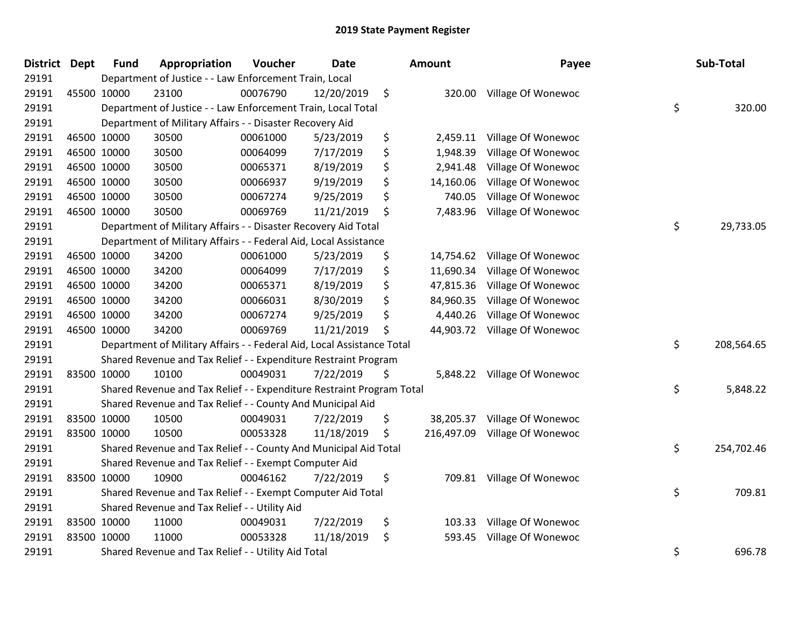| <b>District Dept</b> |             | <b>Fund</b> | Appropriation                                                          | Voucher  | Date       | <b>Amount</b>    | Payee              | Sub-Total        |
|----------------------|-------------|-------------|------------------------------------------------------------------------|----------|------------|------------------|--------------------|------------------|
| 29191                |             |             | Department of Justice - - Law Enforcement Train, Local                 |          |            |                  |                    |                  |
| 29191                |             | 45500 10000 | 23100                                                                  | 00076790 | 12/20/2019 | \$<br>320.00     | Village Of Wonewoc |                  |
| 29191                |             |             | Department of Justice - - Law Enforcement Train, Local Total           |          |            |                  |                    | \$<br>320.00     |
| 29191                |             |             | Department of Military Affairs - - Disaster Recovery Aid               |          |            |                  |                    |                  |
| 29191                |             | 46500 10000 | 30500                                                                  | 00061000 | 5/23/2019  | \$<br>2,459.11   | Village Of Wonewoc |                  |
| 29191                |             | 46500 10000 | 30500                                                                  | 00064099 | 7/17/2019  | \$<br>1,948.39   | Village Of Wonewoc |                  |
| 29191                |             | 46500 10000 | 30500                                                                  | 00065371 | 8/19/2019  | \$<br>2,941.48   | Village Of Wonewoc |                  |
| 29191                |             | 46500 10000 | 30500                                                                  | 00066937 | 9/19/2019  | \$<br>14,160.06  | Village Of Wonewoc |                  |
| 29191                |             | 46500 10000 | 30500                                                                  | 00067274 | 9/25/2019  | \$<br>740.05     | Village Of Wonewoc |                  |
| 29191                |             | 46500 10000 | 30500                                                                  | 00069769 | 11/21/2019 | \$<br>7,483.96   | Village Of Wonewoc |                  |
| 29191                |             |             | Department of Military Affairs - - Disaster Recovery Aid Total         |          |            |                  |                    | \$<br>29,733.05  |
| 29191                |             |             | Department of Military Affairs - - Federal Aid, Local Assistance       |          |            |                  |                    |                  |
| 29191                |             | 46500 10000 | 34200                                                                  | 00061000 | 5/23/2019  | \$<br>14,754.62  | Village Of Wonewoc |                  |
| 29191                |             | 46500 10000 | 34200                                                                  | 00064099 | 7/17/2019  | \$<br>11,690.34  | Village Of Wonewoc |                  |
| 29191                |             | 46500 10000 | 34200                                                                  | 00065371 | 8/19/2019  | \$<br>47,815.36  | Village Of Wonewoc |                  |
| 29191                |             | 46500 10000 | 34200                                                                  | 00066031 | 8/30/2019  | \$<br>84,960.35  | Village Of Wonewoc |                  |
| 29191                |             | 46500 10000 | 34200                                                                  | 00067274 | 9/25/2019  | \$<br>4,440.26   | Village Of Wonewoc |                  |
| 29191                |             | 46500 10000 | 34200                                                                  | 00069769 | 11/21/2019 | \$<br>44,903.72  | Village Of Wonewoc |                  |
| 29191                |             |             | Department of Military Affairs - - Federal Aid, Local Assistance Total |          |            |                  |                    | \$<br>208,564.65 |
| 29191                |             |             | Shared Revenue and Tax Relief - - Expenditure Restraint Program        |          |            |                  |                    |                  |
| 29191                |             | 83500 10000 | 10100                                                                  | 00049031 | 7/22/2019  | \$<br>5,848.22   | Village Of Wonewoc |                  |
| 29191                |             |             | Shared Revenue and Tax Relief - - Expenditure Restraint Program Total  |          |            |                  |                    | \$<br>5,848.22   |
| 29191                |             |             | Shared Revenue and Tax Relief - - County And Municipal Aid             |          |            |                  |                    |                  |
| 29191                | 83500 10000 |             | 10500                                                                  | 00049031 | 7/22/2019  | \$<br>38,205.37  | Village Of Wonewoc |                  |
| 29191                |             | 83500 10000 | 10500                                                                  | 00053328 | 11/18/2019 | \$<br>216,497.09 | Village Of Wonewoc |                  |
| 29191                |             |             | Shared Revenue and Tax Relief - - County And Municipal Aid Total       |          |            |                  |                    | \$<br>254,702.46 |
| 29191                |             |             | Shared Revenue and Tax Relief - - Exempt Computer Aid                  |          |            |                  |                    |                  |
| 29191                | 83500 10000 |             | 10900                                                                  | 00046162 | 7/22/2019  | \$<br>709.81     | Village Of Wonewoc |                  |
| 29191                |             |             | Shared Revenue and Tax Relief - - Exempt Computer Aid Total            |          |            |                  |                    | \$<br>709.81     |
| 29191                |             |             | Shared Revenue and Tax Relief - - Utility Aid                          |          |            |                  |                    |                  |
| 29191                | 83500 10000 |             | 11000                                                                  | 00049031 | 7/22/2019  | \$<br>103.33     | Village Of Wonewoc |                  |
| 29191                |             | 83500 10000 | 11000                                                                  | 00053328 | 11/18/2019 | \$<br>593.45     | Village Of Wonewoc |                  |
| 29191                |             |             | Shared Revenue and Tax Relief - - Utility Aid Total                    |          |            |                  |                    | \$<br>696.78     |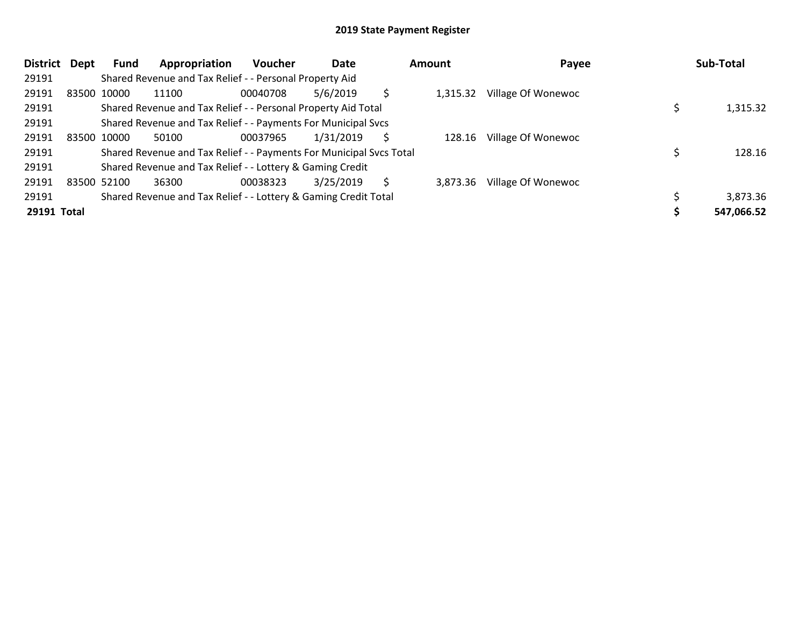| <b>District</b> | Dept | Fund        | Appropriation                                                       | <b>Voucher</b> | Date      |   | Amount   | Payee              | Sub-Total  |
|-----------------|------|-------------|---------------------------------------------------------------------|----------------|-----------|---|----------|--------------------|------------|
| 29191           |      |             | Shared Revenue and Tax Relief - - Personal Property Aid             |                |           |   |          |                    |            |
| 29191           |      | 83500 10000 | 11100                                                               | 00040708       | 5/6/2019  |   | 1,315.32 | Village Of Wonewoc |            |
| 29191           |      |             | Shared Revenue and Tax Relief - - Personal Property Aid Total       |                |           |   |          |                    | 1,315.32   |
| 29191           |      |             | Shared Revenue and Tax Relief - - Payments For Municipal Svcs       |                |           |   |          |                    |            |
| 29191           |      | 83500 10000 | 50100                                                               | 00037965       | 1/31/2019 | S | 128.16   | Village Of Wonewoc |            |
| 29191           |      |             | Shared Revenue and Tax Relief - - Payments For Municipal Svcs Total |                |           |   |          |                    | 128.16     |
| 29191           |      |             | Shared Revenue and Tax Relief - - Lottery & Gaming Credit           |                |           |   |          |                    |            |
| 29191           |      | 83500 52100 | 36300                                                               | 00038323       | 3/25/2019 | S | 3,873.36 | Village Of Wonewoc |            |
| 29191           |      |             | Shared Revenue and Tax Relief - - Lottery & Gaming Credit Total     |                |           |   |          |                    | 3,873.36   |
| 29191 Total     |      |             |                                                                     |                |           |   |          |                    | 547,066.52 |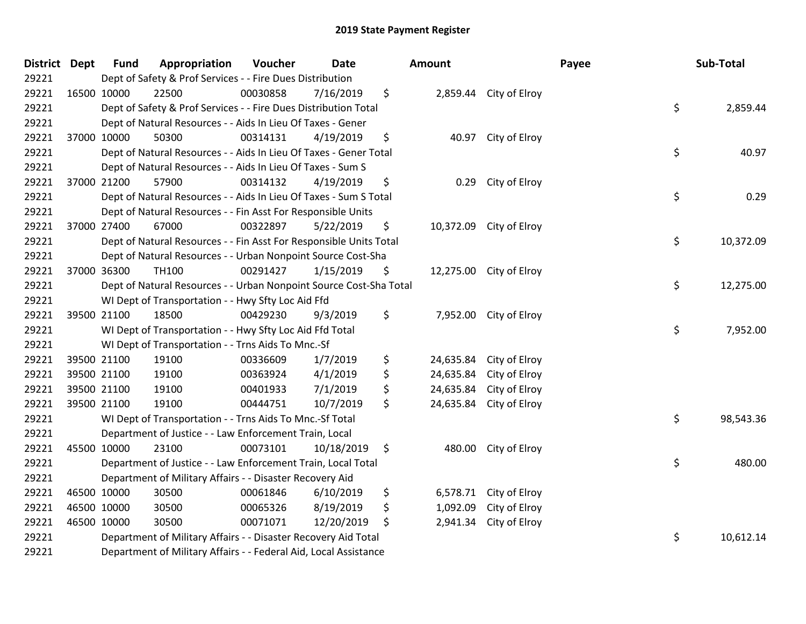| District Dept |             | <b>Fund</b> | Appropriation                                                      | Voucher  | <b>Date</b> | <b>Amount</b>   |                         | Payee | Sub-Total |
|---------------|-------------|-------------|--------------------------------------------------------------------|----------|-------------|-----------------|-------------------------|-------|-----------|
| 29221         |             |             | Dept of Safety & Prof Services - - Fire Dues Distribution          |          |             |                 |                         |       |           |
| 29221         | 16500 10000 |             | 22500                                                              | 00030858 | 7/16/2019   | \$              | 2,859.44 City of Elroy  |       |           |
| 29221         |             |             | Dept of Safety & Prof Services - - Fire Dues Distribution Total    |          |             |                 |                         | \$    | 2,859.44  |
| 29221         |             |             | Dept of Natural Resources - - Aids In Lieu Of Taxes - Gener        |          |             |                 |                         |       |           |
| 29221         | 37000 10000 |             | 50300                                                              | 00314131 | 4/19/2019   | \$              | 40.97 City of Elroy     |       |           |
| 29221         |             |             | Dept of Natural Resources - - Aids In Lieu Of Taxes - Gener Total  |          |             |                 |                         | \$    | 40.97     |
| 29221         |             |             | Dept of Natural Resources - - Aids In Lieu Of Taxes - Sum S        |          |             |                 |                         |       |           |
| 29221         |             | 37000 21200 | 57900                                                              | 00314132 | 4/19/2019   | \$<br>0.29      | City of Elroy           |       |           |
| 29221         |             |             | Dept of Natural Resources - - Aids In Lieu Of Taxes - Sum S Total  |          |             |                 |                         | \$    | 0.29      |
| 29221         |             |             | Dept of Natural Resources - - Fin Asst For Responsible Units       |          |             |                 |                         |       |           |
| 29221         | 37000 27400 |             | 67000                                                              | 00322897 | 5/22/2019   | \$              | 10,372.09 City of Elroy |       |           |
| 29221         |             |             | Dept of Natural Resources - - Fin Asst For Responsible Units Total |          |             |                 |                         | \$    | 10,372.09 |
| 29221         |             |             | Dept of Natural Resources - - Urban Nonpoint Source Cost-Sha       |          |             |                 |                         |       |           |
| 29221         |             | 37000 36300 | TH100                                                              | 00291427 | 1/15/2019   | \$              | 12,275.00 City of Elroy |       |           |
| 29221         |             |             | Dept of Natural Resources - - Urban Nonpoint Source Cost-Sha Total |          |             |                 |                         | \$    | 12,275.00 |
| 29221         |             |             | WI Dept of Transportation - - Hwy Sfty Loc Aid Ffd                 |          |             |                 |                         |       |           |
| 29221         |             | 39500 21100 | 18500                                                              | 00429230 | 9/3/2019    | \$              | 7,952.00 City of Elroy  |       |           |
| 29221         |             |             | WI Dept of Transportation - - Hwy Sfty Loc Aid Ffd Total           |          |             |                 |                         | \$    | 7,952.00  |
| 29221         |             |             | WI Dept of Transportation - - Trns Aids To Mnc.-Sf                 |          |             |                 |                         |       |           |
| 29221         |             | 39500 21100 | 19100                                                              | 00336609 | 1/7/2019    | \$<br>24,635.84 | City of Elroy           |       |           |
| 29221         |             | 39500 21100 | 19100                                                              | 00363924 | 4/1/2019    | \$<br>24,635.84 | City of Elroy           |       |           |
| 29221         |             | 39500 21100 | 19100                                                              | 00401933 | 7/1/2019    | \$<br>24,635.84 | City of Elroy           |       |           |
| 29221         | 39500 21100 |             | 19100                                                              | 00444751 | 10/7/2019   | \$<br>24,635.84 | City of Elroy           |       |           |
| 29221         |             |             | WI Dept of Transportation - - Trns Aids To Mnc.-Sf Total           |          |             |                 |                         | \$    | 98,543.36 |
| 29221         |             |             | Department of Justice - - Law Enforcement Train, Local             |          |             |                 |                         |       |           |
| 29221         | 45500 10000 |             | 23100                                                              | 00073101 | 10/18/2019  | \$<br>480.00    | City of Elroy           |       |           |
| 29221         |             |             | Department of Justice - - Law Enforcement Train, Local Total       |          |             |                 |                         | \$    | 480.00    |
| 29221         |             |             | Department of Military Affairs - - Disaster Recovery Aid           |          |             |                 |                         |       |           |
| 29221         | 46500 10000 |             | 30500                                                              | 00061846 | 6/10/2019   | \$              | 6,578.71 City of Elroy  |       |           |
| 29221         | 46500 10000 |             | 30500                                                              | 00065326 | 8/19/2019   | \$<br>1,092.09  | City of Elroy           |       |           |
| 29221         | 46500 10000 |             | 30500                                                              | 00071071 | 12/20/2019  | \$<br>2,941.34  | City of Elroy           |       |           |
| 29221         |             |             | Department of Military Affairs - - Disaster Recovery Aid Total     |          |             |                 |                         | \$    | 10,612.14 |
| 29221         |             |             | Department of Military Affairs - - Federal Aid, Local Assistance   |          |             |                 |                         |       |           |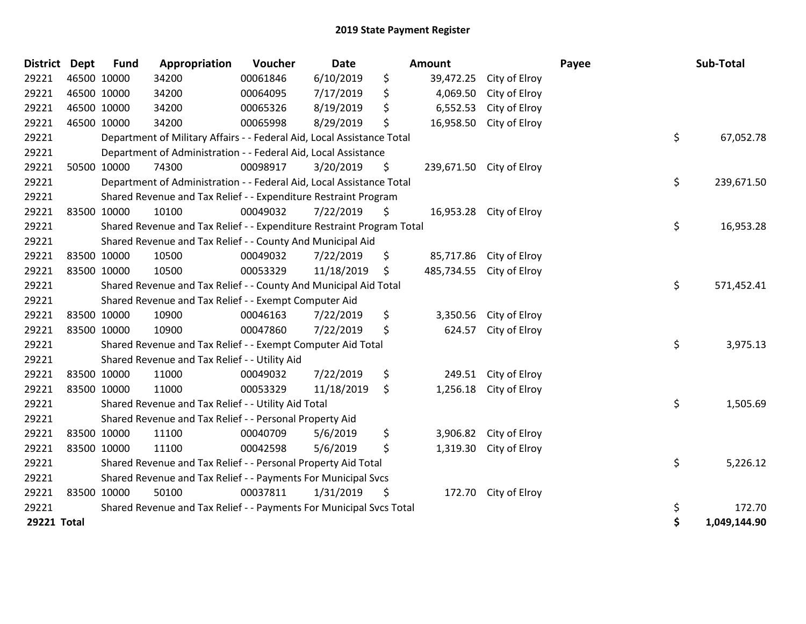| <b>District</b> | <b>Dept</b> | Fund | Appropriation                                                          | Voucher  | Date       | Amount           |                          | Payee | Sub-Total    |
|-----------------|-------------|------|------------------------------------------------------------------------|----------|------------|------------------|--------------------------|-------|--------------|
| 29221           | 46500 10000 |      | 34200                                                                  | 00061846 | 6/10/2019  | \$<br>39,472.25  | City of Elroy            |       |              |
| 29221           | 46500 10000 |      | 34200                                                                  | 00064095 | 7/17/2019  | \$<br>4,069.50   | City of Elroy            |       |              |
| 29221           | 46500 10000 |      | 34200                                                                  | 00065326 | 8/19/2019  | \$<br>6,552.53   | City of Elroy            |       |              |
| 29221           | 46500 10000 |      | 34200                                                                  | 00065998 | 8/29/2019  | \$<br>16,958.50  | City of Elroy            |       |              |
| 29221           |             |      | Department of Military Affairs - - Federal Aid, Local Assistance Total |          |            |                  |                          | \$    | 67,052.78    |
| 29221           |             |      | Department of Administration - - Federal Aid, Local Assistance         |          |            |                  |                          |       |              |
| 29221           | 50500 10000 |      | 74300                                                                  | 00098917 | 3/20/2019  | \$               | 239,671.50 City of Elroy |       |              |
| 29221           |             |      | Department of Administration - - Federal Aid, Local Assistance Total   |          |            |                  |                          | \$    | 239,671.50   |
| 29221           |             |      | Shared Revenue and Tax Relief - - Expenditure Restraint Program        |          |            |                  |                          |       |              |
| 29221           | 83500 10000 |      | 10100                                                                  | 00049032 | 7/22/2019  | \$               | 16,953.28 City of Elroy  |       |              |
| 29221           |             |      | Shared Revenue and Tax Relief - - Expenditure Restraint Program Total  |          |            |                  |                          | \$    | 16,953.28    |
| 29221           |             |      | Shared Revenue and Tax Relief - - County And Municipal Aid             |          |            |                  |                          |       |              |
| 29221           | 83500 10000 |      | 10500                                                                  | 00049032 | 7/22/2019  | \$               | 85,717.86 City of Elroy  |       |              |
| 29221           | 83500 10000 |      | 10500                                                                  | 00053329 | 11/18/2019 | \$<br>485,734.55 | City of Elroy            |       |              |
| 29221           |             |      | Shared Revenue and Tax Relief - - County And Municipal Aid Total       |          |            |                  |                          | \$    | 571,452.41   |
| 29221           |             |      | Shared Revenue and Tax Relief - - Exempt Computer Aid                  |          |            |                  |                          |       |              |
| 29221           | 83500 10000 |      | 10900                                                                  | 00046163 | 7/22/2019  | \$<br>3,350.56   | City of Elroy            |       |              |
| 29221           | 83500 10000 |      | 10900                                                                  | 00047860 | 7/22/2019  | \$<br>624.57     | City of Elroy            |       |              |
| 29221           |             |      | Shared Revenue and Tax Relief - - Exempt Computer Aid Total            |          |            |                  |                          | \$    | 3,975.13     |
| 29221           |             |      | Shared Revenue and Tax Relief - - Utility Aid                          |          |            |                  |                          |       |              |
| 29221           | 83500 10000 |      | 11000                                                                  | 00049032 | 7/22/2019  | \$<br>249.51     | City of Elroy            |       |              |
| 29221           | 83500 10000 |      | 11000                                                                  | 00053329 | 11/18/2019 | \$<br>1,256.18   | City of Elroy            |       |              |
| 29221           |             |      | Shared Revenue and Tax Relief - - Utility Aid Total                    |          |            |                  |                          | \$    | 1,505.69     |
| 29221           |             |      | Shared Revenue and Tax Relief - - Personal Property Aid                |          |            |                  |                          |       |              |
| 29221           | 83500 10000 |      | 11100                                                                  | 00040709 | 5/6/2019   | \$               | 3,906.82 City of Elroy   |       |              |
| 29221           | 83500 10000 |      | 11100                                                                  | 00042598 | 5/6/2019   | \$<br>1,319.30   | City of Elroy            |       |              |
| 29221           |             |      | Shared Revenue and Tax Relief - - Personal Property Aid Total          |          |            |                  |                          | \$    | 5,226.12     |
| 29221           |             |      | Shared Revenue and Tax Relief - - Payments For Municipal Svcs          |          |            |                  |                          |       |              |
| 29221           | 83500 10000 |      | 50100                                                                  | 00037811 | 1/31/2019  | \$               | 172.70 City of Elroy     |       |              |
| 29221           |             |      | Shared Revenue and Tax Relief - - Payments For Municipal Svcs Total    |          |            |                  |                          | \$    | 172.70       |
| 29221 Total     |             |      |                                                                        |          |            |                  |                          | \$    | 1,049,144.90 |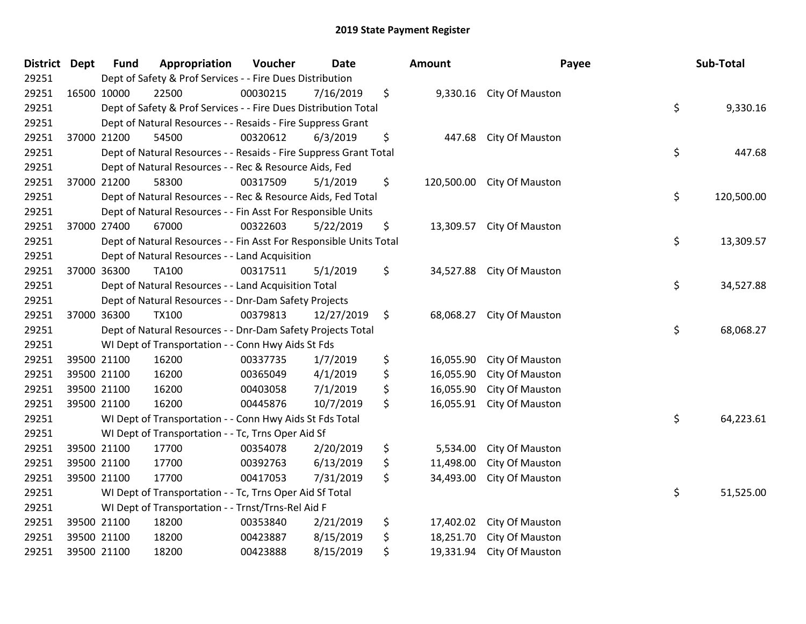| District Dept |             | <b>Fund</b> | Appropriation                                                      | Voucher  | <b>Date</b> | Amount           | Payee                     | Sub-Total        |
|---------------|-------------|-------------|--------------------------------------------------------------------|----------|-------------|------------------|---------------------------|------------------|
| 29251         |             |             | Dept of Safety & Prof Services - - Fire Dues Distribution          |          |             |                  |                           |                  |
| 29251         | 16500 10000 |             | 22500                                                              | 00030215 | 7/16/2019   | \$               | 9,330.16 City Of Mauston  |                  |
| 29251         |             |             | Dept of Safety & Prof Services - - Fire Dues Distribution Total    |          |             |                  |                           | \$<br>9,330.16   |
| 29251         |             |             | Dept of Natural Resources - - Resaids - Fire Suppress Grant        |          |             |                  |                           |                  |
| 29251         |             | 37000 21200 | 54500                                                              | 00320612 | 6/3/2019    | \$<br>447.68     | City Of Mauston           |                  |
| 29251         |             |             | Dept of Natural Resources - - Resaids - Fire Suppress Grant Total  |          |             |                  |                           | \$<br>447.68     |
| 29251         |             |             | Dept of Natural Resources - - Rec & Resource Aids, Fed             |          |             |                  |                           |                  |
| 29251         |             | 37000 21200 | 58300                                                              | 00317509 | 5/1/2019    | \$<br>120,500.00 | City Of Mauston           |                  |
| 29251         |             |             | Dept of Natural Resources - - Rec & Resource Aids, Fed Total       |          |             |                  |                           | \$<br>120,500.00 |
| 29251         |             |             | Dept of Natural Resources - - Fin Asst For Responsible Units       |          |             |                  |                           |                  |
| 29251         |             | 37000 27400 | 67000                                                              | 00322603 | 5/22/2019   | \$               | 13,309.57 City Of Mauston |                  |
| 29251         |             |             | Dept of Natural Resources - - Fin Asst For Responsible Units Total |          |             |                  |                           | \$<br>13,309.57  |
| 29251         |             |             | Dept of Natural Resources - - Land Acquisition                     |          |             |                  |                           |                  |
| 29251         |             | 37000 36300 | TA100                                                              | 00317511 | 5/1/2019    | \$               | 34,527.88 City Of Mauston |                  |
| 29251         |             |             | Dept of Natural Resources - - Land Acquisition Total               |          |             |                  |                           | \$<br>34,527.88  |
| 29251         |             |             | Dept of Natural Resources - - Dnr-Dam Safety Projects              |          |             |                  |                           |                  |
| 29251         |             | 37000 36300 | <b>TX100</b>                                                       | 00379813 | 12/27/2019  | \$<br>68,068.27  | City Of Mauston           |                  |
| 29251         |             |             | Dept of Natural Resources - - Dnr-Dam Safety Projects Total        |          |             |                  |                           | \$<br>68,068.27  |
| 29251         |             |             | WI Dept of Transportation - - Conn Hwy Aids St Fds                 |          |             |                  |                           |                  |
| 29251         | 39500 21100 |             | 16200                                                              | 00337735 | 1/7/2019    | \$<br>16,055.90  | City Of Mauston           |                  |
| 29251         |             | 39500 21100 | 16200                                                              | 00365049 | 4/1/2019    | \$<br>16,055.90  | City Of Mauston           |                  |
| 29251         |             | 39500 21100 | 16200                                                              | 00403058 | 7/1/2019    | \$<br>16,055.90  | City Of Mauston           |                  |
| 29251         |             | 39500 21100 | 16200                                                              | 00445876 | 10/7/2019   | \$<br>16,055.91  | City Of Mauston           |                  |
| 29251         |             |             | WI Dept of Transportation - - Conn Hwy Aids St Fds Total           |          |             |                  |                           | \$<br>64,223.61  |
| 29251         |             |             | WI Dept of Transportation - - Tc, Trns Oper Aid Sf                 |          |             |                  |                           |                  |
| 29251         |             | 39500 21100 | 17700                                                              | 00354078 | 2/20/2019   | \$<br>5,534.00   | City Of Mauston           |                  |
| 29251         |             | 39500 21100 | 17700                                                              | 00392763 | 6/13/2019   | \$<br>11,498.00  | City Of Mauston           |                  |
| 29251         |             | 39500 21100 | 17700                                                              | 00417053 | 7/31/2019   | \$<br>34,493.00  | City Of Mauston           |                  |
| 29251         |             |             | WI Dept of Transportation - - Tc, Trns Oper Aid Sf Total           |          |             |                  |                           | \$<br>51,525.00  |
| 29251         |             |             | WI Dept of Transportation - - Trnst/Trns-Rel Aid F                 |          |             |                  |                           |                  |
| 29251         |             | 39500 21100 | 18200                                                              | 00353840 | 2/21/2019   | \$<br>17,402.02  | City Of Mauston           |                  |
| 29251         |             | 39500 21100 | 18200                                                              | 00423887 | 8/15/2019   | \$<br>18,251.70  | City Of Mauston           |                  |
| 29251         |             | 39500 21100 | 18200                                                              | 00423888 | 8/15/2019   | \$<br>19,331.94  | City Of Mauston           |                  |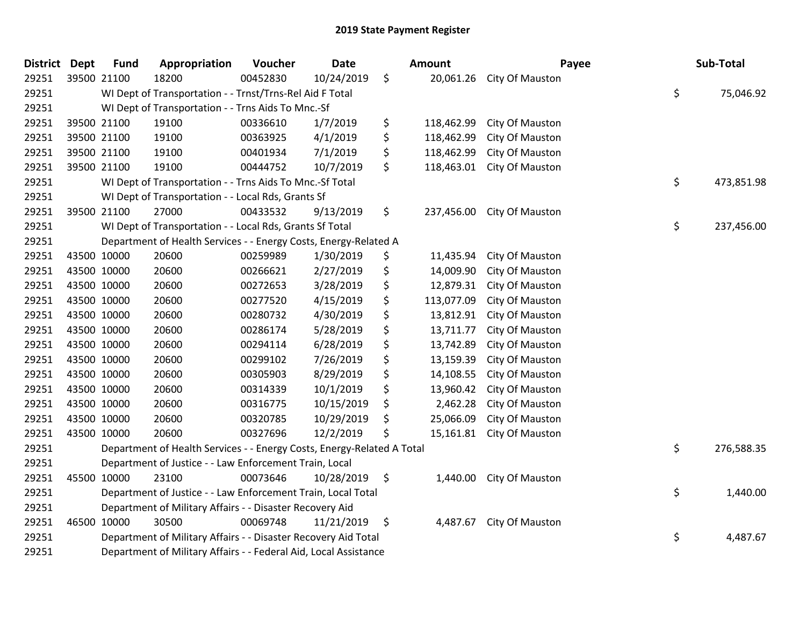| District Dept |             | <b>Fund</b> | Appropriation                                                          | Voucher  | Date          | Amount           | Payee                      | Sub-Total        |
|---------------|-------------|-------------|------------------------------------------------------------------------|----------|---------------|------------------|----------------------------|------------------|
| 29251         |             | 39500 21100 | 18200                                                                  | 00452830 | 10/24/2019    | \$               | 20,061.26 City Of Mauston  |                  |
| 29251         |             |             | WI Dept of Transportation - - Trnst/Trns-Rel Aid F Total               |          |               |                  |                            | \$<br>75,046.92  |
| 29251         |             |             | WI Dept of Transportation - - Trns Aids To Mnc.-Sf                     |          |               |                  |                            |                  |
| 29251         |             | 39500 21100 | 19100                                                                  | 00336610 | 1/7/2019      | \$<br>118,462.99 | City Of Mauston            |                  |
| 29251         |             | 39500 21100 | 19100                                                                  | 00363925 | 4/1/2019      | \$<br>118,462.99 | City Of Mauston            |                  |
| 29251         |             | 39500 21100 | 19100                                                                  | 00401934 | 7/1/2019      | \$<br>118,462.99 | City Of Mauston            |                  |
| 29251         |             | 39500 21100 | 19100                                                                  | 00444752 | 10/7/2019     | \$<br>118,463.01 | City Of Mauston            |                  |
| 29251         |             |             | WI Dept of Transportation - - Trns Aids To Mnc.-Sf Total               |          |               |                  |                            | \$<br>473,851.98 |
| 29251         |             |             | WI Dept of Transportation - - Local Rds, Grants Sf                     |          |               |                  |                            |                  |
| 29251         |             | 39500 21100 | 27000                                                                  | 00433532 | 9/13/2019     | \$               | 237,456.00 City Of Mauston |                  |
| 29251         |             |             | WI Dept of Transportation - - Local Rds, Grants Sf Total               |          |               |                  |                            | \$<br>237,456.00 |
| 29251         |             |             | Department of Health Services - - Energy Costs, Energy-Related A       |          |               |                  |                            |                  |
| 29251         |             | 43500 10000 | 20600                                                                  | 00259989 | 1/30/2019     | \$<br>11,435.94  | City Of Mauston            |                  |
| 29251         |             | 43500 10000 | 20600                                                                  | 00266621 | 2/27/2019     | \$<br>14,009.90  | City Of Mauston            |                  |
| 29251         |             | 43500 10000 | 20600                                                                  | 00272653 | 3/28/2019     | \$<br>12,879.31  | City Of Mauston            |                  |
| 29251         |             | 43500 10000 | 20600                                                                  | 00277520 | 4/15/2019     | \$<br>113,077.09 | City Of Mauston            |                  |
| 29251         | 43500 10000 |             | 20600                                                                  | 00280732 | 4/30/2019     | \$<br>13,812.91  | City Of Mauston            |                  |
| 29251         | 43500 10000 |             | 20600                                                                  | 00286174 | 5/28/2019     | \$<br>13,711.77  | City Of Mauston            |                  |
| 29251         | 43500 10000 |             | 20600                                                                  | 00294114 | 6/28/2019     | \$<br>13,742.89  | City Of Mauston            |                  |
| 29251         |             | 43500 10000 | 20600                                                                  | 00299102 | 7/26/2019     | \$<br>13,159.39  | City Of Mauston            |                  |
| 29251         |             | 43500 10000 | 20600                                                                  | 00305903 | 8/29/2019     | \$<br>14,108.55  | City Of Mauston            |                  |
| 29251         | 43500 10000 |             | 20600                                                                  | 00314339 | 10/1/2019     | \$<br>13,960.42  | City Of Mauston            |                  |
| 29251         | 43500 10000 |             | 20600                                                                  | 00316775 | 10/15/2019    | \$<br>2,462.28   | City Of Mauston            |                  |
| 29251         |             | 43500 10000 | 20600                                                                  | 00320785 | 10/29/2019    | \$<br>25,066.09  | City Of Mauston            |                  |
| 29251         |             | 43500 10000 | 20600                                                                  | 00327696 | 12/2/2019     | \$<br>15,161.81  | City Of Mauston            |                  |
| 29251         |             |             | Department of Health Services - - Energy Costs, Energy-Related A Total |          |               |                  |                            | \$<br>276,588.35 |
| 29251         |             |             | Department of Justice - - Law Enforcement Train, Local                 |          |               |                  |                            |                  |
| 29251         |             | 45500 10000 | 23100                                                                  | 00073646 | 10/28/2019 \$ |                  | 1,440.00 City Of Mauston   |                  |
| 29251         |             |             | Department of Justice - - Law Enforcement Train, Local Total           |          |               |                  |                            | \$<br>1,440.00   |
| 29251         |             |             | Department of Military Affairs - - Disaster Recovery Aid               |          |               |                  |                            |                  |
| 29251         |             | 46500 10000 | 30500                                                                  | 00069748 | 11/21/2019    | \$<br>4,487.67   | City Of Mauston            |                  |
| 29251         |             |             | Department of Military Affairs - - Disaster Recovery Aid Total         |          |               |                  |                            | \$<br>4,487.67   |
| 29251         |             |             | Department of Military Affairs - - Federal Aid, Local Assistance       |          |               |                  |                            |                  |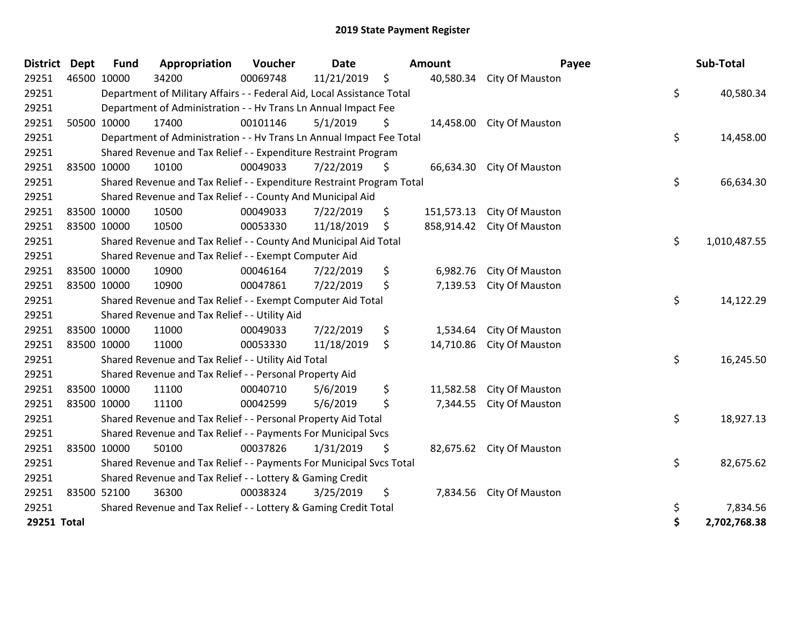| <b>District</b> | <b>Dept</b> | <b>Fund</b> | Appropriation                                                          | Voucher  | <b>Date</b> |     | <b>Amount</b> | Payee                      | Sub-Total          |
|-----------------|-------------|-------------|------------------------------------------------------------------------|----------|-------------|-----|---------------|----------------------------|--------------------|
| 29251           | 46500 10000 |             | 34200                                                                  | 00069748 | 11/21/2019  | \$  |               | 40,580.34 City Of Mauston  |                    |
| 29251           |             |             | Department of Military Affairs - - Federal Aid, Local Assistance Total |          |             |     |               |                            | \$<br>40,580.34    |
| 29251           |             |             | Department of Administration - - Hv Trans Ln Annual Impact Fee         |          |             |     |               |                            |                    |
| 29251           |             | 50500 10000 | 17400                                                                  | 00101146 | 5/1/2019    | \$  | 14,458.00     | City Of Mauston            |                    |
| 29251           |             |             | Department of Administration - - Hv Trans Ln Annual Impact Fee Total   |          |             |     |               |                            | \$<br>14,458.00    |
| 29251           |             |             | Shared Revenue and Tax Relief - - Expenditure Restraint Program        |          |             |     |               |                            |                    |
| 29251           |             | 83500 10000 | 10100                                                                  | 00049033 | 7/22/2019   | \$. | 66,634.30     | City Of Mauston            |                    |
| 29251           |             |             | Shared Revenue and Tax Relief - - Expenditure Restraint Program Total  |          |             |     |               |                            | \$<br>66,634.30    |
| 29251           |             |             | Shared Revenue and Tax Relief - - County And Municipal Aid             |          |             |     |               |                            |                    |
| 29251           |             | 83500 10000 | 10500                                                                  | 00049033 | 7/22/2019   | \$  | 151,573.13    | City Of Mauston            |                    |
| 29251           |             | 83500 10000 | 10500                                                                  | 00053330 | 11/18/2019  | \$  |               | 858,914.42 City Of Mauston |                    |
| 29251           |             |             | Shared Revenue and Tax Relief - - County And Municipal Aid Total       |          |             |     |               |                            | \$<br>1,010,487.55 |
| 29251           |             |             | Shared Revenue and Tax Relief - - Exempt Computer Aid                  |          |             |     |               |                            |                    |
| 29251           |             | 83500 10000 | 10900                                                                  | 00046164 | 7/22/2019   | \$  | 6,982.76      | City Of Mauston            |                    |
| 29251           |             | 83500 10000 | 10900                                                                  | 00047861 | 7/22/2019   | \$  | 7,139.53      | City Of Mauston            |                    |
| 29251           |             |             | Shared Revenue and Tax Relief - - Exempt Computer Aid Total            |          |             |     |               |                            | \$<br>14,122.29    |
| 29251           |             |             | Shared Revenue and Tax Relief - - Utility Aid                          |          |             |     |               |                            |                    |
| 29251           |             | 83500 10000 | 11000                                                                  | 00049033 | 7/22/2019   | \$  | 1,534.64      | City Of Mauston            |                    |
| 29251           |             | 83500 10000 | 11000                                                                  | 00053330 | 11/18/2019  | \$  | 14,710.86     | City Of Mauston            |                    |
| 29251           |             |             | Shared Revenue and Tax Relief - - Utility Aid Total                    |          |             |     |               |                            | \$<br>16,245.50    |
| 29251           |             |             | Shared Revenue and Tax Relief - - Personal Property Aid                |          |             |     |               |                            |                    |
| 29251           |             | 83500 10000 | 11100                                                                  | 00040710 | 5/6/2019    | \$  | 11,582.58     | City Of Mauston            |                    |
| 29251           |             | 83500 10000 | 11100                                                                  | 00042599 | 5/6/2019    | \$  | 7,344.55      | City Of Mauston            |                    |
| 29251           |             |             | Shared Revenue and Tax Relief - - Personal Property Aid Total          |          |             |     |               |                            | \$<br>18,927.13    |
| 29251           |             |             | Shared Revenue and Tax Relief - - Payments For Municipal Svcs          |          |             |     |               |                            |                    |
| 29251           |             | 83500 10000 | 50100                                                                  | 00037826 | 1/31/2019   | \$  |               | 82,675.62 City Of Mauston  |                    |
| 29251           |             |             | Shared Revenue and Tax Relief - - Payments For Municipal Svcs Total    |          |             |     |               |                            | \$<br>82,675.62    |
| 29251           |             |             | Shared Revenue and Tax Relief - - Lottery & Gaming Credit              |          |             |     |               |                            |                    |
| 29251           |             | 83500 52100 | 36300                                                                  | 00038324 | 3/25/2019   | \$  |               | 7,834.56 City Of Mauston   |                    |
| 29251           |             |             | Shared Revenue and Tax Relief - - Lottery & Gaming Credit Total        |          |             |     |               |                            | \$<br>7,834.56     |
| 29251 Total     |             |             |                                                                        |          |             |     |               |                            | \$<br>2,702,768.38 |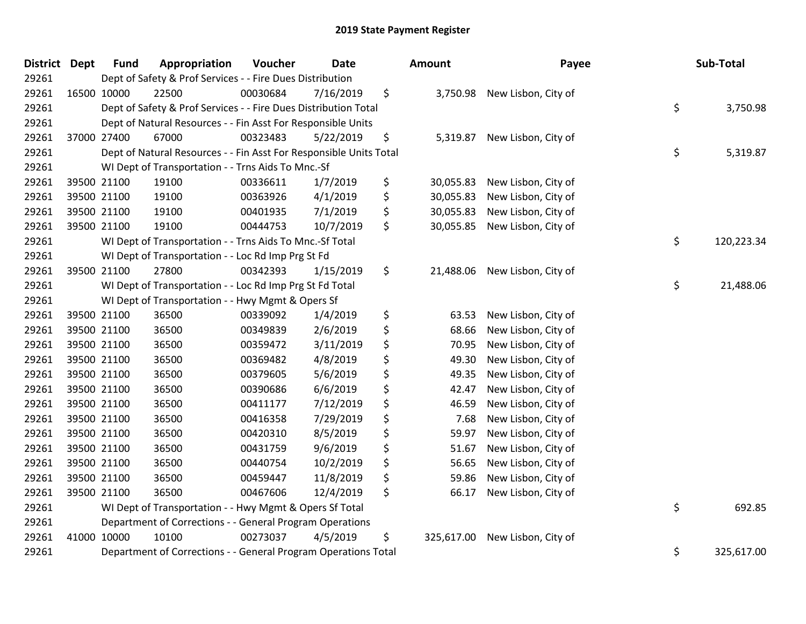| District Dept | <b>Fund</b>                                                                        | Appropriation                                                      | Voucher  | Date      |    | <b>Amount</b> | Payee               |    | Sub-Total  |  |  |
|---------------|------------------------------------------------------------------------------------|--------------------------------------------------------------------|----------|-----------|----|---------------|---------------------|----|------------|--|--|
| 29261         | Dept of Safety & Prof Services - - Fire Dues Distribution                          |                                                                    |          |           |    |               |                     |    |            |  |  |
| 29261         | 16500 10000                                                                        | 22500                                                              | 00030684 | 7/16/2019 | \$ | 3,750.98      | New Lisbon, City of |    |            |  |  |
| 29261         | \$<br>3,750.98<br>Dept of Safety & Prof Services - - Fire Dues Distribution Total  |                                                                    |          |           |    |               |                     |    |            |  |  |
| 29261         | Dept of Natural Resources - - Fin Asst For Responsible Units                       |                                                                    |          |           |    |               |                     |    |            |  |  |
| 29261         | 37000 27400                                                                        | 67000                                                              | 00323483 | 5/22/2019 | \$ | 5,319.87      | New Lisbon, City of |    |            |  |  |
| 29261         |                                                                                    | Dept of Natural Resources - - Fin Asst For Responsible Units Total |          |           |    |               |                     | \$ | 5,319.87   |  |  |
| 29261         |                                                                                    | WI Dept of Transportation - - Trns Aids To Mnc.-Sf                 |          |           |    |               |                     |    |            |  |  |
| 29261         | 39500 21100                                                                        | 19100                                                              | 00336611 | 1/7/2019  | \$ | 30,055.83     | New Lisbon, City of |    |            |  |  |
| 29261         | 39500 21100                                                                        | 19100                                                              | 00363926 | 4/1/2019  | \$ | 30,055.83     | New Lisbon, City of |    |            |  |  |
| 29261         | 39500 21100                                                                        | 19100                                                              | 00401935 | 7/1/2019  | \$ | 30,055.83     | New Lisbon, City of |    |            |  |  |
| 29261         | 39500 21100                                                                        | 19100                                                              | 00444753 | 10/7/2019 | \$ | 30,055.85     | New Lisbon, City of |    |            |  |  |
| 29261         |                                                                                    | WI Dept of Transportation - - Trns Aids To Mnc.-Sf Total           |          |           |    |               |                     | \$ | 120,223.34 |  |  |
| 29261         |                                                                                    | WI Dept of Transportation - - Loc Rd Imp Prg St Fd                 |          |           |    |               |                     |    |            |  |  |
| 29261         | 39500 21100                                                                        | 27800                                                              | 00342393 | 1/15/2019 | \$ | 21,488.06     | New Lisbon, City of |    |            |  |  |
| 29261         | \$<br>WI Dept of Transportation - - Loc Rd Imp Prg St Fd Total                     |                                                                    |          |           |    |               |                     |    | 21,488.06  |  |  |
| 29261         |                                                                                    | WI Dept of Transportation - - Hwy Mgmt & Opers Sf                  |          |           |    |               |                     |    |            |  |  |
| 29261         | 39500 21100                                                                        | 36500                                                              | 00339092 | 1/4/2019  | \$ | 63.53         | New Lisbon, City of |    |            |  |  |
| 29261         | 39500 21100                                                                        | 36500                                                              | 00349839 | 2/6/2019  | \$ | 68.66         | New Lisbon, City of |    |            |  |  |
| 29261         | 39500 21100                                                                        | 36500                                                              | 00359472 | 3/11/2019 | \$ | 70.95         | New Lisbon, City of |    |            |  |  |
| 29261         | 39500 21100                                                                        | 36500                                                              | 00369482 | 4/8/2019  | \$ | 49.30         | New Lisbon, City of |    |            |  |  |
| 29261         | 39500 21100                                                                        | 36500                                                              | 00379605 | 5/6/2019  | \$ | 49.35         | New Lisbon, City of |    |            |  |  |
| 29261         | 39500 21100                                                                        | 36500                                                              | 00390686 | 6/6/2019  | \$ | 42.47         | New Lisbon, City of |    |            |  |  |
| 29261         | 39500 21100                                                                        | 36500                                                              | 00411177 | 7/12/2019 | \$ | 46.59         | New Lisbon, City of |    |            |  |  |
| 29261         | 39500 21100                                                                        | 36500                                                              | 00416358 | 7/29/2019 | \$ | 7.68          | New Lisbon, City of |    |            |  |  |
| 29261         | 39500 21100                                                                        | 36500                                                              | 00420310 | 8/5/2019  | \$ | 59.97         | New Lisbon, City of |    |            |  |  |
| 29261         | 39500 21100                                                                        | 36500                                                              | 00431759 | 9/6/2019  | \$ | 51.67         | New Lisbon, City of |    |            |  |  |
| 29261         | 39500 21100                                                                        | 36500                                                              | 00440754 | 10/2/2019 | \$ | 56.65         | New Lisbon, City of |    |            |  |  |
| 29261         | 39500 21100                                                                        | 36500                                                              | 00459447 | 11/8/2019 | \$ | 59.86         | New Lisbon, City of |    |            |  |  |
| 29261         | 39500 21100                                                                        | 36500                                                              | 00467606 | 12/4/2019 | \$ | 66.17         | New Lisbon, City of |    |            |  |  |
| 29261         | WI Dept of Transportation - - Hwy Mgmt & Opers Sf Total                            |                                                                    |          |           |    |               |                     |    | 692.85     |  |  |
| 29261         |                                                                                    | Department of Corrections - - General Program Operations           |          |           |    |               |                     |    |            |  |  |
| 29261         | 41000 10000                                                                        | 10100                                                              | 00273037 | 4/5/2019  | \$ | 325,617.00    | New Lisbon, City of |    |            |  |  |
| 29261         | \$<br>Department of Corrections - - General Program Operations Total<br>325,617.00 |                                                                    |          |           |    |               |                     |    |            |  |  |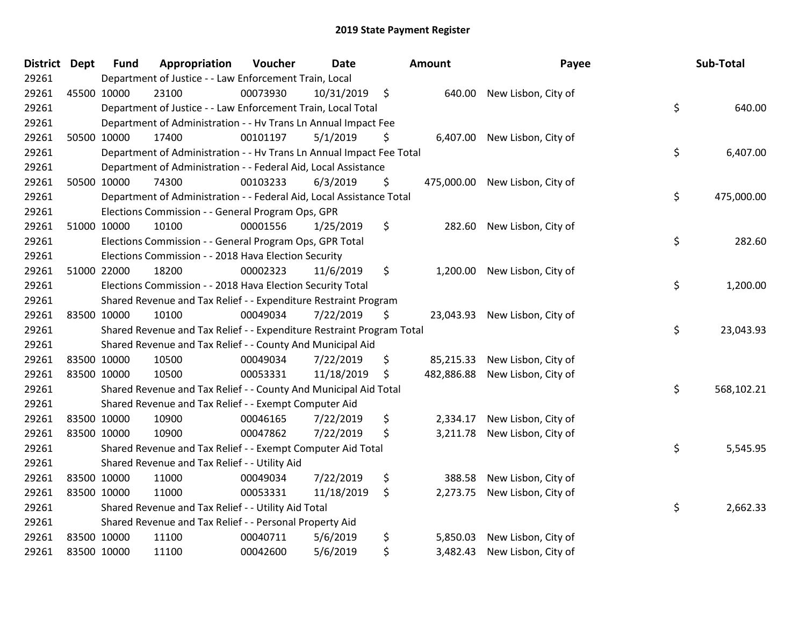| District Dept | <b>Fund</b>                                                           | Appropriation                                                        | Voucher  | <b>Date</b> |    | Amount     | Payee               |    | Sub-Total  |
|---------------|-----------------------------------------------------------------------|----------------------------------------------------------------------|----------|-------------|----|------------|---------------------|----|------------|
| 29261         |                                                                       | Department of Justice - - Law Enforcement Train, Local               |          |             |    |            |                     |    |            |
| 29261         | 45500 10000                                                           | 23100                                                                | 00073930 | 10/31/2019  | \$ | 640.00     | New Lisbon, City of |    |            |
| 29261         | Department of Justice - - Law Enforcement Train, Local Total          |                                                                      |          |             |    |            |                     | \$ | 640.00     |
| 29261         | Department of Administration - - Hv Trans Ln Annual Impact Fee        |                                                                      |          |             |    |            |                     |    |            |
| 29261         | 50500 10000                                                           | 17400                                                                | 00101197 | 5/1/2019    | \$ | 6,407.00   | New Lisbon, City of |    |            |
| 29261         |                                                                       | Department of Administration - - Hv Trans Ln Annual Impact Fee Total |          |             |    |            |                     | \$ | 6,407.00   |
| 29261         |                                                                       | Department of Administration - - Federal Aid, Local Assistance       |          |             |    |            |                     |    |            |
| 29261         | 50500 10000                                                           | 74300                                                                | 00103233 | 6/3/2019    | \$ | 475,000.00 | New Lisbon, City of |    |            |
| 29261         |                                                                       | Department of Administration - - Federal Aid, Local Assistance Total |          |             |    |            |                     | \$ | 475,000.00 |
| 29261         |                                                                       | Elections Commission - - General Program Ops, GPR                    |          |             |    |            |                     |    |            |
| 29261         | 51000 10000                                                           | 10100                                                                | 00001556 | 1/25/2019   | \$ | 282.60     | New Lisbon, City of |    |            |
| 29261         |                                                                       | Elections Commission - - General Program Ops, GPR Total              |          |             |    |            |                     | \$ | 282.60     |
| 29261         |                                                                       | Elections Commission - - 2018 Hava Election Security                 |          |             |    |            |                     |    |            |
| 29261         | 51000 22000                                                           | 18200                                                                | 00002323 | 11/6/2019   | \$ | 1,200.00   | New Lisbon, City of |    |            |
| 29261         | Elections Commission - - 2018 Hava Election Security Total            |                                                                      |          |             |    |            |                     | \$ | 1,200.00   |
| 29261         |                                                                       | Shared Revenue and Tax Relief - - Expenditure Restraint Program      |          |             |    |            |                     |    |            |
| 29261         | 83500 10000                                                           | 10100                                                                | 00049034 | 7/22/2019   | \$ | 23,043.93  | New Lisbon, City of |    |            |
| 29261         | Shared Revenue and Tax Relief - - Expenditure Restraint Program Total |                                                                      |          |             |    |            |                     | \$ | 23,043.93  |
| 29261         |                                                                       | Shared Revenue and Tax Relief - - County And Municipal Aid           |          |             |    |            |                     |    |            |
| 29261         | 83500 10000                                                           | 10500                                                                | 00049034 | 7/22/2019   | \$ | 85,215.33  | New Lisbon, City of |    |            |
| 29261         | 83500 10000                                                           | 10500                                                                | 00053331 | 11/18/2019  | \$ | 482,886.88 | New Lisbon, City of |    |            |
| 29261         |                                                                       | Shared Revenue and Tax Relief - - County And Municipal Aid Total     |          |             |    |            |                     | \$ | 568,102.21 |
| 29261         |                                                                       | Shared Revenue and Tax Relief - - Exempt Computer Aid                |          |             |    |            |                     |    |            |
| 29261         | 83500 10000                                                           | 10900                                                                | 00046165 | 7/22/2019   | \$ | 2,334.17   | New Lisbon, City of |    |            |
| 29261         | 83500 10000                                                           | 10900                                                                | 00047862 | 7/22/2019   | \$ | 3,211.78   | New Lisbon, City of |    |            |
| 29261         |                                                                       | Shared Revenue and Tax Relief - - Exempt Computer Aid Total          |          |             |    |            |                     | \$ | 5,545.95   |
| 29261         | Shared Revenue and Tax Relief - - Utility Aid                         |                                                                      |          |             |    |            |                     |    |            |
| 29261         | 83500 10000                                                           | 11000                                                                | 00049034 | 7/22/2019   | \$ | 388.58     | New Lisbon, City of |    |            |
| 29261         | 83500 10000                                                           | 11000                                                                | 00053331 | 11/18/2019  | \$ | 2,273.75   | New Lisbon, City of |    |            |
| 29261         | Shared Revenue and Tax Relief - - Utility Aid Total                   |                                                                      |          |             |    |            |                     | \$ | 2,662.33   |
| 29261         |                                                                       | Shared Revenue and Tax Relief - - Personal Property Aid              |          |             |    |            |                     |    |            |
| 29261         | 83500 10000                                                           | 11100                                                                | 00040711 | 5/6/2019    | \$ | 5,850.03   | New Lisbon, City of |    |            |
| 29261         | 83500 10000                                                           | 11100                                                                | 00042600 | 5/6/2019    | \$ | 3,482.43   | New Lisbon, City of |    |            |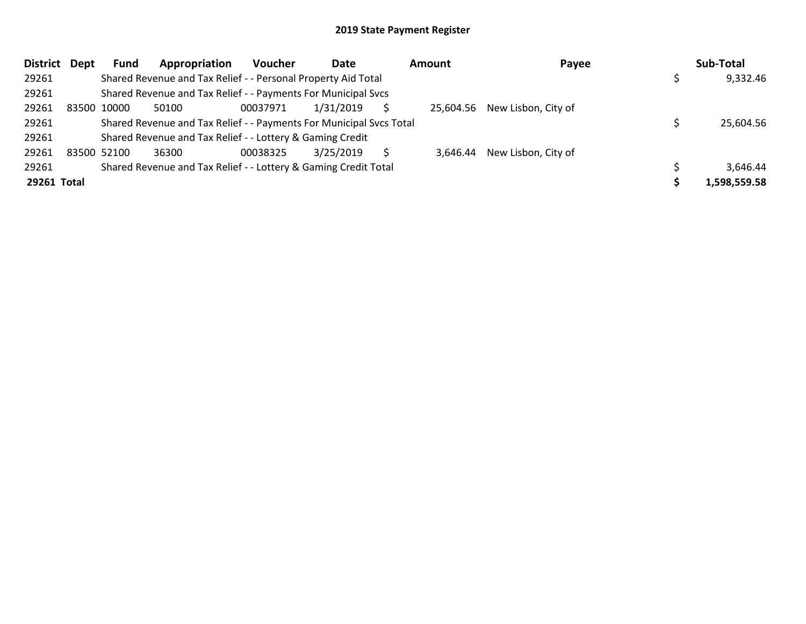| District Dept | <b>Fund</b>                                               | Appropriation                                                       | <b>Voucher</b> | Date      |  | Amount   | Payee                         |  | Sub-Total    |  |
|---------------|-----------------------------------------------------------|---------------------------------------------------------------------|----------------|-----------|--|----------|-------------------------------|--|--------------|--|
| 29261         |                                                           | Shared Revenue and Tax Relief - - Personal Property Aid Total       |                |           |  |          |                               |  | 9,332.46     |  |
| 29261         |                                                           | Shared Revenue and Tax Relief - - Payments For Municipal Svcs       |                |           |  |          |                               |  |              |  |
| 29261         | 83500 10000                                               | 50100                                                               | 00037971       | 1/31/2019 |  |          | 25,604.56 New Lisbon, City of |  |              |  |
| 29261         |                                                           | Shared Revenue and Tax Relief - - Payments For Municipal Svcs Total |                |           |  |          |                               |  | 25.604.56    |  |
| 29261         | Shared Revenue and Tax Relief - - Lottery & Gaming Credit |                                                                     |                |           |  |          |                               |  |              |  |
| 29261         | 83500 52100                                               | 36300                                                               | 00038325       | 3/25/2019 |  | 3.646.44 | New Lisbon, City of           |  |              |  |
| 29261         |                                                           | Shared Revenue and Tax Relief - - Lottery & Gaming Credit Total     |                |           |  |          |                               |  | 3,646.44     |  |
| 29261 Total   |                                                           |                                                                     |                |           |  |          |                               |  | 1,598,559.58 |  |